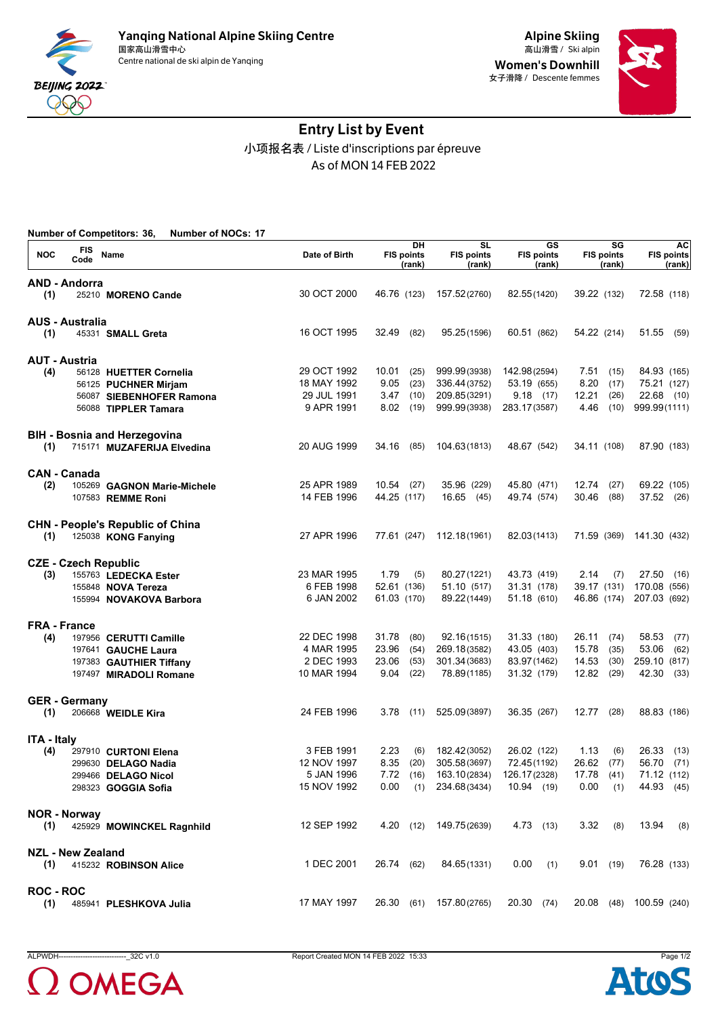

Women's Downhill 女子滑降 / Descente femmes



# Entry List by Event 小项报名表 / Liste d'inscriptions par épreuve As of MON 14 FEB 2022

|                    |                             | <b>Number of Competitors: 36,</b><br><b>Number of NOCs: 17</b> |               |                                   |                                                       |                                   |                                   |                                   |
|--------------------|-----------------------------|----------------------------------------------------------------|---------------|-----------------------------------|-------------------------------------------------------|-----------------------------------|-----------------------------------|-----------------------------------|
| <b>NOC</b>         | FIS<br>Code                 | Name                                                           | Date of Birth | DH<br><b>FIS points</b><br>(rank) | $\overline{\text{SL}}$<br><b>FIS points</b><br>(rank) | GS<br><b>FIS points</b><br>(rank) | SG<br><b>FIS points</b><br>(rank) | <b>AC</b><br>FIS points<br>(rank) |
|                    | <b>AND - Andorra</b>        |                                                                |               |                                   |                                                       |                                   |                                   |                                   |
| (1)                |                             | 25210 MORENO Cande                                             | 30 OCT 2000   | 46.76 (123)                       | 157.52(2760)                                          | 82.55(1420)                       | 39.22 (132)                       | 72.58 (118)                       |
|                    | <b>AUS - Australia</b>      |                                                                |               |                                   |                                                       |                                   |                                   |                                   |
| (1)                |                             | 45331 SMALL Greta                                              | 16 OCT 1995   | 32.49<br>(82)                     | 95.25(1596)                                           | 60.51 (862)                       | 54.22 (214)                       | 51.55<br>(59)                     |
|                    | <b>AUT - Austria</b>        |                                                                |               |                                   |                                                       |                                   |                                   |                                   |
| (4)                |                             | 56128 HUETTER Cornelia                                         | 29 OCT 1992   | 10.01<br>(25)                     | 999.99(3938)                                          | 142.98(2594)                      | 7.51<br>(15)                      | 84.93 (165)                       |
|                    |                             | 56125 PUCHNER Mirjam                                           | 18 MAY 1992   | 9.05<br>(23)                      | 336.44(3752)                                          | 53.19 (655)                       | 8.20<br>(17)                      | 75.21 (127)                       |
|                    |                             | 56087 SIEBENHOFER Ramona                                       | 29 JUL 1991   | 3.47<br>(10)                      | 209.85(3291)                                          | 9.18(17)                          | 12.21<br>(26)                     | 22.68 (10)                        |
|                    |                             | 56088 TIPPLER Tamara                                           | 9 APR 1991    | 8.02<br>(19)                      | 999.99(3938)                                          | 283.17(3587)                      | 4.46<br>(10)                      | 999.99(1111)                      |
|                    |                             | <b>BIH - Bosnia and Herzegovina</b>                            | 20 AUG 1999   | 34.16<br>(85)                     | 104.63(1813)                                          | 48.67 (542)                       | 34.11 (108)                       | 87.90 (183)                       |
| (1)                |                             | 715171 MUZAFERIJA Elvedina                                     |               |                                   |                                                       |                                   |                                   |                                   |
|                    | <b>CAN - Canada</b>         |                                                                |               |                                   |                                                       |                                   |                                   |                                   |
| (2)                |                             | 105269 GAGNON Marie-Michele                                    | 25 APR 1989   | $10.54$ (27)                      | 35.96 (229)                                           | 45.80 (471)                       | 12.74<br>(27)                     | 69.22 (105)                       |
|                    |                             | 107583 REMME Roni                                              | 14 FEB 1996   | 44.25 (117)                       | 16.65(45)                                             | 49.74 (574)                       | 30.46<br>(88)                     | 37.52 (26)                        |
|                    |                             | <b>CHN - People's Republic of China</b>                        |               |                                   |                                                       |                                   |                                   |                                   |
| (1)                |                             | 125038 KONG Fanying                                            | 27 APR 1996   | 77.61 (247)                       | 112.18(1961)                                          | 82.03(1413)                       | 71.59 (369)                       | 141.30 (432)                      |
|                    | <b>CZE - Czech Republic</b> |                                                                |               |                                   |                                                       |                                   |                                   |                                   |
| (3)                |                             | 155763 LEDECKA Ester                                           | 23 MAR 1995   | 1.79<br>(5)                       | 80.27(1221)                                           | 43.73 (419)                       | 2.14<br>(7)                       | 27.50<br>(16)                     |
|                    |                             | 155848 <b>NOVA Tereza</b>                                      | 6 FEB 1998    | 52.61 (136)                       | 51.10 (517)                                           | 31.31 (178)                       | 39.17 (131)                       | 170.08 (556)                      |
|                    |                             | 155994 NOVAKOVA Barbora                                        | 6 JAN 2002    | 61.03 (170)                       | 89.22(1449)                                           | 51.18 (610)                       | 46.86 (174)                       | 207.03 (692)                      |
|                    | <b>FRA - France</b>         |                                                                |               |                                   |                                                       |                                   |                                   |                                   |
| (4)                |                             | 197956 CERUTTI Camille                                         | 22 DEC 1998   | 31.78<br>(80)                     | 92.16(1515)                                           | 31.33 (180)                       | 26.11<br>(74)                     | 58.53<br>(77)                     |
|                    |                             | 197641 GAUCHE Laura                                            | 4 MAR 1995    | 23.96<br>(54)                     | 269.18(3582)                                          | 43.05 (403)                       | 15.78<br>(35)                     | 53.06<br>(62)                     |
|                    |                             | 197383 GAUTHIER Tiffany                                        | 2 DEC 1993    | 23.06<br>(53)                     | 301.34(3683)                                          | 83.97(1462)                       | 14.53<br>(30)                     | 259.10<br>(817)                   |
|                    |                             | 197497 MIRADOLI Romane                                         | 10 MAR 1994   | 9.04<br>(22)                      | 78.89(1185)                                           | 31.32 (179)                       | 12.82<br>(29)                     | 42.30<br>(33)                     |
|                    | <b>GER</b> - Germany        |                                                                |               |                                   |                                                       |                                   |                                   |                                   |
| (1)                |                             | 206668 WEIDLE Kira                                             | 24 FEB 1996   | 3.78<br>(11)                      | 525.09(3897)                                          | 36.35 (267)                       | 12.77 (28)                        | 88.83 (186)                       |
| <b>ITA - Italy</b> |                             |                                                                |               |                                   |                                                       |                                   |                                   |                                   |
| (4)                |                             | 297910 CURTONI Elena                                           | 3 FEB 1991    | 2.23<br>(6)                       | 182.42(3052)                                          | 26.02 (122)                       | 1.13<br>(6)                       | 26.33<br>(13)                     |
|                    |                             | 299630 DELAGO Nadia                                            | 12 NOV 1997   | 8.35<br>(20)                      | 305.58(3697)                                          | 72.45(1192)                       | 26.62<br>(77)                     | 56.70<br>(71)                     |
|                    |                             | 299466 DELAGO Nicol                                            | 5 JAN 1996    |                                   | 7.72 (16) 163.10(2834) 126.17(2328)                   |                                   | 17.78 (41)                        | 71.12 (112)                       |
|                    |                             | 298323 <b>GOGGIA Sofia</b>                                     | 15 NOV 1992   | 0.00                              | $(1)$ 234.68 $(3434)$                                 | 10.94 (19)                        | 0.00<br>(1)                       | 44.93 (45)                        |
|                    | <b>NOR - Norway</b>         |                                                                |               |                                   |                                                       |                                   |                                   |                                   |
|                    |                             | (1) 425929 MOWINCKEL Ragnhild                                  | 12 SEP 1992   |                                   | 4.20 (12) 149.75(2639)                                | 4.73(13)                          | 3.32<br>(8)                       | $13.94$ (8)                       |
|                    | <b>NZL - New Zealand</b>    |                                                                |               |                                   |                                                       |                                   |                                   |                                   |
|                    |                             | (1) 415232 ROBINSON Alice                                      | 1 DEC 2001    | 26.74 (62)                        | 84.65(1331)                                           | 0.00<br>(1)                       | 9.01(19)                          | 76.28 (133)                       |
| <b>ROC - ROC</b>   |                             |                                                                |               |                                   |                                                       |                                   |                                   |                                   |
| (1)                |                             | 485941 PLESHKOVA Julia                                         | 17 MAY 1997   |                                   | 26.30 (61) 157.80(2765)                               | 20.30 (74)                        |                                   | 20.08 (48) 100.59 (240)           |



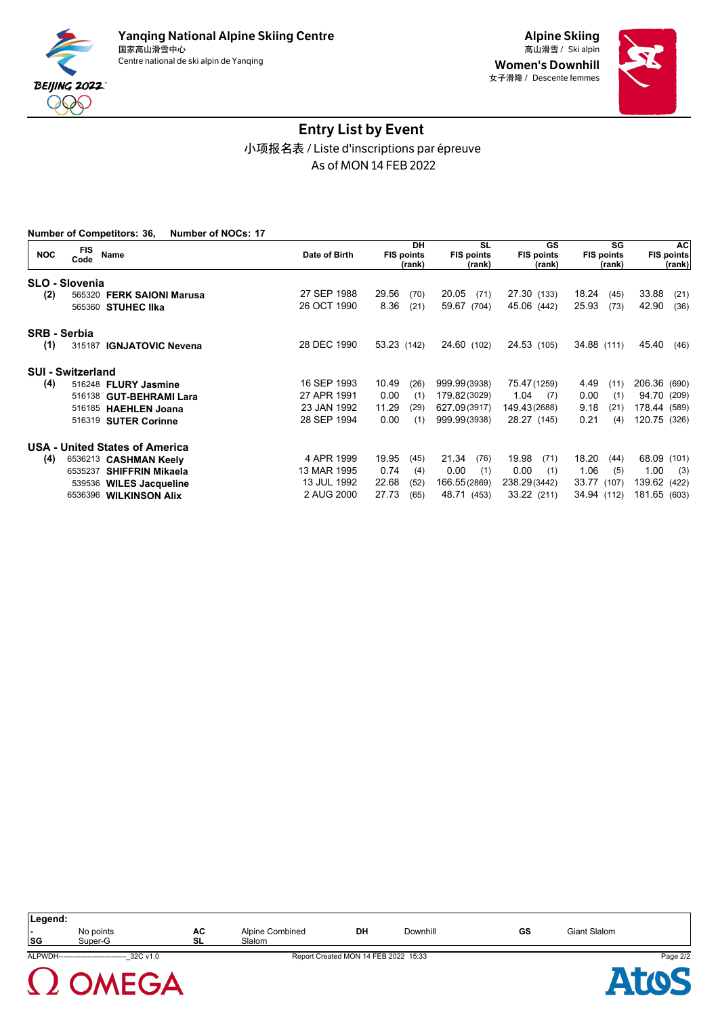

Women's Downhill 女子滑降 / Descente femmes



# Entry List by Event 小项报名表 / Liste d'inscriptions par épreuve As of MON 14 FEB 2022

|                     | <b>Number of Competitors: 36,</b><br><b>Number of NOCs: 17</b> |               |                                   |                                          |                                   |                                   |                                   |
|---------------------|----------------------------------------------------------------|---------------|-----------------------------------|------------------------------------------|-----------------------------------|-----------------------------------|-----------------------------------|
| <b>NOC</b>          | FIS<br>Name<br>Code                                            | Date of Birth | DH<br><b>FIS points</b><br>(rank) | <b>SL</b><br><b>FIS points</b><br>(rank) | GS<br><b>FIS points</b><br>(rank) | SG<br><b>FIS points</b><br>(rank) | <b>AC</b><br>FIS points<br>(rank) |
|                     | <b>SLO - Slovenia</b>                                          |               |                                   |                                          |                                   |                                   |                                   |
| (2)                 | 565320 FERK SAIONI Marusa                                      | 27 SEP 1988   | 29.56<br>(70)                     | 20.05<br>(71)                            | 27.30 (133)                       | 18.24<br>(45)                     | 33.88<br>(21)                     |
|                     | 565360 STUHEC IIka                                             | 26 OCT 1990   | 8.36<br>(21)                      | 59.67 (704)                              | 45.06 (442)                       | 25.93<br>(73)                     | 42.90<br>(36)                     |
| <b>SRB - Serbia</b> |                                                                |               |                                   |                                          |                                   |                                   |                                   |
| (1)                 | 315187 IGNJATOVIC Nevena                                       | 28 DEC 1990   | 53.23 (142)                       | 24.60 (102)                              | 24.53 (105)                       | 34.88 (111)                       | 45.40<br>(46)                     |
|                     | <b>SUI - Switzerland</b>                                       |               |                                   |                                          |                                   |                                   |                                   |
| (4)                 | 516248 FLURY Jasmine                                           | 16 SEP 1993   | 10.49<br>(26)                     | 999.99(3938)                             | 75.47(1259)                       | 4.49<br>(11)                      | 206.36 (690)                      |
|                     | 516138 GUT-BEHRAMI Lara                                        | 27 APR 1991   | 0.00<br>(1)                       | 179.82(3029)                             | 1.04<br>(7)                       | 0.00<br>(1)                       | 94.70 (209)                       |
|                     | 516185 HAEHLEN Joana                                           | 23 JAN 1992   | 11.29<br>(29)                     | 627.09(3917)                             | 149.43(2688)                      | 9.18<br>(21)                      | 178.44 (589)                      |
|                     | 516319 SUTER Corinne                                           | 28 SEP 1994   | 0.00<br>(1)                       | 999.99(3938)                             | 28.27 (145)                       | 0.21<br>(4)                       | 120.75 (326)                      |
|                     | <b>USA - United States of America</b>                          |               |                                   |                                          |                                   |                                   |                                   |
| (4)                 | 6536213 CASHMAN Keely                                          | 4 APR 1999    | 19.95<br>(45)                     | 21.34<br>(76)                            | 19.98<br>(71)                     | 18.20<br>(44)                     | 68.09<br>(101)                    |
|                     | 6535237 SHIFFRIN Mikaela                                       | 13 MAR 1995   | 0.74<br>(4)                       | 0.00<br>(1)                              | 0.00<br>(1)                       | 1.06<br>(5)                       | 1.00<br>(3)                       |
|                     | 539536 WILES Jacqueline                                        | 13 JUL 1992   | 22.68<br>(52)                     | 166.55(2869)                             | 238.29(3442)                      | 33.77 (107)                       | 139.62 (422)                      |
|                     | 6536396 WILKINSON Alix                                         | 2 AUG 2000    | 27.73<br>(65)                     | 48.71 (453)                              | 33.22 (211)                       | 34.94 (112)                       | 181.65 (603)                      |

| Legend:        |                                              |           |                 |                                      |          |    |              |          |
|----------------|----------------------------------------------|-----------|-----------------|--------------------------------------|----------|----|--------------|----------|
| $\blacksquare$ | No points                                    | AC        | Alpine Combined | DH                                   | Downhill | GS | Giant Slalom |          |
| SG             | Super-G                                      | <b>SL</b> | Slalom          |                                      |          |    |              |          |
|                | ALPWDH----------------------------- 32C v1.0 |           |                 | Report Created MON 14 FEB 2022 15:33 |          |    |              | Page 2/2 |
|                | 1 OMEGA                                      |           |                 |                                      |          |    |              |          |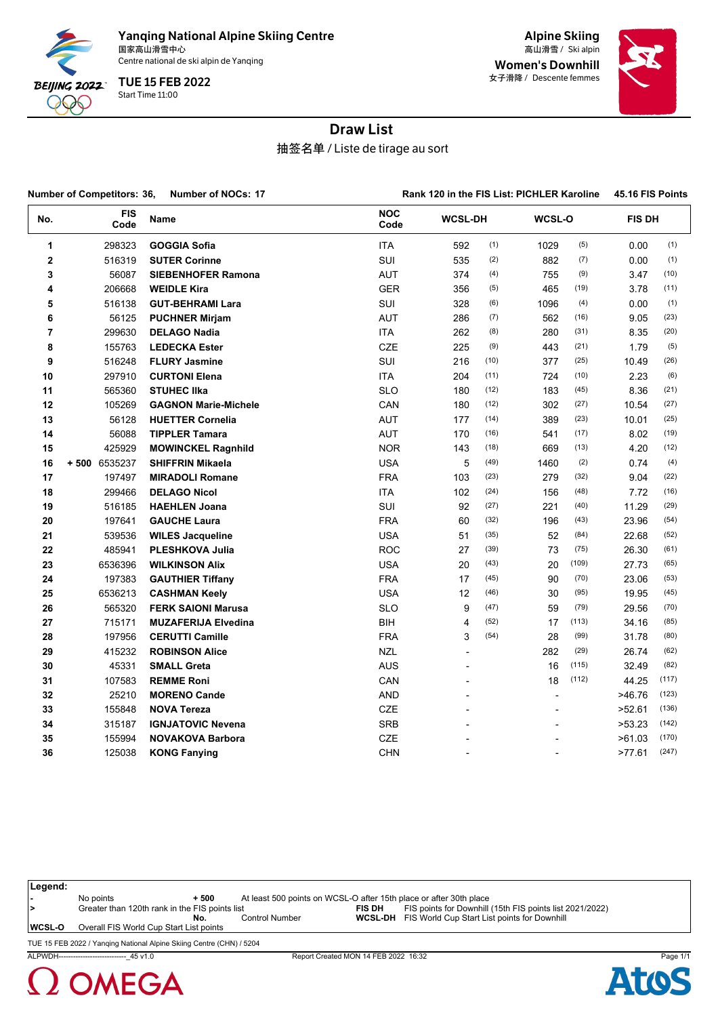

Yanqing National Alpine Skiing Centre<br><sub>国家高山滑雪中心</sub> 国家高山滑雪中心 Ski alpin 高山滑雪 /

Centre national de ski alpin de Yanqing

Start Time 11:00 TUE 15 FEB 2022

Alpine Skiing Women's Downhill 女子滑降 / Descente femmes



# Draw List

抽签名单 / Liste de tirage au sort

|             | <b>Number of Competitors: 36,</b> | <b>Number of NOCs: 17</b>   |                    |                          |      |                          | Rank 120 in the FIS List: PICHLER Karoline |               |       |  |  |
|-------------|-----------------------------------|-----------------------------|--------------------|--------------------------|------|--------------------------|--------------------------------------------|---------------|-------|--|--|
| No.         | <b>FIS</b><br>Code                | Name                        | <b>NOC</b><br>Code | <b>WCSL-DH</b>           |      | WCSL-O                   |                                            | <b>FIS DH</b> |       |  |  |
| 1           | 298323                            | <b>GOGGIA Sofia</b>         | ITA                | 592                      | (1)  | 1029                     | (5)                                        | 0.00          | (1)   |  |  |
| $\mathbf 2$ | 516319                            | <b>SUTER Corinne</b>        | SUI                | 535                      | (2)  | 882                      | (7)                                        | 0.00          | (1)   |  |  |
| 3           | 56087                             | <b>SIEBENHOFER Ramona</b>   | <b>AUT</b>         | 374                      | (4)  | 755                      | (9)                                        | 3.47          | (10)  |  |  |
| 4           | 206668                            | <b>WEIDLE Kira</b>          | <b>GER</b>         | 356                      | (5)  | 465                      | (19)                                       | 3.78          | (11)  |  |  |
| 5           | 516138                            | <b>GUT-BEHRAMI Lara</b>     | <b>SUI</b>         | 328                      | (6)  | 1096                     | (4)                                        | 0.00          | (1)   |  |  |
| 6           | 56125                             | <b>PUCHNER Mirjam</b>       | <b>AUT</b>         | 286                      | (7)  | 562                      | (16)                                       | 9.05          | (23)  |  |  |
| 7           | 299630                            | <b>DELAGO Nadia</b>         | <b>ITA</b>         | 262                      | (8)  | 280                      | (31)                                       | 8.35          | (20)  |  |  |
| 8           | 155763                            | <b>LEDECKA Ester</b>        | CZE                | 225                      | (9)  | 443                      | (21)                                       | 1.79          | (5)   |  |  |
| 9           | 516248                            | <b>FLURY Jasmine</b>        | SUI                | 216                      | (10) | 377                      | (25)                                       | 10.49         | (26)  |  |  |
| 10          | 297910                            | <b>CURTONI Elena</b>        | <b>ITA</b>         | 204                      | (11) | 724                      | (10)                                       | 2.23          | (6)   |  |  |
| 11          | 565360                            | <b>STUHEC IIka</b>          | <b>SLO</b>         | 180                      | (12) | 183                      | (45)                                       | 8.36          | (21)  |  |  |
| 12          | 105269                            | <b>GAGNON Marie-Michele</b> | CAN                | 180                      | (12) | 302                      | (27)                                       | 10.54         | (27)  |  |  |
| 13          | 56128                             | <b>HUETTER Cornelia</b>     | <b>AUT</b>         | 177                      | (14) | 389                      | (23)                                       | 10.01         | (25)  |  |  |
| 14          | 56088                             | <b>TIPPLER Tamara</b>       | <b>AUT</b>         | 170                      | (16) | 541                      | (17)                                       | 8.02          | (19)  |  |  |
| 15          | 425929                            | <b>MOWINCKEL Ragnhild</b>   | <b>NOR</b>         | 143                      | (18) | 669                      | (13)                                       | 4.20          | (12)  |  |  |
| 16          | +500 6535237                      | <b>SHIFFRIN Mikaela</b>     | <b>USA</b>         | 5                        | (49) | 1460                     | (2)                                        | 0.74          | (4)   |  |  |
| 17          | 197497                            | <b>MIRADOLI Romane</b>      | <b>FRA</b>         | 103                      | (23) | 279                      | (32)                                       | 9.04          | (22)  |  |  |
| 18          | 299466                            | <b>DELAGO Nicol</b>         | ITA                | 102                      | (24) | 156                      | (48)                                       | 7.72          | (16)  |  |  |
| 19          | 516185                            | <b>HAEHLEN Joana</b>        | <b>SUI</b>         | 92                       | (27) | 221                      | (40)                                       | 11.29         | (29)  |  |  |
| 20          | 197641                            | <b>GAUCHE Laura</b>         | <b>FRA</b>         | 60                       | (32) | 196                      | (43)                                       | 23.96         | (54)  |  |  |
| 21          | 539536                            | <b>WILES Jacqueline</b>     | <b>USA</b>         | 51                       | (35) | 52                       | (84)                                       | 22.68         | (52)  |  |  |
| 22          | 485941                            | <b>PLESHKOVA Julia</b>      | <b>ROC</b>         | 27                       | (39) | 73                       | (75)                                       | 26.30         | (61)  |  |  |
| 23          | 6536396                           | <b>WILKINSON Alix</b>       | <b>USA</b>         | 20                       | (43) | 20                       | (109)                                      | 27.73         | (65)  |  |  |
| 24          | 197383                            | <b>GAUTHIER Tiffany</b>     | <b>FRA</b>         | 17                       | (45) | 90                       | (70)                                       | 23.06         | (53)  |  |  |
| 25          | 6536213                           | <b>CASHMAN Keely</b>        | <b>USA</b>         | 12                       | (46) | 30                       | (95)                                       | 19.95         | (45)  |  |  |
| 26          | 565320                            | <b>FERK SAIONI Marusa</b>   | <b>SLO</b>         | 9                        | (47) | 59                       | (79)                                       | 29.56         | (70)  |  |  |
| 27          | 715171                            | <b>MUZAFERIJA Elvedina</b>  | <b>BIH</b>         | 4                        | (52) | 17                       | (113)                                      | 34.16         | (85)  |  |  |
| 28          | 197956                            | <b>CERUTTI Camille</b>      | <b>FRA</b>         | 3                        | (54) | 28                       | (99)                                       | 31.78         | (80)  |  |  |
| 29          | 415232                            | <b>ROBINSON Alice</b>       | <b>NZL</b>         | ÷,                       |      | 282                      | (29)                                       | 26.74         | (62)  |  |  |
| 30          | 45331                             | <b>SMALL Greta</b>          | <b>AUS</b>         | $\overline{a}$           |      | 16                       | (115)                                      | 32.49         | (82)  |  |  |
| 31          | 107583                            | <b>REMME Roni</b>           | CAN                | $\overline{\phantom{a}}$ |      | 18                       | (112)                                      | 44.25         | (117) |  |  |
| 32          | 25210                             | <b>MORENO Cande</b>         | AND                | $\overline{a}$           |      | $\overline{\phantom{a}}$ |                                            | >46.76        | (123) |  |  |
| 33          | 155848                            | <b>NOVA Tereza</b>          | <b>CZE</b>         | ÷,                       |      |                          |                                            | >52.61        | (136) |  |  |
| 34          | 315187                            | <b>IGNJATOVIC Nevena</b>    | <b>SRB</b>         |                          |      |                          |                                            | >53.23        | (142) |  |  |
| 35          | 155994                            | <b>NOVAKOVA Barbora</b>     | CZE                |                          |      |                          |                                            | >61.03        | (170) |  |  |
| 36          | 125038                            | <b>KONG Fanying</b>         | <b>CHN</b>         |                          |      | $\overline{a}$           |                                            | >77.61        | (247) |  |  |

| Legend: |                                                                      |        |                                                                    |               |                                                             |
|---------|----------------------------------------------------------------------|--------|--------------------------------------------------------------------|---------------|-------------------------------------------------------------|
|         | No points                                                            | $+500$ | At least 500 points on WCSL-O after 15th place or after 30th place |               |                                                             |
| 1>      | Greater than 120th rank in the FIS points list                       |        |                                                                    | <b>FIS DH</b> | FIS points for Downhill (15th FIS points list 2021/2022)    |
|         |                                                                      | No.    | <b>Control Number</b>                                              |               | <b>WCSL-DH</b> FIS World Cup Start List points for Downhill |
| WCSL-O  | Overall FIS World Cup Start List points                              |        |                                                                    |               |                                                             |
|         | THE 15 EEB 2022 / Vanging National Alpine Skiing Centre (CHN) / 5204 |        |                                                                    |               |                                                             |

TUE 15 FEB 2022 / Yanqing National Alpine Skiing Centre (CHN) / 5204



ALPWDH----------------------------\_45 v1.0 Report Created MON 14 FEB 2022 16:32 Page 1/1

At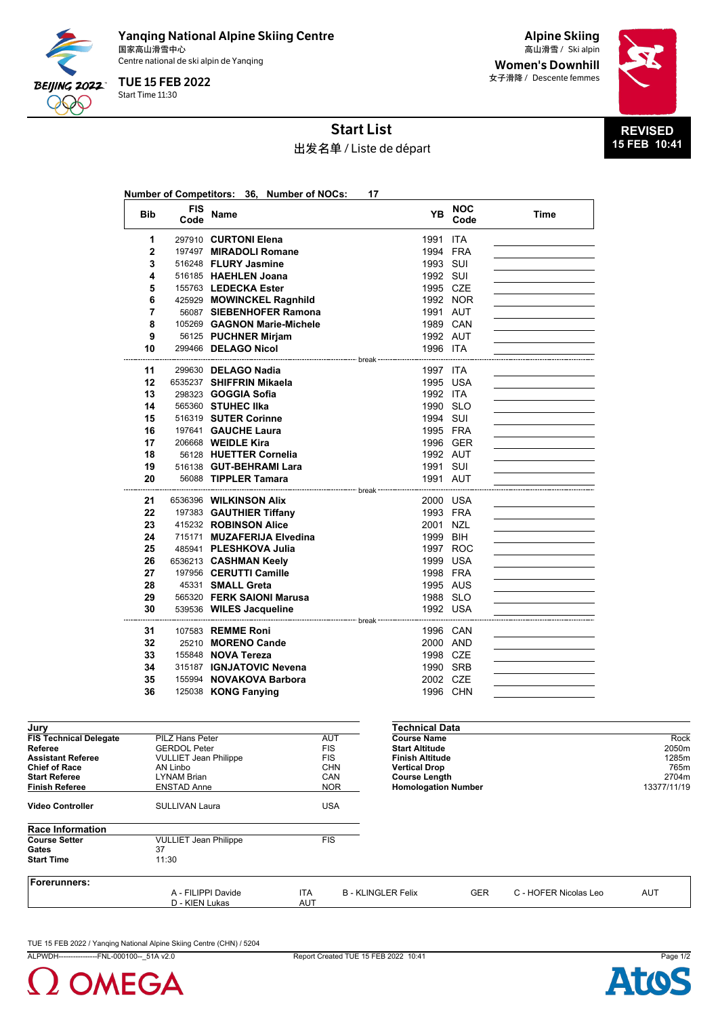

Yanqing National Alpine Skiing Centre<br><sub>国家高山滑雪中心</sub> 国家高山滑雪中心 Ski alpin 高山滑雪 / Centre national de ski alpin de Yanqing

Start Time 11:30 TUE 15 FEB 2022

Alpine Skiing Women's Downhill 女子滑降 / Descente femmes



# Start List

# 出发名单 / Liste de départ

|                |                    | Number of Competitors: 36, Number of NOCs:      | 17                                               |                      |      |
|----------------|--------------------|-------------------------------------------------|--------------------------------------------------|----------------------|------|
| <b>Bib</b>     | <b>FIS</b><br>Code | <b>Name</b>                                     | <b>YB</b>                                        | <b>NOC</b><br>Code   | Time |
| 1              |                    | 297910 CURTONI Elena                            | 1991                                             | ITA                  |      |
| $\overline{2}$ |                    | 197497 MIRADOLI Romane                          |                                                  | 1994 FRA             |      |
| 3              |                    | 516248 FLURY Jasmine                            | 1993 SUI                                         |                      |      |
| 4              |                    | 516185 HAEHLEN Joana                            | 1992 SUI                                         |                      |      |
| 5              |                    | 155763 LEDECKA Ester                            | 1995 CZE                                         |                      |      |
| 6              |                    | 425929 MOWINCKEL Ragnhild                       |                                                  | 1992 NOR             |      |
| 7              |                    | 56087 SIEBENHOFER Ramona                        |                                                  | 1991 AUT             |      |
| 8              |                    | 105269 GAGNON Marie-Michele                     |                                                  | 1989 CAN             |      |
| 9              |                    | 56125 PUCHNER Mirjam                            |                                                  | 1992 AUT             |      |
| 10             |                    | 299466 DELAGO Nicol                             | 1996 ITA                                         |                      |      |
| 11             |                    | 299630 DELAGO Nadia                             | ------------------------------------<br>1997 ITA |                      |      |
| 12             |                    | 6535237 SHIFFRIN Mikaela                        |                                                  | 1995 USA             |      |
| 13             |                    | 298323 <b>GOGGIA Sofia</b>                      | 1992 ITA                                         |                      |      |
| 14             |                    | 565360 STUHEC IIka                              | 1990 SLO                                         |                      |      |
| 15             |                    | 516319 SUTER Corinne                            | 1994 SUI                                         |                      |      |
| 16             |                    | 197641 GAUCHE Laura                             |                                                  | 1995 FRA             |      |
| 17             |                    | 206668 <b>WEIDLE Kira</b>                       |                                                  | 1996 GER             |      |
| 18             |                    | 56128 HUETTER Cornelia                          |                                                  | 1992 AUT             |      |
| 19             |                    | 516138 GUT-BEHRAMI Lara                         | 1991 SUI                                         |                      |      |
| 20             |                    | 56088 TIPPLER Tamara                            | 1991 AUT                                         |                      |      |
|                |                    |                                                 |                                                  |                      |      |
| 21             |                    | 6536396 WILKINSON Alix                          |                                                  | 2000 USA             |      |
| 22             |                    | 197383 GAUTHIER Tiffany                         |                                                  | 1993 FRA             |      |
| 23             |                    | 415232 ROBINSON Alice                           | 2001 NZL                                         |                      |      |
| 24             |                    | 715171 MUZAFERIJA Elvedina                      | 1999 BIH                                         |                      |      |
| 25             |                    | 485941 PLESHKOVA Julia                          |                                                  | 1997 ROC             |      |
| 26<br>27       |                    | 6536213 CASHMAN Keelv<br>197956 CERUTTI Camille |                                                  | 1999 USA             |      |
| 28             |                    | 45331 SMALL Greta                               |                                                  | 1998 FRA<br>1995 AUS |      |
| 29             |                    | 565320 FERK SAIONI Marusa                       |                                                  | 1988 SLO             |      |
| 30             |                    | 539536 WILES Jacqueline                         |                                                  | 1992 USA             |      |
|                |                    |                                                 |                                                  |                      |      |
| 31             |                    | 107583 REMME Roni                               |                                                  | 1996 CAN             |      |
| 32             |                    | 25210 MORENO Cande                              |                                                  | 2000 AND             |      |
| 33             |                    | 155848 NOVA Tereza                              | 1998 CZE                                         |                      |      |
| 34             |                    | 315187 IGNJATOVIC Nevena                        |                                                  | 1990 SRB             |      |
| 35             |                    | 155994 NOVAKOVA Barbora                         | 2002 CZE                                         |                      |      |
| 36             |                    | 125038 KONG Fanying                             |                                                  | 1996 CHN             |      |
|                |                    |                                                 |                                                  |                      |      |

| Jury                          |                              |            | Technical Data             |            |                       |             |
|-------------------------------|------------------------------|------------|----------------------------|------------|-----------------------|-------------|
| <b>FIS Technical Delegate</b> | PILZ Hans Peter              | AUT        | <b>Course Name</b>         |            |                       | Rock        |
| Referee                       | <b>GERDOL Peter</b>          | <b>FIS</b> | <b>Start Altitude</b>      |            |                       | 2050m       |
| <b>Assistant Referee</b>      | <b>VULLIET Jean Philippe</b> | <b>FIS</b> | <b>Finish Altitude</b>     |            |                       | 1285m       |
| <b>Chief of Race</b>          | AN Linbo                     | <b>CHN</b> | <b>Vertical Drop</b>       |            |                       | 765m        |
| <b>Start Referee</b>          | <b>LYNAM Brian</b>           | CAN        | <b>Course Length</b>       |            |                       | 2704m       |
| <b>Finish Referee</b>         | <b>ENSTAD Anne</b>           | <b>NOR</b> | <b>Homologation Number</b> |            |                       | 13377/11/19 |
| <b>Video Controller</b>       | <b>SULLIVAN Laura</b>        | <b>USA</b> |                            |            |                       |             |
| <b>Race Information</b>       |                              |            |                            |            |                       |             |
| <b>Course Setter</b>          | <b>VULLIET Jean Philippe</b> | <b>FIS</b> |                            |            |                       |             |
| Gates                         | 37                           |            |                            |            |                       |             |
| <b>Start Time</b>             | 11:30                        |            |                            |            |                       |             |
| Forerunners:                  |                              |            |                            |            |                       |             |
|                               | A - FILIPPI Davide           | ITA.       | <b>B - KLINGLER Felix</b>  | <b>GER</b> | C - HOFER Nicolas Leo | <b>AUT</b>  |
|                               | D - KIEN Lukas               | AUT        |                            |            |                       |             |
|                               |                              |            |                            |            |                       |             |

TUE 15 FEB 2022 / Yanqing National Alpine Skiing Centre (CHN) / 5204



ALPWDH----------------FNL-000100--\_51A v2.0 Report Created TUE 15 FEB 2022 10:41 Page 1/2

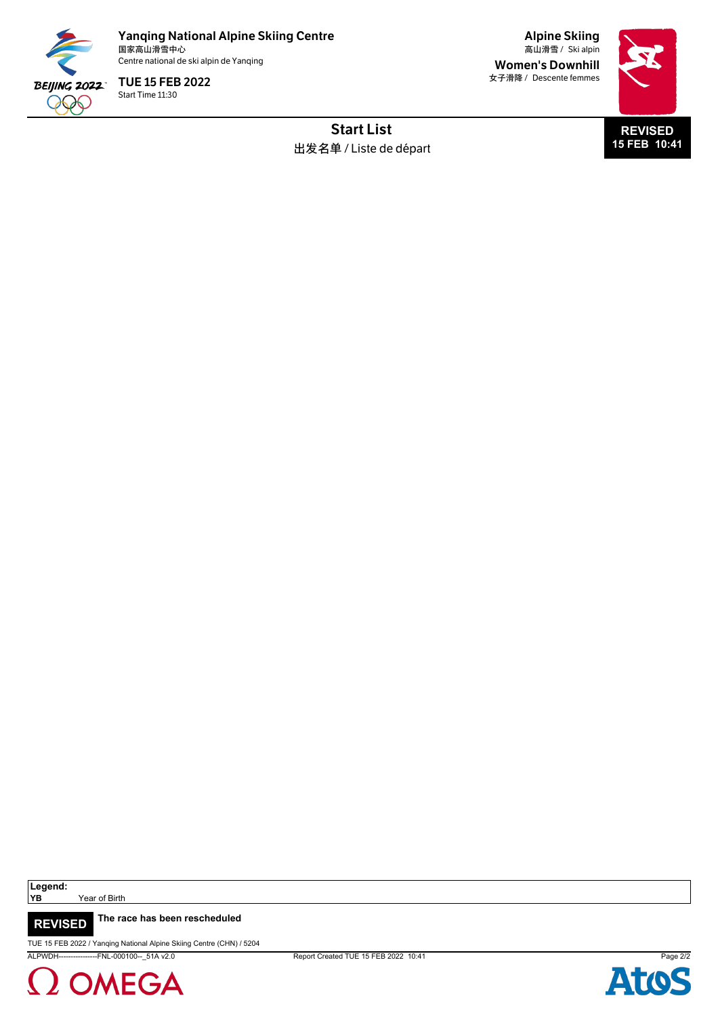

Yanqing National Alpine Skiing Centre<br><sub>国家高山滑雪中心</sub> 国家高山滑雪中心 Ski alpin 高山滑雪 / Centre national de ski alpin de Yanqing

Start Time 11:30 TUE 15 FEB 2022

Alpine Skiing Women's Downhill 女子滑降 / Descente femmes



Start List 出发名单 / Liste de départ

Legend:<br>YB

Year of Birth

**The race has been rescheduled REVISED**

TUE 15 FEB 2022 / Yanqing National Alpine Skiing Centre (CHN) / 5204

2 OMEGA

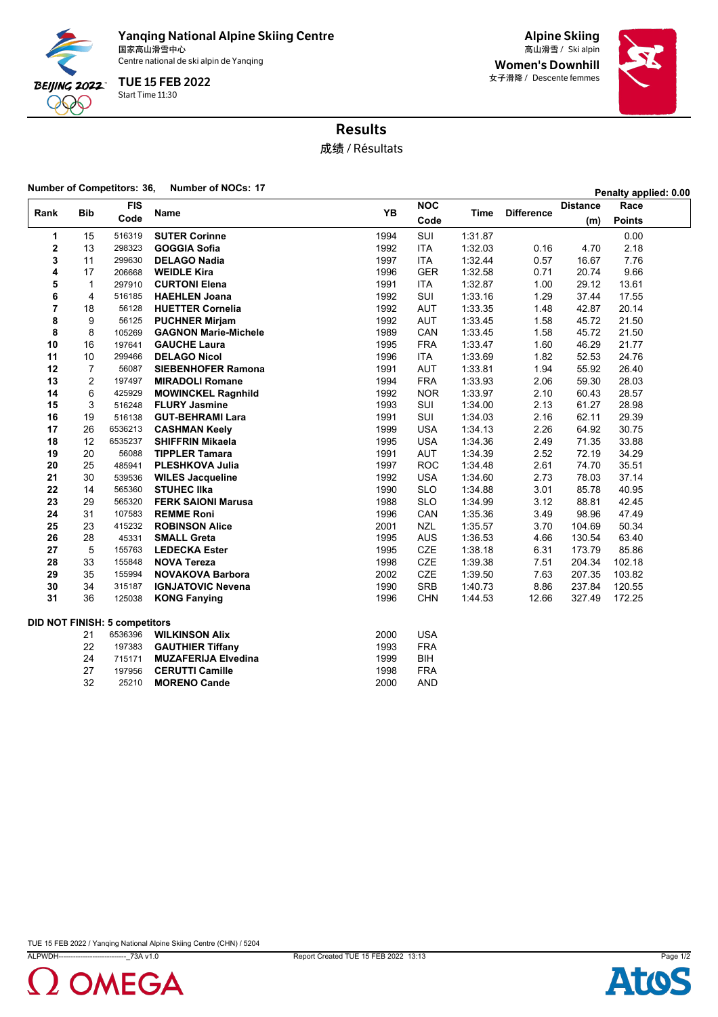

Yanqing National Alpine Skiing Centre<br><sub>国家高山滑雪中心</sub> 国家高山滑雪中心 Ski alpin 高山滑雪 /

Centre national de ski alpin de Yanqing

Start Time 11:30 TUE 15 FEB 2022

Alpine Skiing Women's Downhill 女子滑降 / Descente femmes



# Results

成绩 / Résultats

#### **Number of Competitors: 36, Number of NOCs: <sup>17</sup> Penalty applied: 0.00**

| <b>Bib</b><br>Rank |                | <b>FIS</b>                           |                             | <b>YB</b> | <b>NOC</b> |         | <b>Difference</b> | <b>Distance</b> | Race          |  |
|--------------------|----------------|--------------------------------------|-----------------------------|-----------|------------|---------|-------------------|-----------------|---------------|--|
|                    |                | Code                                 | <b>Name</b>                 |           | Code       | Time    |                   | (m)             | <b>Points</b> |  |
| 1                  | 15             | 516319                               | <b>SUTER Corinne</b>        | 1994      | SUI        | 1:31.87 |                   |                 | 0.00          |  |
| $\overline{2}$     | 13             | 298323                               | <b>GOGGIA Sofia</b>         | 1992      | <b>ITA</b> | 1:32.03 | 0.16              | 4.70            | 2.18          |  |
| 3                  | 11             | 299630                               | <b>DELAGO Nadia</b>         | 1997      | <b>ITA</b> | 1:32.44 | 0.57              | 16.67           | 7.76          |  |
| 4                  | 17             | 206668                               | <b>WEIDLE Kira</b>          | 1996      | <b>GER</b> | 1:32.58 | 0.71              | 20.74           | 9.66          |  |
| 5                  | $\mathbf{1}$   | 297910                               | <b>CURTONI Elena</b>        | 1991      | <b>ITA</b> | 1:32.87 | 1.00              | 29.12           | 13.61         |  |
| 6                  | 4              | 516185                               | <b>HAEHLEN Joana</b>        | 1992      | SUI        | 1:33.16 | 1.29              | 37.44           | 17.55         |  |
| $\overline{7}$     | 18             | 56128                                | <b>HUETTER Cornelia</b>     | 1992      | <b>AUT</b> | 1:33.35 | 1.48              | 42.87           | 20.14         |  |
| 8                  | 9              | 56125                                | <b>PUCHNER Mirjam</b>       | 1992      | <b>AUT</b> | 1:33.45 | 1.58              | 45.72           | 21.50         |  |
| 8                  | 8              | 105269                               | <b>GAGNON Marie-Michele</b> | 1989      | CAN        | 1:33.45 | 1.58              | 45.72           | 21.50         |  |
| 10                 | 16             | 197641                               | <b>GAUCHE Laura</b>         | 1995      | <b>FRA</b> | 1:33.47 | 1.60              | 46.29           | 21.77         |  |
| 11                 | 10             | 299466                               | <b>DELAGO Nicol</b>         | 1996      | <b>ITA</b> | 1:33.69 | 1.82              | 52.53           | 24.76         |  |
| 12                 | $\overline{7}$ | 56087                                | <b>SIEBENHOFER Ramona</b>   | 1991      | <b>AUT</b> | 1:33.81 | 1.94              | 55.92           | 26.40         |  |
| 13                 | 2              | 197497                               | <b>MIRADOLI Romane</b>      | 1994      | <b>FRA</b> | 1:33.93 | 2.06              | 59.30           | 28.03         |  |
| 14                 | 6              | 425929                               | <b>MOWINCKEL Ragnhild</b>   | 1992      | <b>NOR</b> | 1:33.97 | 2.10              | 60.43           | 28.57         |  |
| 15                 | 3              | 516248                               | <b>FLURY Jasmine</b>        | 1993      | SUI        | 1:34.00 | 2.13              | 61.27           | 28.98         |  |
| 16                 | 19             | 516138                               | <b>GUT-BEHRAMI Lara</b>     | 1991      | SUI        | 1.34.03 | 2.16              | 62.11           | 29.39         |  |
| 17                 | 26             | 6536213                              | <b>CASHMAN Keely</b>        | 1999      | <b>USA</b> | 1:34.13 | 2.26              | 64.92           | 30.75         |  |
| 18                 | 12             | 6535237                              | <b>SHIFFRIN Mikaela</b>     | 1995      | <b>USA</b> | 1:34.36 | 2.49              | 71.35           | 33.88         |  |
| 19                 | 20             | 56088                                | <b>TIPPLER Tamara</b>       | 1991      | <b>AUT</b> | 1:34.39 | 2.52              | 72.19           | 34.29         |  |
| 20                 | 25             | 485941                               | PLESHKOVA Julia             | 1997      | <b>ROC</b> | 1:34.48 | 2.61              | 74.70           | 35.51         |  |
| 21                 | 30             | 539536                               | <b>WILES Jacqueline</b>     | 1992      | <b>USA</b> | 1:34.60 | 2.73              | 78.03           | 37.14         |  |
| 22                 | 14             | 565360                               | <b>STUHEC IIka</b>          | 1990      | <b>SLO</b> | 1:34.88 | 3.01              | 85.78           | 40.95         |  |
| 23                 | 29             | 565320                               | <b>FERK SAIONI Marusa</b>   | 1988      | <b>SLO</b> | 1:34.99 | 3.12              | 88.81           | 42.45         |  |
| 24                 | 31             | 107583                               | <b>REMME Roni</b>           | 1996      | CAN        | 1:35.36 | 3.49              | 98.96           | 47.49         |  |
| 25                 | 23             | 415232                               | <b>ROBINSON Alice</b>       | 2001      | <b>NZL</b> | 1:35.57 | 3.70              | 104.69          | 50.34         |  |
| 26                 | 28             | 45331                                | <b>SMALL Greta</b>          | 1995      | <b>AUS</b> | 1:36.53 | 4.66              | 130.54          | 63.40         |  |
| 27                 | 5              | 155763                               | <b>LEDECKA Ester</b>        | 1995      | <b>CZE</b> | 1:38.18 | 6.31              | 173.79          | 85.86         |  |
| 28                 | 33             | 155848                               | <b>NOVA Tereza</b>          | 1998      | <b>CZE</b> | 1:39.38 | 7.51              | 204.34          | 102.18        |  |
| 29                 | 35             | 155994                               | <b>NOVAKOVA Barbora</b>     | 2002      | <b>CZE</b> | 1:39.50 | 7.63              | 207.35          | 103.82        |  |
| 30                 | 34             | 315187                               | <b>IGNJATOVIC Nevena</b>    | 1990      | <b>SRB</b> | 1:40.73 | 8.86              | 237.84          | 120.55        |  |
| 31                 | 36             | 125038                               | <b>KONG Fanying</b>         | 1996      | <b>CHN</b> | 1.44.53 | 12.66             | 327.49          | 172.25        |  |
|                    |                | <b>DID NOT FINISH: 5 competitors</b> |                             |           |            |         |                   |                 |               |  |
|                    | 21             | 6536396                              | <b>WILKINSON Alix</b>       | 2000      | <b>USA</b> |         |                   |                 |               |  |
|                    | 22             | 197383                               | <b>GAUTHIER Tiffany</b>     | 1993      | <b>FRA</b> |         |                   |                 |               |  |
|                    | 24             | 715171                               | <b>MUZAFERIJA Elvedina</b>  | 1999      | BIH        |         |                   |                 |               |  |
|                    | 27             | 197956                               | <b>CERUTTI Camille</b>      | 1998      | <b>FRA</b> |         |                   |                 |               |  |
|                    | 32             | 25210                                | <b>MORENO Cande</b>         | 2000      | <b>AND</b> |         |                   |                 |               |  |



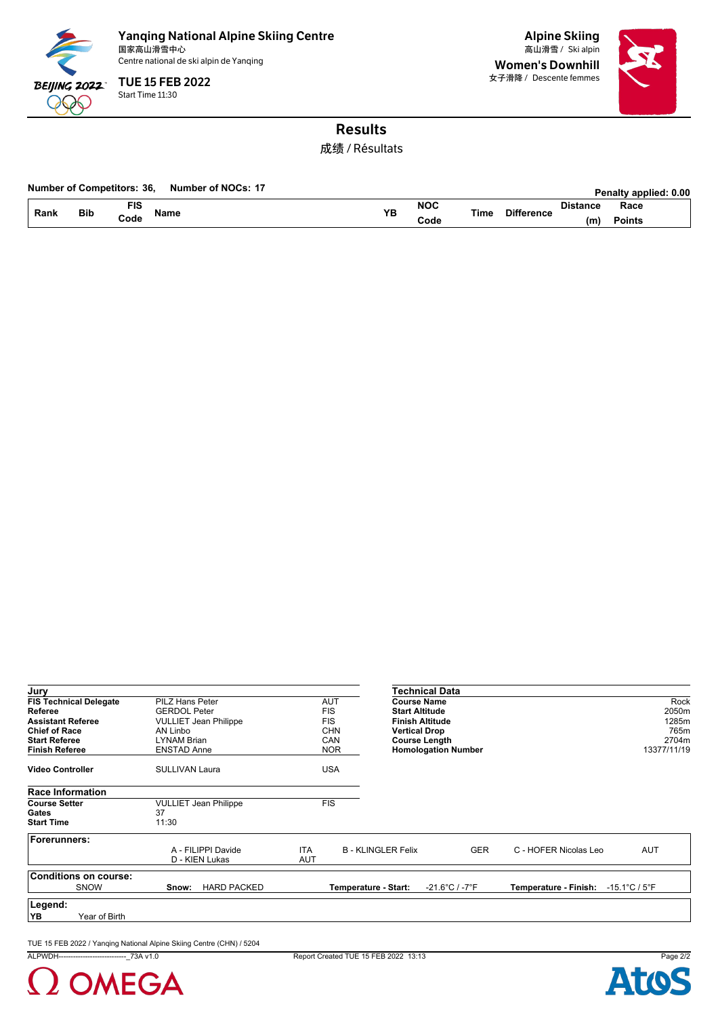

Yanqing National Alpine Skiing Centre<br><sub>国家高山滑雪中心</sub> 国家高山滑雪中心 Ski alpin 高山滑雪 / Centre national de ski alpin de Yanqing

Start Time 11:30 TUE 15 FEB 2022

Alpine Skiing Women's Downhill 女子滑降 / Descente femmes



# Results

成绩 / Résultats

#### **Number of Competitors: 36,** Number of NOCs: 17

|      |            |          |              |     |            |      |      |      | <b>Γ σπαιιν αυυπσ</b> α. υ.νν |  |
|------|------------|----------|--------------|-----|------------|------|------|------|-------------------------------|--|
| Rank | <b>Bib</b> | ΕЮ<br>10 | <b>اRame</b> | VE  | <b>NOC</b> | Tim⊾ |      | ınc∈ | Race                          |  |
|      |            | Code     |              | . . | ;ode       |      | енсе | (M   | Points                        |  |

| Jury                          |               |                       |                              |            |            |                           | Technical Data                     |                       |                                   |
|-------------------------------|---------------|-----------------------|------------------------------|------------|------------|---------------------------|------------------------------------|-----------------------|-----------------------------------|
| <b>FIS Technical Delegate</b> |               | PILZ Hans Peter       |                              |            | <b>AUT</b> | <b>Course Name</b>        |                                    |                       | Rock                              |
| Referee                       |               | <b>GERDOL Peter</b>   |                              |            | <b>FIS</b> | <b>Start Altitude</b>     |                                    |                       | 2050m                             |
| <b>Assistant Referee</b>      |               |                       | <b>VULLIET Jean Philippe</b> |            | <b>FIS</b> | <b>Finish Altitude</b>    |                                    |                       | 1285m                             |
| <b>Chief of Race</b>          |               | AN Linbo              |                              |            | <b>CHN</b> | <b>Vertical Drop</b>      |                                    |                       | 765m                              |
| <b>Start Referee</b>          |               | LYNAM Brian           |                              |            | CAN        | <b>Course Length</b>      |                                    |                       | 2704m                             |
| <b>Finish Referee</b>         |               | <b>ENSTAD Anne</b>    |                              |            | <b>NOR</b> |                           | <b>Homologation Number</b>         |                       | 13377/11/19                       |
| <b>Video Controller</b>       |               | <b>SULLIVAN Laura</b> |                              |            | <b>USA</b> |                           |                                    |                       |                                   |
| <b>Race Information</b>       |               |                       |                              |            |            |                           |                                    |                       |                                   |
| <b>Course Setter</b>          |               |                       | <b>VULLIET Jean Philippe</b> |            | <b>FIS</b> |                           |                                    |                       |                                   |
| Gates                         |               | 37                    |                              |            |            |                           |                                    |                       |                                   |
| <b>Start Time</b>             |               | 11:30                 |                              |            |            |                           |                                    |                       |                                   |
| Forerunners:                  |               |                       |                              |            |            |                           |                                    |                       |                                   |
|                               |               |                       | A - FILIPPI Davide           | <b>ITA</b> |            | <b>B - KLINGLER Felix</b> | <b>GER</b>                         | C - HOFER Nicolas Leo | <b>AUT</b>                        |
|                               |               |                       | D - KIEN Lukas               | <b>AUT</b> |            |                           |                                    |                       |                                   |
| <b>Conditions on course:</b>  |               |                       |                              |            |            |                           |                                    |                       |                                   |
| <b>SNOW</b>                   |               | Snow:                 | <b>HARD PACKED</b>           |            |            | Temperature - Start:      | $-21.6^{\circ}$ C / $-7^{\circ}$ F | Temperature - Finish: | $-15.1^{\circ}$ C / $5^{\circ}$ F |
| Legend:                       |               |                       |                              |            |            |                           |                                    |                       |                                   |
| YB                            | Year of Birth |                       |                              |            |            |                           |                                    |                       |                                   |

TUE 15 FEB 2022 / Yanqing National Alpine Skiing Centre (CHN) / 5204

ALPWDH----------------------------\_73A v1.0 Report Created TUE 15 FEB 2022 13:13 Page 2/2

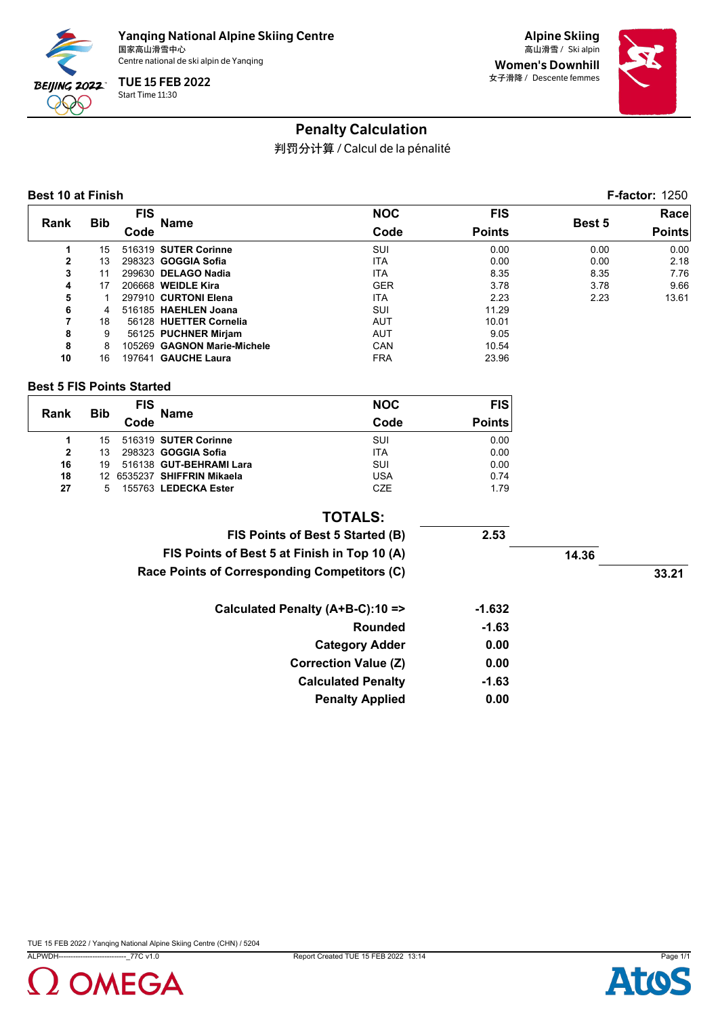

Alpine Skiing Women's Downhill 女子滑降 / Descente femmes



# Penalty Calculation

判罚分计算 / Calcul de la pénalité

#### **Best 10 at Finish F-factor:** 1250

|                |            | <b>FIS</b> |                             | <b>NOC</b> | <b>FIS</b>    |               | Race          |
|----------------|------------|------------|-----------------------------|------------|---------------|---------------|---------------|
| Rank           | <b>Bib</b> | Code       | Name                        | Code       | <b>Points</b> | <b>Best 5</b> | <b>Points</b> |
|                | 15         |            | 516319 SUTER Corinne        | SUI        | 0.00          | 0.00          | 0.00          |
| $\overline{2}$ | 13         |            | 298323 GOGGIA Sofia         | <b>ITA</b> | 0.00          | 0.00          | 2.18          |
| 3              | 11         |            | 299630 DELAGO Nadia         | <b>ITA</b> | 8.35          | 8.35          | 7.76          |
| 4              | 17         |            | 206668 WEIDLE Kira          | <b>GER</b> | 3.78          | 3.78          | 9.66          |
| 5              |            |            | 297910 CURTONI Elena        | <b>ITA</b> | 2.23          | 2.23          | 13.61         |
| 6              |            |            | 516185 HAEHLEN Joana        | SUI        | 11.29         |               |               |
| 7              | 18         |            | 56128 HUETTER Cornelia      | <b>AUT</b> | 10.01         |               |               |
| 8              | 9          |            | 56125 PUCHNER Mirjam        | <b>AUT</b> | 9.05          |               |               |
| 8              | 8          |            | 105269 GAGNON Marie-Michele | <b>CAN</b> | 10.54         |               |               |
| 10             | 16         |            | 197641 GAUCHE Laura         | <b>FRA</b> | 23.96         |               |               |

#### **Best 5 FIS Points Started**

| Rank           |            | <b>FIS</b> | <b>Name</b>                 | <b>NOC</b> | <b>FIS</b>    |
|----------------|------------|------------|-----------------------------|------------|---------------|
|                | <b>Bib</b> | Code       |                             | Code       | <b>Points</b> |
|                | 15         |            | 516319 SUTER Corinne        | SUI        | 0.00          |
| $\overline{2}$ | 13         |            | 298323 <b>GOGGIA Sofia</b>  | <b>ITA</b> | 0.00          |
| 16             | 19         |            | 516138 GUT-BEHRAMI Lara     | SUI        | 0.00          |
| 18             |            |            | 12 6535237 SHIFFRIN Mikaela | <b>USA</b> | 0.74          |
| 27             | 5.         |            | 155763 LEDECKA Ester        | <b>CZE</b> | 1.79          |

#### **TOTALS:**

| FIS Points of Best 5 Started (B)             | 2.53     |       |       |
|----------------------------------------------|----------|-------|-------|
| FIS Points of Best 5 at Finish in Top 10 (A) |          | 14.36 |       |
| Race Points of Corresponding Competitors (C) |          |       | 33.21 |
| Calculated Penalty (A+B-C):10 =>             | $-1.632$ |       |       |
| <b>Rounded</b>                               | $-1.63$  |       |       |
| <b>Category Adder</b>                        | 0.00     |       |       |
| <b>Correction Value (Z)</b>                  | 0.00     |       |       |
| <b>Calculated Penalty</b>                    | $-1.63$  |       |       |
| <b>Penalty Applied</b>                       | 0.00     |       |       |

Ato

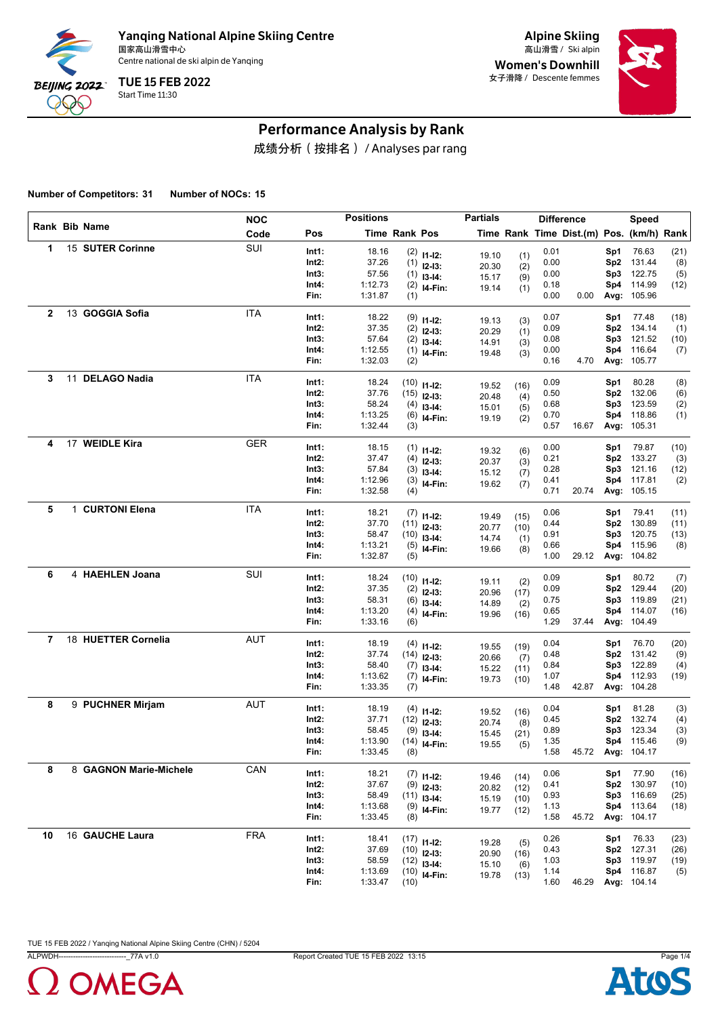

Alpine Skiing Women's Downhill 女子滑降 / Descente femmes



### Performance Analysis by Rank

成绩分析(按排名) / Analyses par rang

**Number of Competitors: 31 Number of NOCs: 15**

|              |                        | <b>NOC</b> |          | <b>Positions</b> |                      |                | <b>Partials</b> |      |      | <b>Difference</b>                        |                 | <b>Speed</b>      |      |
|--------------|------------------------|------------|----------|------------------|----------------------|----------------|-----------------|------|------|------------------------------------------|-----------------|-------------------|------|
|              | Rank Bib Name          | Code       | Pos      |                  | <b>Time Rank Pos</b> |                |                 |      |      | Time Rank Time Dist.(m) Pos. (km/h) Rank |                 |                   |      |
| $\mathbf 1$  | 15 SUTER Corinne       | SUI        | Int1:    | 18.16            |                      | $(2)$ 11-12:   | 19.10           | (1)  | 0.01 |                                          | Sp1             | 76.63             | (21) |
|              |                        |            | Int2:    | 37.26            | (1)                  | $12-13:$       | 20.30           | (2)  | 0.00 |                                          | Sp2             | 131.44            | (8)  |
|              |                        |            | Int3:    | 57.56            | (1)                  | $13-14:$       | 15.17           | (9)  | 0.00 |                                          | Sp3             | 122.75            | (5)  |
|              |                        |            | Int4:    | 1:12.73          |                      | $(2)$ 14-Fin:  | 19.14           | (1)  | 0.18 |                                          | Sp4             | 114.99            | (12) |
|              |                        |            | Fin:     | 1:31.87          | (1)                  |                |                 |      | 0.00 | 0.00                                     |                 | Avg: 105.96       |      |
| $\mathbf{2}$ | 13 GOGGIA Sofia        | <b>ITA</b> | Int1:    | 18.22            |                      | $(9)$ 11-12:   | 19.13           | (3)  | 0.07 |                                          | Sp1             | 77.48             | (18) |
|              |                        |            | Int2:    | 37.35            | (2)                  | $12-13:$       | 20.29           | (1)  | 0.09 |                                          | Sp2             | 134.14            | (1)  |
|              |                        |            | Int3:    | 57.64            | (2)                  | $13-14:$       | 14.91           | (3)  | 0.08 |                                          | Sp3             | 121.52            | (10) |
|              |                        |            | Int4:    | 1:12.55          |                      | $(1)$ 14-Fin:  | 19.48           | (3)  | 0.00 |                                          | Sp4             | 116.64            | (7)  |
|              |                        |            | Fin:     | 1:32.03          | (2)                  |                |                 |      | 0.16 | 4.70                                     |                 | Avg: 105.77       |      |
| 3            | 11 DELAGO Nadia        | <b>ITA</b> | Int1:    | 18.24            |                      | $(10)$ 11-12:  | 19.52           | (16) | 0.09 |                                          | Sp1             | 80.28             | (8)  |
|              |                        |            | Int2:    | 37.76            | (15)                 | $12-13:$       | 20.48           | (4)  | 0.50 |                                          | Sp2             | 132.06            | (6)  |
|              |                        |            | Int3:    | 58.24            | (4)                  | $13-14:$       | 15.01           | (5)  | 0.68 |                                          | Sp3             | 123.59            | (2)  |
|              |                        |            | Int4:    | 1:13.25          |                      | $(6)$ 14-Fin:  | 19.19           | (2)  | 0.70 |                                          | Sp4             | 118.86            | (1)  |
|              |                        |            | Fin:     | 1:32.44          | (3)                  |                |                 |      | 0.57 | 16.67                                    |                 | Avg: 105.31       |      |
| 4            | 17 WEIDLE Kira         | <b>GER</b> | Int1:    | 18.15            |                      | $(1)$ 11-12:   | 19.32           | (6)  | 0.00 |                                          | Sp1             | 79.87             | (10) |
|              |                        |            | Int2:    | 37.47            | (4)                  | $12-13:$       | 20.37           | (3)  | 0.21 |                                          | Sp <sub>2</sub> | 133.27            | (3)  |
|              |                        |            | Int3:    | 57.84            | (3)                  | $13-14$ :      | 15.12           | (7)  | 0.28 |                                          | Sp3             | 121.16            | (12) |
|              |                        |            | Int4:    | 1:12.96          |                      | $(3)$ 14-Fin:  | 19.62           | (7)  | 0.41 |                                          | Sp4             | 117.81            | (2)  |
|              |                        |            | Fin:     | 1:32.58          | (4)                  |                |                 |      | 0.71 | 20.74                                    |                 | Avg: 105.15       |      |
| 5            | 1 CURTONI Elena        | <b>ITA</b> | Int1:    | 18.21            |                      | $(7)$ 11-12:   | 19.49           | (15) | 0.06 |                                          | Sp1             | 79.41             | (11) |
|              |                        |            | Int2:    | 37.70            | (11)                 | $12-13:$       | 20.77           | (10) | 0.44 |                                          | Sp2             | 130.89            | (11) |
|              |                        |            | Int3:    | 58.47            |                      | $(10)$ 13-14:  | 14.74           | (1)  | 0.91 |                                          | Sp3             | 120.75            | (13) |
|              |                        |            | Int4:    | 1:13.21          |                      | $(5)$ 14-Fin:  | 19.66           | (8)  | 0.66 |                                          | Sp4             | 115.96            | (8)  |
|              |                        |            | Fin:     | 1:32.87          | (5)                  |                |                 |      | 1.00 | 29.12                                    |                 | Avg: 104.82       |      |
| 6            | 4 HAEHLEN Joana        | SUI        | Int1:    | 18.24            |                      | $(10)$ 11-12:  | 19.11           | (2)  | 0.09 |                                          | Sp1             | 80.72             | (7)  |
|              |                        |            | Int2:    | 37.35            |                      | $(2)$ 12-13:   | 20.96           | (17) | 0.09 |                                          | Sp2             | 129.44            | (20) |
|              |                        |            | Int3:    | 58.31            | (6)                  | $13-14:$       | 14.89           | (2)  | 0.75 |                                          | Sp3             | 119.89            | (21) |
|              |                        |            | Int4:    | 1:13.20          |                      | $(4)$ 14-Fin:  | 19.96           | (16) | 0.65 |                                          | Sp4             | 114.07            | (16) |
|              |                        |            | Fin:     | 1:33.16          | (6)                  |                |                 |      | 1.29 | 37.44                                    |                 | Avg: 104.49       |      |
| 7            | 18 HUETTER Cornelia    | <b>AUT</b> | Int1:    | 18.19            |                      | $(4)$ 11-12:   | 19.55           | (19) | 0.04 |                                          | Sp1             | 76.70             | (20) |
|              |                        |            | $Int2$ : | 37.74            |                      | $(14)$ 12-13:  | 20.66           | (7)  | 0.48 |                                          | Sp <sub>2</sub> | 131.42            | (9)  |
|              |                        |            | Int3:    | 58.40            |                      | $(7)$ 13-14:   | 15.22           | (11) | 0.84 |                                          | Sp3             | 122.89            | (4)  |
|              |                        |            | Int4:    | 1:13.62          |                      | $(7)$ 14-Fin:  | 19.73           | (10) | 1.07 |                                          | Sp4             | 112.93            | (19) |
|              |                        |            | Fin:     | 1:33.35          | (7)                  |                |                 |      | 1.48 | 42.87                                    |                 | Avg: 104.28       |      |
| 8            | 9 PUCHNER Mirjam       | <b>AUT</b> | Int1:    | 18.19            |                      | $(4)$ 11-12:   | 19.52           | (16) | 0.04 |                                          | Sp1             | 81.28             | (3)  |
|              |                        |            | $Int2$ : | 37.71            |                      | $(12)$ 12-13:  | 20.74           | (8)  | 0.45 |                                          | Sp2             | 132.74            | (4)  |
|              |                        |            | Int3:    | 58.45            |                      | $(9)$ 13-14:   | 15.45           | (21) | 0.89 |                                          | Sp3             | 123.34            | (3)  |
|              |                        |            | Int4:    | 1:13.90          |                      | $(14)$ 14-Fin: | 19.55           | (5)  | 1.35 |                                          |                 | Sp4 115.46        | (9)  |
|              |                        |            | Fin:     | 1:33.45          | (8)                  |                |                 |      | 1.58 |                                          |                 | 45.72 Avg: 104.17 |      |
| 8            | 8 GAGNON Marie-Michele | CAN        | Int1:    | 18.21            |                      | $(7)$ 11-12:   | 19.46           | (14) | 0.06 |                                          | Sp1             | 77.90             | (16) |
|              |                        |            | Int2:    | 37.67            |                      | $(9)$ 12-13:   | 20.82           | (12) | 0.41 |                                          | Sp2             | 130.97            | (10) |
|              |                        |            | Int3:    | 58.49            |                      | $(11)$ 13-14:  | 15.19           | (10) | 0.93 |                                          | Sp3             | 116.69            | (25) |
|              |                        |            | Int4:    | 1:13.68          |                      | $(9)$ 14-Fin:  | 19.77           | (12) | 1.13 |                                          |                 | Sp4 113.64        | (18) |
|              |                        |            | Fin:     | 1:33.45          | (8)                  |                |                 |      | 1.58 | 45.72                                    |                 | Avg: 104.17       |      |
| 10           | 16 GAUCHE Laura        | <b>FRA</b> | Int1:    | 18.41            |                      | $(17)$ 11-12:  | 19.28           | (5)  | 0.26 |                                          | Sp1             | 76.33             | (23) |
|              |                        |            | Int2:    | 37.69            |                      | $(10)$ 12-13:  | 20.90           | (16) | 0.43 |                                          |                 | Sp2 127.31        | (26) |
|              |                        |            | Int3:    | 58.59            |                      | $(12)$ 13-14:  | 15.10           | (6)  | 1.03 |                                          |                 | Sp3 119.97        | (19) |
|              |                        |            | Int4:    | 1:13.69          |                      | $(10)$ 14-Fin: | 19.78           | (13) | 1.14 |                                          |                 | Sp4 116.87        | (5)  |
|              |                        |            | Fin:     | 1:33.47          | (10)                 |                |                 |      | 1.60 | 46.29                                    |                 | Avg: 104.14       |      |



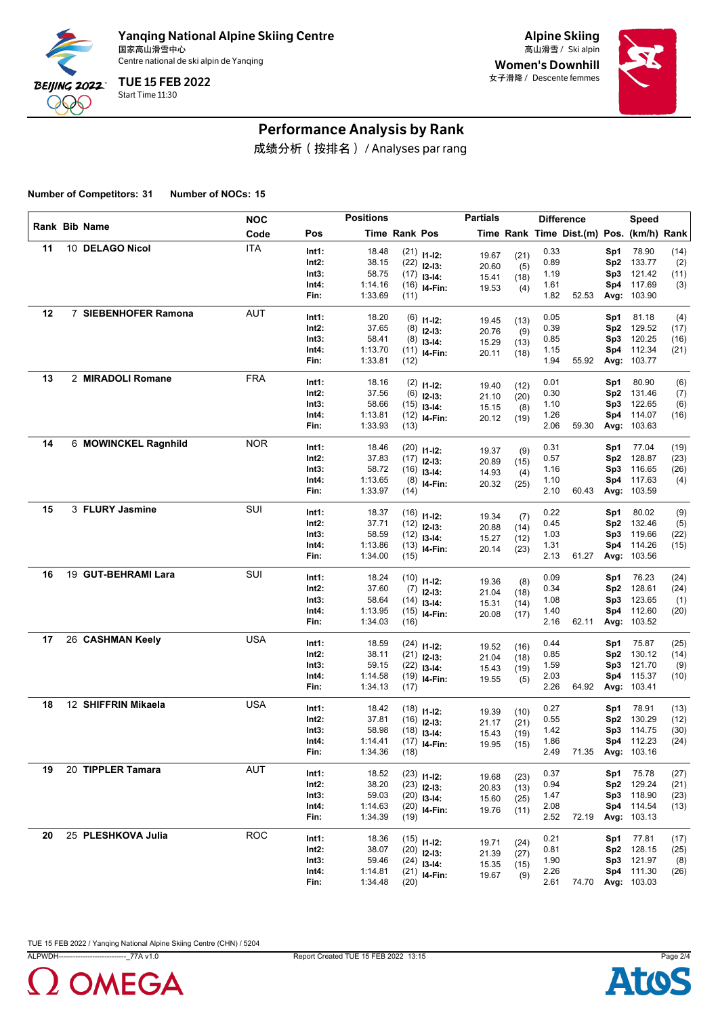

Alpine Skiing Women's Downhill 女子滑降 / Descente femmes



### Performance Analysis by Rank

成绩分析(按排名) / Analyses par rang

**Number of Competitors: 31 Number of NOCs: 15**

|    |                      | <b>NOC</b> |       | <b>Positions</b> |               |                           | <b>Partials</b> |      |      | <b>Difference</b>                        |                 | Speed             |      |
|----|----------------------|------------|-------|------------------|---------------|---------------------------|-----------------|------|------|------------------------------------------|-----------------|-------------------|------|
|    | Rank Bib Name        | Code       | Pos   |                  | Time Rank Pos |                           |                 |      |      | Time Rank Time Dist.(m) Pos. (km/h) Rank |                 |                   |      |
| 11 | 10 DELAGO Nicol      | <b>ITA</b> | Int1: | 18.48            |               | $(21)$ 11-12:             | 19.67           | (21) | 0.33 |                                          | Sp1             | 78.90             | (14) |
|    |                      |            | Int2: | 38.15            |               | $(22)$ 12-13:             | 20.60           | (5)  | 0.89 |                                          | Sp2             | 133.77            | (2)  |
|    |                      |            | Int3: | 58.75            |               | $(17)$ 13-14:             | 15.41           | (18) | 1.19 |                                          | Sp3             | 121.42            | (11) |
|    |                      |            | Int4: | 1:14.16          |               | $(16)$ 14-Fin:            | 19.53           | (4)  | 1.61 |                                          | Sp4             | 117.69            | (3)  |
|    |                      |            | Fin:  | 1:33.69          | (11)          |                           |                 |      | 1.82 | 52.53                                    | Avg:            | 103.90            |      |
| 12 | 7 SIEBENHOFER Ramona | <b>AUT</b> | Int1: | 18.20            |               | $(6)$ 11-12:              | 19.45           | (13) | 0.05 |                                          | Sp1             | 81.18             | (4)  |
|    |                      |            | Int2: | 37.65            |               | $(8)$ 12-13:              | 20.76           | (9)  | 0.39 |                                          | Sp2             | 129.52            | (17) |
|    |                      |            | Int3: | 58.41            |               | $(8)$ 13-14:              | 15.29           | (13) | 0.85 |                                          | Sp3             | 120.25            | (16) |
|    |                      |            | Int4: | 1:13.70          |               | $(11)$ 14-Fin:            | 20.11           | (18) | 1.15 |                                          | Sp4             | 112.34            | (21) |
|    |                      |            | Fin:  | 1:33.81          | (12)          |                           |                 |      | 1.94 | 55.92                                    | Avg:            | 103.77            |      |
| 13 | 2 MIRADOLI Romane    | <b>FRA</b> | Int1: | 18.16            |               | $(2)$ 11-12:              | 19.40           | (12) | 0.01 |                                          | Sp1             | 80.90             | (6)  |
|    |                      |            | Int2: | 37.56            |               | $(6)$ 12-13:              | 21.10           | (20) | 0.30 |                                          | Sp2             | 131.46            | (7)  |
|    |                      |            | Int3: | 58.66            |               | $(15)$ 13-14:             | 15.15           | (8)  | 1.10 |                                          | Sp3             | 122.65            | (6)  |
|    |                      |            | Int4: | 1:13.81          |               | $(12)$ 14-Fin:            | 20.12           | (19) | 1.26 |                                          | Sp4             | 114.07            | (16) |
|    |                      |            | Fin:  | 1:33.93          | (13)          |                           |                 |      | 2.06 | 59.30                                    | Avg:            | 103.63            |      |
| 14 | 6 MOWINCKEL Ragnhild | <b>NOR</b> | Int1: | 18.46            |               | $(20)$ 11-12:             | 19.37           | (9)  | 0.31 |                                          | Sp1             | 77.04             | (19) |
|    |                      |            | Int2: | 37.83            |               | $(17)$ 12-13:             | 20.89           | (15) | 0.57 |                                          | Sp <sub>2</sub> | 128.87            | (23) |
|    |                      |            | Int3: | 58.72            |               | $(16)$ 13-14:             | 14.93           | (4)  | 1.16 |                                          | Sp3             | 116.65            | (26) |
|    |                      |            | Int4: | 1:13.65          |               | $(8)$ 14-Fin:             | 20.32           | (25) | 1.10 |                                          | Sp4             | 117.63            | (4)  |
|    |                      |            | Fin:  | 1:33.97          | (14)          |                           |                 |      | 2.10 | 60.43                                    | Avg:            | 103.59            |      |
| 15 | 3 FLURY Jasmine      | SUI        | Int1: | 18.37            |               | $(16)$ 11-12:             | 19.34           | (7)  | 0.22 |                                          | Sp1             | 80.02             | (9)  |
|    |                      |            | Int2: | 37.71            |               | $(12)$ 12-13:             | 20.88           | (14) | 0.45 |                                          | Sp2             | 132.46            | (5)  |
|    |                      |            | Int3: | 58.59            |               | $(12)$ 13-14:             | 15.27           | (12) | 1.03 |                                          | Sp3             | 119.66            | (22) |
|    |                      |            | Int4: | 1:13.86          |               | $(13)$ 14-Fin:            | 20.14           | (23) | 1.31 |                                          | Sp4             | 114.26            | (15) |
|    |                      |            | Fin:  | 1:34.00          | (15)          |                           |                 |      | 2.13 | 61.27                                    | Avg:            | 103.56            |      |
| 16 | 19 GUT-BEHRAMI Lara  | SUI        | Int1: | 18.24            |               | $(10)$ 11-12:             | 19.36           | (8)  | 0.09 |                                          | Sp1             | 76.23             | (24) |
|    |                      |            | Int2: | 37.60            |               | $(7)$ 12-13:              | 21.04           | (18) | 0.34 |                                          | Sp <sub>2</sub> | 128.61            | (24) |
|    |                      |            | Int3: | 58.64            |               | $(14)$ 13-14:             | 15.31           | (14) | 1.08 |                                          | Sp3             | 123.65            | (1)  |
|    |                      |            | Int4: | 1:13.95          |               | $(15)$ 14-Fin:            | 20.08           | (17) | 1.40 |                                          | Sp4             | 112.60            | (20) |
|    |                      |            | Fin:  | 1:34.03          | (16)          |                           |                 |      | 2.16 | 62.11                                    | Avg:            | 103.52            |      |
| 17 | 26 CASHMAN Keely     | <b>USA</b> | Int1: | 18.59            |               | $(24)$ 11-12:             | 19.52           | (16) | 0.44 |                                          | Sp1             | 75.87             | (25) |
|    |                      |            | Int2: | 38.11            |               | $(21)$ 12-13:             | 21.04           | (18) | 0.85 |                                          | Sp2             | 130.12            | (14) |
|    |                      |            | Int3: | 59.15            |               | $(22)$ 13-14:             | 15.43           | (19) | 1.59 |                                          | Sp3             | 121.70            | (9)  |
|    |                      |            | Int4: | 1:14.58          |               | $(19)$ 14-Fin:            | 19.55           | (5)  | 2.03 |                                          | Sp4             | 115.37            | (10) |
|    |                      |            | Fin:  | 1:34.13          | (17)          |                           |                 |      | 2.26 | 64.92                                    | Avg:            | 103.41            |      |
| 18 | 12 SHIFFRIN Mikaela  | <b>USA</b> | Int1: | 18.42            |               | $(18)$ 11-12:             | 19.39           | (10) | 0.27 |                                          | Sp1             | 78.91             | (13) |
|    |                      |            | Int2: | 37.81            |               | $(16)$ 12-13:             | 21.17           | (21) | 0.55 |                                          | Sp2             | 130.29            | (12) |
|    |                      |            | Int3: | 58.98            |               | $(18)$ 13-14:             | 15.43           | (19) | 1.42 |                                          | Sp3             | 114.75            | (30) |
|    |                      |            | Int4: | 1:14.41          |               | $(17)$ <sub>14-Fin:</sub> | 19.95           | (15) | 1.86 |                                          |                 | Sp4 112.23        | (24) |
|    |                      |            | Fin:  | 1:34.36          | (18)          |                           |                 |      | 2.49 |                                          |                 | 71.35 Avg: 103.16 |      |
| 19 | 20 TIPPLER Tamara    | <b>AUT</b> | Int1: | 18.52            |               | $(23)$ 11-12:             | 19.68           | (23) | 0.37 |                                          | Sp1             | 75.78             | (27) |
|    |                      |            | Int2: | 38.20            |               | $(23)$ 12-13:             | 20.83           | (13) | 0.94 |                                          | Sp2             | 129.24            | (21) |
|    |                      |            | Int3: | 59.03            |               | $(20)$ 13-14:             | 15.60           | (25) | 1.47 |                                          | Sp3             | 118.90            | (23) |
|    |                      |            | Int4: | 1:14.63          |               | $(20)$ 14-Fin:            | 19.76           | (11) | 2.08 |                                          |                 | Sp4 114.54        | (13) |
|    |                      |            | Fin:  | 1:34.39          | (19)          |                           |                 |      | 2.52 | 72.19                                    |                 | Avg: 103.13       |      |
| 20 | 25 PLESHKOVA Julia   | <b>ROC</b> | Int1: | 18.36            |               | $(15)$ 11-12:             | 19.71           | (24) | 0.21 |                                          | Sp1             | 77.81             | (17) |
|    |                      |            | Int2: | 38.07            |               | $(20)$ 12-13:             | 21.39           | (27) | 0.81 |                                          |                 | Sp2 128.15        | (25) |
|    |                      |            | Int3: | 59.46            |               | $(24)$ 13-14:             | 15.35           | (15) | 1.90 |                                          |                 | Sp3 121.97        | (8)  |
|    |                      |            | Int4: | 1:14.81          |               | $(21)$ 14-Fin:            | 19.67           | (9)  | 2.26 |                                          |                 | Sp4 111.30        | (26) |
|    |                      |            | Fin:  | 1:34.48          | (20)          |                           |                 |      | 2.61 | 74.70                                    |                 | Avg: 103.03       |      |



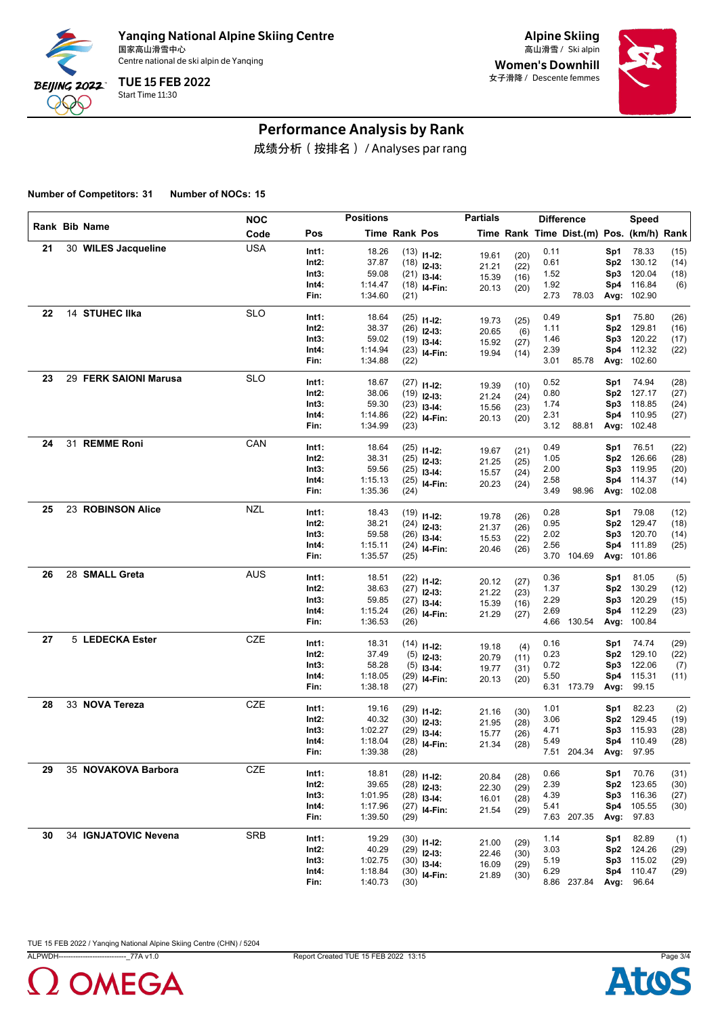

Alpine Skiing Women's Downhill 女子滑降 / Descente femmes



### Performance Analysis by Rank

成绩分析(按排名) / Analyses par rang

**Number of Competitors: 31 Number of NOCs: 15**

|    |                       | <b>NOC</b> |                | <b>Positions</b> |                      |                                 | <b>Partials</b> |              |              | <b>Difference</b>                        |            | Speed           |              |
|----|-----------------------|------------|----------------|------------------|----------------------|---------------------------------|-----------------|--------------|--------------|------------------------------------------|------------|-----------------|--------------|
|    | Rank Bib Name         | Code       | Pos            |                  | <b>Time Rank Pos</b> |                                 |                 |              |              | Time Rank Time Dist.(m) Pos. (km/h) Rank |            |                 |              |
| 21 | 30 WILES Jacqueline   | <b>USA</b> | Int1:          | 18.26            |                      | $(13)$ $11-12$ :                | 19.61           | (20)         | 0.11         |                                          | Sp1        | 78.33           | (15)         |
|    |                       |            | Int2:          | 37.87            |                      | $(18)$ 12-13:                   | 21.21           | (22)         | 0.61         |                                          | Sp2        | 130.12          | (14)         |
|    |                       |            | Int3:          | 59.08            |                      | $(21)$ 13-14:                   | 15.39           | (16)         | 1.52         |                                          | Sp3        | 120.04          | (18)         |
|    |                       |            | Int4:          | 1:14.47          |                      | $(18)$ 14-Fin:                  | 20.13           | (20)         | 1.92         |                                          | Sp4        | 116.84          | (6)          |
|    |                       |            | Fin:           | 1:34.60          | (21)                 |                                 |                 |              | 2.73         | 78.03                                    | Avg:       | 102.90          |              |
| 22 | 14 STUHEC IIka        | <b>SLO</b> | Int1:          | 18.64            |                      | $(25)$ 11-12:                   |                 |              | 0.49         |                                          | Sp1        | 75.80           | (26)         |
|    |                       |            | Int2:          | 38.37            |                      | $(26)$ 12-13:                   | 19.73<br>20.65  | (25)         | 1.11         |                                          | Sp2        | 129.81          | (16)         |
|    |                       |            | Int3:          | 59.02            |                      | $(19)$ 13-14:                   |                 | (6)          | 1.46         |                                          | Sp3        | 120.22          | (17)         |
|    |                       |            | Int4:          | 1:14.94          |                      | $(23)$ 14-Fin:                  | 15.92<br>19.94  | (27)<br>(14) | 2.39         |                                          | Sp4        | 112.32          | (22)         |
|    |                       |            | Fin:           | 1:34.88          | (22)                 |                                 |                 |              | 3.01         | 85.78                                    | Avg:       | 102.60          |              |
| 23 | 29 FERK SAIONI Marusa | <b>SLO</b> | Int1:          | 18.67            |                      | $(27)$ 11-12:                   |                 |              | 0.52         |                                          | Sp1        | 74.94           | (28)         |
|    |                       |            | Int2:          | 38.06            |                      | $(19)$ 12-13:                   | 19.39           | (10)         | 0.80         |                                          | Sp2        | 127.17          | (27)         |
|    |                       |            | Int3:          | 59.30            |                      | $(23)$ 13-14:                   | 21.24           | (24)         | 1.74         |                                          | Sp3        | 118.85          | (24)         |
|    |                       |            | Int4:          | 1:14.86          |                      | $(22)$ 14-Fin:                  | 15.56           | (23)         | 2.31         |                                          | Sp4        | 110.95          | (27)         |
|    |                       |            | Fin:           | 1:34.99          | (23)                 |                                 | 20.13           | (20)         | 3.12         | 88.81                                    | Avg:       | 102.48          |              |
| 24 | 31 REMME Roni         | CAN        | Int1:          | 18.64            |                      |                                 |                 |              | 0.49         |                                          | Sp1        | 76.51           | (22)         |
|    |                       |            | Int2:          | 38.31            |                      | $(25)$ 11-12:<br>$(25)$ 12-13:  | 19.67           | (21)         | 1.05         |                                          | Sp2        | 126.66          | (28)         |
|    |                       |            | Int3:          | 59.56            |                      | $(25)$ 13-14:                   | 21.25           | (25)         | 2.00         |                                          | Sp3        | 119.95          | (20)         |
|    |                       |            | Int4:          | 1:15.13          |                      | $(25)$ 14-Fin:                  | 15.57           | (24)         | 2.58         |                                          | Sp4        | 114.37          | (14)         |
|    |                       |            | Fin:           | 1:35.36          | (24)                 |                                 | 20.23           | (24)         | 3.49         | 98.96                                    | Avg:       | 102.08          |              |
| 25 | 23 ROBINSON Alice     | <b>NZL</b> |                |                  |                      |                                 |                 |              |              |                                          |            |                 |              |
|    |                       |            | Int1:<br>Int2: | 18.43<br>38.21   |                      | $(19)$ 11-12:                   | 19.78           | (26)         | 0.28<br>0.95 |                                          | Sp1<br>Sp2 | 79.08<br>129.47 | (12)<br>(18) |
|    |                       |            | Int3:          | 59.58            |                      | $(24)$ 12-13:                   | 21.37           | (26)         | 2.02         |                                          | Sp3        | 120.70          | (14)         |
|    |                       |            | Int4:          | 1:15.11          |                      | $(26)$ 13-14:<br>$(24)$ 14-Fin: | 15.53           | (22)         | 2.56         |                                          | Sp4        | 111.89          | (25)         |
|    |                       |            | Fin:           | 1:35.57          | (25)                 |                                 | 20.46           | (26)         |              | 3.70 104.69                              | Avg:       | 101.86          |              |
| 26 | 28 SMALL Greta        | <b>AUS</b> | Int1:          | 18.51            |                      |                                 |                 |              | 0.36         |                                          | Sp1        | 81.05           | (5)          |
|    |                       |            | Int2:          | 38.63            |                      | $(22)$ 11-12:                   | 20.12           | (27)         | 1.37         |                                          | Sp2        | 130.29          | (12)         |
|    |                       |            | Int3:          | 59.85            |                      | $(27)$ 12-13:<br>$(27)$ 13-14:  | 21.22           | (23)         | 2.29         |                                          | Sp3        | 120.29          | (15)         |
|    |                       |            | Int4:          | 1:15.24          |                      | $(26)$ 14-Fin:                  | 15.39           | (16)         | 2.69         |                                          | Sp4        | 112.29          | (23)         |
|    |                       |            | Fin:           | 1:36.53          | (26)                 |                                 | 21.29           | (27)         |              | 4.66 130.54                              | Avg:       | 100.84          |              |
| 27 | 5 LEDECKA Ester       | CZE        | Int1:          | 18.31            |                      |                                 |                 |              | 0.16         |                                          | Sp1        | 74.74           | (29)         |
|    |                       |            | Int2:          | 37.49            |                      | $(14)$ 11-12:<br>$(5)$ 12-13:   | 19.18           | (4)          | 0.23         |                                          | Sp2        | 129.10          | (22)         |
|    |                       |            | Int3:          | 58.28            |                      | $(5)$ 13-14:                    | 20.79           | (11)         | 0.72         |                                          | Sp3        | 122.06          | (7)          |
|    |                       |            | Int4:          | 1:18.05          |                      | $(29)$ 14-Fin:                  | 19.77<br>20.13  | (31)         | 5.50         |                                          | Sp4        | 115.31          | (11)         |
|    |                       |            | Fin:           | 1:38.18          | (27)                 |                                 |                 | (20)         |              | 6.31 173.79                              | Avg:       | 99.15           |              |
| 28 | 33 NOVA Tereza        | <b>CZE</b> | Int1:          | 19.16            |                      |                                 |                 |              | 1.01         |                                          | Sp1        | 82.23           | (2)          |
|    |                       |            | Int2:          | 40.32            |                      | $(29)$ 11-12:<br>$(30)$ 12-13:  | 21.16           | (30)         | 3.06         |                                          | Sp2        | 129.45          | (19)         |
|    |                       |            | Int3:          | 1:02.27          |                      | $(29)$ 13-14:                   | 21.95           | (28)         | 4.71         |                                          | Sp3        | 115.93          | (28)         |
|    |                       |            | Int4:          | 1:18.04          |                      | $(28)$ 14-Fin:                  | 15.77<br>21.34  | (26)<br>(28) | 5.49         |                                          |            | Sp4 110.49      | (28)         |
|    |                       |            | Fin:           | 1:39.38          | (28)                 |                                 |                 |              |              | 7.51 204.34 Avg: 97.95                   |            |                 |              |
| 29 | 35 NOVAKOVA Barbora   | CZE        | Int1:          | 18.81            |                      | $(28)$ 11-12:                   |                 |              | 0.66         |                                          | Sp1        | 70.76           | (31)         |
|    |                       |            | Int2:          | 39.65            |                      |                                 | 20.84           | (28)         | 2.39         |                                          | Sp2        | 123.65          | (30)         |
|    |                       |            | Int3:          | 1:01.95          |                      | $(28)$ 12-13:<br>$(28)$ 13-14:  | 22.30           | (29)         | 4.39         |                                          | Sp3        | 116.36          | (27)         |
|    |                       |            | Int4:          | 1:17.96          |                      | $(27)$ 14-Fin:                  | 16.01           | (28)         | 5.41         |                                          | Sp4        | 105.55          | (30)         |
|    |                       |            | Fin:           | 1:39.50          | (29)                 |                                 | 21.54           | (29)         |              | 7.63 207.35                              | Avg:       | 97.83           |              |
| 30 | 34 IGNJATOVIC Nevena  | <b>SRB</b> | Int1:          | 19.29            |                      |                                 |                 |              | 1.14         |                                          | Sp1        | 82.89           | (1)          |
|    |                       |            | Int2:          | 40.29            |                      | $(30)$ 11-12:<br>$(29)$ 12-13:  | 21.00           | (29)         | 3.03         |                                          | Sp2        | 124.26          | (29)         |
|    |                       |            | Int3:          | 1:02.75          |                      | $(30)$ 13-14:                   | 22.46           | (30)         | 5.19         |                                          | Sp3        | 115.02          | (29)         |
|    |                       |            | Int4:          | 1:18.84          |                      | $(30)$ 14-Fin:                  | 16.09           | (29)         | 6.29         |                                          | Sp4        | 110.47          | (29)         |
|    |                       |            | Fin:           | 1:40.73          | (30)                 |                                 | 21.89           | (30)         |              | 8.86 237.84                              | Avg:       | 96.64           |              |
|    |                       |            |                |                  |                      |                                 |                 |              |              |                                          |            |                 |              |



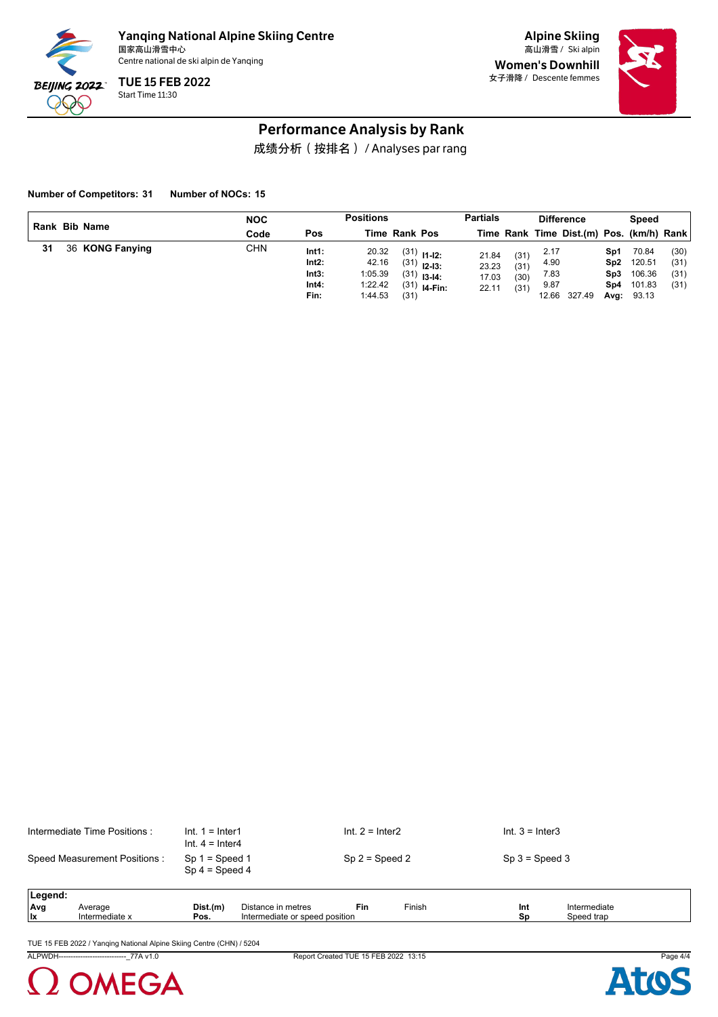

Alpine Skiing Women's Downhill 女子滑降 / Descente femmes



### Performance Analysis by Rank

成绩分析(按排名) / Analyses par rang

**Number of Competitors: 31 Number of NOCs: 15**

|    | Rank Bib Name |                 | <b>NOC</b> |                                          | <b>Positions</b>                                |                      |                                                                   | <b>Partials</b>                  |                              |                                       | <b>Difference</b>                        |                                   | Speed                                        |                              |
|----|---------------|-----------------|------------|------------------------------------------|-------------------------------------------------|----------------------|-------------------------------------------------------------------|----------------------------------|------------------------------|---------------------------------------|------------------------------------------|-----------------------------------|----------------------------------------------|------------------------------|
|    |               |                 | Code       | Pos                                      |                                                 | <b>Time Rank Pos</b> |                                                                   |                                  |                              |                                       | Time Rank Time Dist.(m) Pos. (km/h) Rank |                                   |                                              |                              |
| 31 |               | 36 KONG Fanying | <b>CHN</b> | Int1:<br>Int2:<br>Int3:<br>Int4:<br>Fin: | 20.32<br>42.16<br>1:05.39<br>1:22.42<br>1:44.53 | (31)                 | $(31)$ 11-12:<br>$(31)$ 12-13:<br>$(31)$ 13-14:<br>$(31)$ 14-Fin: | 21.84<br>23.23<br>17.03<br>22.11 | (31)<br>(31)<br>(30)<br>(31) | 2.17<br>4.90<br>7.83<br>9.87<br>12.66 | 327.49                                   | Sp1<br>Sp2<br>Sp3.<br>Sp4<br>Avg: | 70.84<br>120.51<br>106.36<br>101.83<br>93.13 | (30)<br>(31)<br>(31)<br>(31) |

| Intermediate Time Positions: | Int. $1 =$ Inter1<br>$Int. 4 = Inter4$ | Int. $2 =$ Inter2 | Int. $3 =$ Inter3 |
|------------------------------|----------------------------------------|-------------------|-------------------|
| Speed Measurement Positions: | $Sp 1 = Speed 1$<br>$Sp 4 = Speed 4$   | $Sp 2 = Speed 2$  | $Sp 3 = Speed 3$  |
| Legend:                      |                                        |                   |                   |

| .eaend:    |                |          |                                                |     |        |     |              |
|------------|----------------|----------|------------------------------------------------|-----|--------|-----|--------------|
| <b>Avg</b> | Average        | Dist.(m) | listance in metres                             | Fin | Finish | Int | Intermediate |
| Ιx         | Intermediate x | Pos.     | .<br>l position<br>or speed:<br>ntermediate or |     |        | Sp  | Speed trap   |
|            |                |          |                                                |     |        |     |              |

TUE 15 FEB 2022 / Yanqing National Alpine Skiing Centre (CHN) / 5204



ALPWDH----------------------------\_77A v1.0 Report Created TUE 15 FEB 2022 13:15 Page 4/4

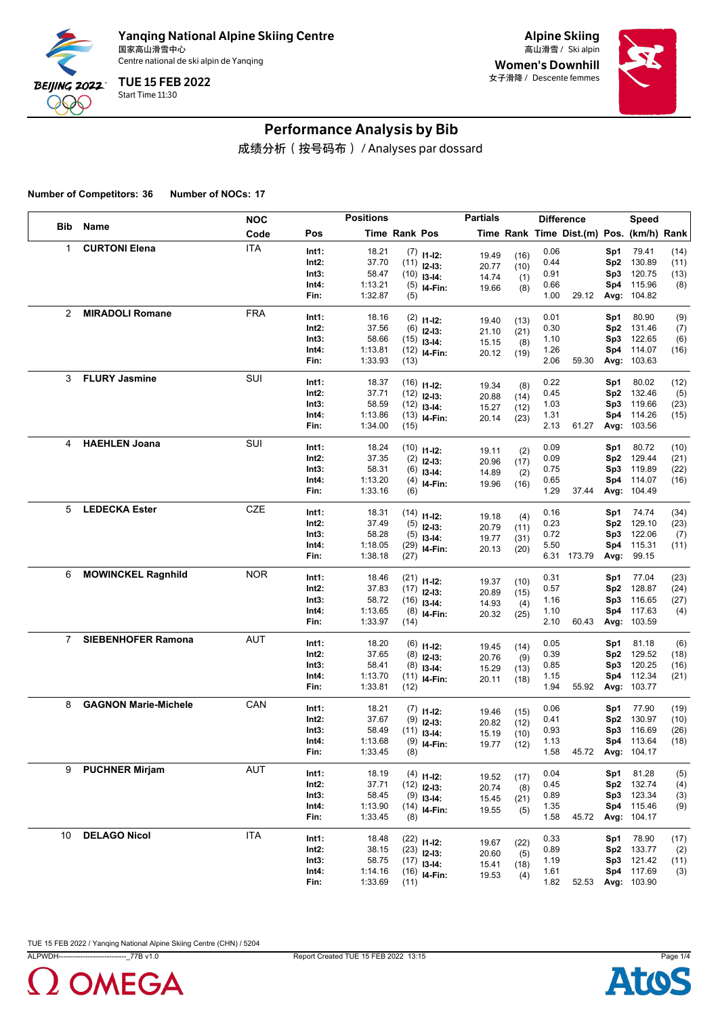

Alpine Skiing Women's Downhill 女子滑降 / Descente femmes



# Performance Analysis by Bib

成绩分析(按号码布) / Analyses par dossard

**Number of Competitors: 36 Number of NOCs: 17**

|              |                             | <b>NOC</b> |               | <b>Positions</b>   |               |                                | <b>Partials</b> |              | <b>Difference</b> |                                          |      | Speed                 |      |
|--------------|-----------------------------|------------|---------------|--------------------|---------------|--------------------------------|-----------------|--------------|-------------------|------------------------------------------|------|-----------------------|------|
| Bib          | Name                        | Code       | Pos           |                    | Time Rank Pos |                                |                 |              |                   | Time Rank Time Dist.(m) Pos. (km/h) Rank |      |                       |      |
| $\mathbf{1}$ | <b>CURTONI Elena</b>        | <b>ITA</b> | Int1:         | 18.21              |               | $(7)$ 11-12:                   | 19.49           | (16)         | 0.06              |                                          | Sp1  | 79.41                 | (14) |
|              |                             |            | Int2:         | 37.70              |               | $(11)$ 12-13:                  | 20.77           | (10)         | 0.44              |                                          | Sp2  | 130.89                | (11) |
|              |                             |            | Int3:         | 58.47              |               | $(10)$ 13-14:                  | 14.74           | (1)          | 0.91              |                                          | Sp3  | 120.75                | (13) |
|              |                             |            | Int4:         | 1:13.21<br>1:32.87 |               | $(5)$ 14-Fin:                  | 19.66           | (8)          | 0.66              |                                          | Sp4  | 115.96<br>Avg: 104.82 | (8)  |
|              |                             |            | Fin:          |                    | (5)           |                                |                 |              | 1.00              | 29.12                                    |      |                       |      |
| 2            | <b>MIRADOLI Romane</b>      | <b>FRA</b> | Int1:         | 18.16              |               | $(2)$ 11-12:                   | 19.40           | (13)         | 0.01              |                                          | Sp1  | 80.90                 | (9)  |
|              |                             |            | Int2:         | 37.56              | (6)           | $12-13:$                       | 21.10           | (21)         | 0.30              |                                          | Sp2  | 131.46                | (7)  |
|              |                             |            | Int3:         | 58.66              |               | $(15)$ 13-14:                  | 15.15           | (8)          | 1.10              |                                          | Sp3  | 122.65                | (6)  |
|              |                             |            | Int4:<br>Fin: | 1:13.81<br>1:33.93 | (13)          | $(12)$ 14-Fin:                 | 20.12           | (19)         | 1.26<br>2.06      | 59.30                                    | Sp4  | 114.07<br>Avg: 103.63 | (16) |
|              |                             |            |               |                    |               |                                |                 |              |                   |                                          |      |                       |      |
| 3            | <b>FLURY Jasmine</b>        | SUI        | Int1:         | 18.37              |               | $(16)$ 11-12:                  | 19.34           | (8)          | 0.22              |                                          | Sp1  | 80.02                 | (12) |
|              |                             |            | Int2:         | 37.71              |               | $(12)$ 12-13:                  | 20.88           | (14)         | 0.45              |                                          | Sp2  | 132.46                | (5)  |
|              |                             |            | Int3:         | 58.59              |               | $(12)$ 13-14:                  | 15.27           | (12)         | 1.03              |                                          | Sp3  | 119.66                | (23) |
|              |                             |            | Int4:         | 1:13.86            |               | $(13)$ 14-Fin:                 | 20.14           | (23)         | 1.31              |                                          | Sp4  | 114.26                | (15) |
|              |                             |            | Fin:          | 1:34.00            | (15)          |                                |                 |              | 2.13              | 61.27                                    |      | Avg: 103.56           |      |
| 4            | <b>HAEHLEN Joana</b>        | SUI        | Int1:         | 18.24              |               | $(10)$ 11-12:                  | 19.11           | (2)          | 0.09              |                                          | Sp1  | 80.72                 | (10) |
|              |                             |            | Int2:         | 37.35              |               | $(2)$ 12-13:                   | 20.96           | (17)         | 0.09              |                                          | Sp2  | 129.44                | (21) |
|              |                             |            | Int3:         | 58.31              |               | $(6)$ 13-14:                   | 14.89           | (2)          | 0.75              |                                          | Sp3  | 119.89                | (22) |
|              |                             |            | Int4:         | 1:13.20            |               | $(4)$ 14-Fin:                  | 19.96           | (16)         | 0.65              |                                          | Sp4  | 114.07                | (16) |
|              |                             |            | Fin:          | 1:33.16            | (6)           |                                |                 |              | 1.29              | 37.44                                    |      | Avg: 104.49           |      |
| 5            | <b>LEDECKA Ester</b>        | CZE        | Int1:         | 18.31              |               | $(14)$ 11-12:                  |                 |              | 0.16              |                                          | Sp1  | 74.74                 | (34) |
|              |                             |            | Int2:         | 37.49              |               | $(5)$ 12-13:                   | 19.18<br>20.79  | (4)<br>(11)  | 0.23              |                                          | Sp2  | 129.10                | (23) |
|              |                             |            | Int3:         | 58.28              |               | $(5)$ 13-14:                   | 19.77           | (31)         | 0.72              |                                          | Sp3  | 122.06                | (7)  |
|              |                             |            | Int4:         | 1:18.05            |               | $(29)$ 14-Fin:                 | 20.13           | (20)         | 5.50              |                                          | Sp4  | 115.31                | (11) |
|              |                             |            | Fin:          | 1:38.18            | (27)          |                                |                 |              |                   | 6.31 173.79                              | Avg: | 99.15                 |      |
| 6            | <b>MOWINCKEL Ragnhild</b>   | <b>NOR</b> | Int1:         | 18.46              |               | $(21)$ 11-12:                  |                 |              | 0.31              |                                          | Sp1  | 77.04                 | (23) |
|              |                             |            | Int2:         | 37.83              |               | $(17)$ 12-13:                  | 19.37<br>20.89  | (10)<br>(15) | 0.57              |                                          | Sp2  | 128.87                | (24) |
|              |                             |            | Int3:         | 58.72              |               | $(16)$ 13-14:                  | 14.93           | (4)          | 1.16              |                                          | Sp3  | 116.65                | (27) |
|              |                             |            | Int4:         | 1:13.65            |               | $(8)$ 14-Fin:                  | 20.32           | (25)         | 1.10              |                                          | Sp4  | 117.63                | (4)  |
|              |                             |            | Fin:          | 1:33.97            | (14)          |                                |                 |              | 2.10              | 60.43                                    |      | Avg: 103.59           |      |
| $7^{\circ}$  | <b>SIEBENHOFER Ramona</b>   | <b>AUT</b> | Int1:         | 18.20              |               | $(6)$ 11-12:                   |                 |              | 0.05              |                                          | Sp1  | 81.18                 | (6)  |
|              |                             |            | Int2:         | 37.65              | (8)           | $12-13:$                       | 19.45<br>20.76  | (14)<br>(9)  | 0.39              |                                          | Sp2  | 129.52                | (18) |
|              |                             |            | Int3:         | 58.41              |               | $(8)$ 13-14:                   | 15.29           | (13)         | 0.85              |                                          | Sp3  | 120.25                | (16) |
|              |                             |            | Int4:         | 1:13.70            |               | $(11)$ 14-Fin:                 | 20.11           | (18)         | 1.15              |                                          | Sp4  | 112.34                | (21) |
|              |                             |            | Fin:          | 1:33.81            | (12)          |                                |                 |              | 1.94              | 55.92                                    |      | Avg: 103.77           |      |
| 8            | <b>GAGNON Marie-Michele</b> | CAN        | Int1:         | 18.21              |               | $(7)$ 11-12:                   |                 |              | 0.06              |                                          | Sp1  | 77.90                 | (19) |
|              |                             |            | Int2:         | 37.67              | (9)           | $12-13:$                       | 19.46<br>20.82  | (15)<br>(12) | 0.41              |                                          | Sp2  | 130.97                | (10) |
|              |                             |            | Int3:         | 58.49              |               | $(11)$ 13-14:                  | 15.19           | (10)         | 0.93              |                                          | Sp3  | 116.69                | (26) |
|              |                             |            | Int4:         | 1:13.68            |               | $(9)$ 14-Fin:                  | 19.77           | (12)         | 1.13              |                                          |      | Sp4 113.64            | (18) |
|              |                             |            | Fin:          | 1:33.45            | (8)           |                                |                 |              | 1.58              |                                          |      | 45.72 Avg: 104.17     |      |
| 9            | <b>PUCHNER Mirjam</b>       | <b>AUT</b> | Int1:         | 18.19              |               | $(4)$ 11-12:                   |                 |              | 0.04              |                                          | Sp1  | 81.28                 | (5)  |
|              |                             |            | Int2:         | 37.71              |               | $(12)$ 12-13:                  | 19.52           | (17)         | 0.45              |                                          | Sp2  | 132.74                | (4)  |
|              |                             |            | Int3:         | 58.45              |               | $(9)$ 13-14:                   | 20.74<br>15.45  | (8)<br>(21)  | 0.89              |                                          | Sp3  | 123.34                | (3)  |
|              |                             |            | Int4:         | 1:13.90            |               | $(14)$ 14-Fin:                 | 19.55           | (5)          | 1.35              |                                          |      | Sp4 115.46            | (9)  |
|              |                             |            | Fin:          | 1:33.45            | (8)           |                                |                 |              | 1.58              | 45.72                                    |      | Avg: 104.17           |      |
| 10           | <b>DELAGO Nicol</b>         | ITA        | Int1:         | 18.48              |               |                                |                 |              | 0.33              |                                          | Sp1  | 78.90                 | (17) |
|              |                             |            | Int2:         | 38.15              |               | $(22)$ 11-12:<br>$(23)$ 12-13: | 19.67           | (22)         | 0.89              |                                          | Sp2  | 133.77                | (2)  |
|              |                             |            | Int3:         | 58.75              |               | $(17)$ 13-14:                  | 20.60           | (5)          | 1.19              |                                          | Sp3  | 121.42                | (11) |
|              |                             |            | Int4:         | 1:14.16            |               | $(16)$ 14-Fin:                 | 15.41<br>19.53  | (18)<br>(4)  | 1.61              |                                          |      | Sp4 117.69            | (3)  |
|              |                             |            | Fin:          | 1:33.69            | (11)          |                                |                 |              | 1.82              | 52.53                                    |      | Avg: 103.90           |      |



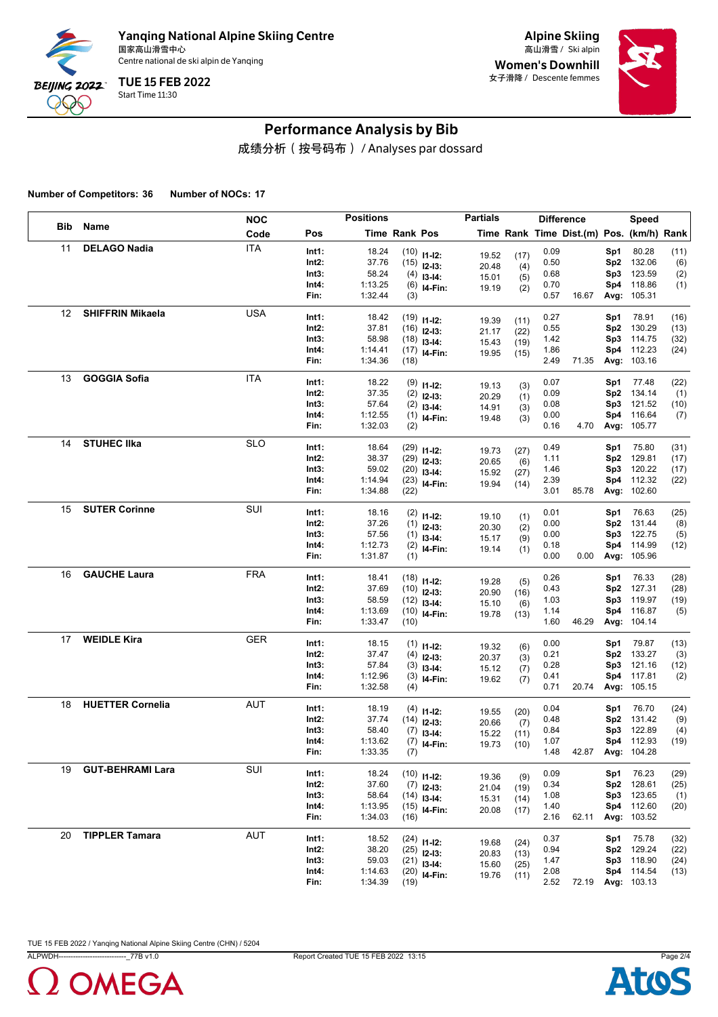

Alpine Skiing Women's Downhill 女子滑降 / Descente femmes



# Performance Analysis by Bib

成绩分析(按号码布) / Analyses par dossard

**Number of Competitors: 36 Number of NOCs: 17**

|     |                         | <b>NOC</b> |       | <b>Positions</b> |      |                  | <b>Partials</b> |      |      | <b>Difference</b>                        |     | Speed              |      |
|-----|-------------------------|------------|-------|------------------|------|------------------|-----------------|------|------|------------------------------------------|-----|--------------------|------|
| Bib | Name                    | Code       | Pos   | Time Rank Pos    |      |                  |                 |      |      | Time Rank Time Dist.(m) Pos. (km/h) Rank |     |                    |      |
| 11  | <b>DELAGO Nadia</b>     | <b>ITA</b> | Int1: | 18.24            |      | $(10)$ 11-12:    | 19.52           | (17) | 0.09 |                                          | Sp1 | 80.28              | (11) |
|     |                         |            | Int2: | 37.76            |      | $(15)$ 12-13:    | 20.48           | (4)  | 0.50 |                                          | Sp2 | 132.06             | (6)  |
|     |                         |            | Int3: | 58.24            |      | $(4)$ 13-14:     | 15.01           | (5)  | 0.68 |                                          | Sp3 | 123.59             | (2)  |
|     |                         |            | Int4: | 1:13.25          |      | $(6)$ 14-Fin:    | 19.19           | (2)  | 0.70 |                                          | Sp4 | 118.86             | (1)  |
|     |                         |            | Fin:  | 1:32.44          | (3)  |                  |                 |      | 0.57 | 16.67                                    |     | Avg: 105.31        |      |
| 12  | <b>SHIFFRIN Mikaela</b> | <b>USA</b> | Int1: | 18.42            |      | $(19)$ $11-12$ : | 19.39           | (11) | 0.27 |                                          | Sp1 | 78.91              | (16) |
|     |                         |            | Int2: | 37.81            |      | $(16)$ 12-13:    | 21.17           | (22) | 0.55 |                                          | Sp2 | 130.29             | (13) |
|     |                         |            | Int3: | 58.98            |      | $(18)$ 13-14:    | 15.43           | (19) | 1.42 |                                          | Sp3 | 114.75             | (32) |
|     |                         |            | Int4: | 1:14.41          |      | $(17)$ 14-Fin:   | 19.95           | (15) | 1.86 |                                          | Sp4 | 112.23             | (24) |
|     |                         |            | Fin:  | 1:34.36          | (18) |                  |                 |      | 2.49 | 71.35                                    |     | Avg: 103.16        |      |
| 13  | <b>GOGGIA Sofia</b>     | <b>ITA</b> | Int1: | 18.22            |      | $(9)$ 11-12:     | 19.13           | (3)  | 0.07 |                                          | Sp1 | 77.48              | (22) |
|     |                         |            | Int2: | 37.35            |      | $(2)$ 12-13:     | 20.29           | (1)  | 0.09 |                                          | Sp2 | 134.14             | (1)  |
|     |                         |            | Int3: | 57.64            |      | $(2)$ 13-14:     | 14.91           | (3)  | 0.08 |                                          | Sp3 | 121.52             | (10) |
|     |                         |            | Int4: | 1:12.55          |      | $(1)$ 14-Fin:    | 19.48           | (3)  | 0.00 |                                          | Sp4 | 116.64             | (7)  |
|     |                         |            | Fin:  | 1:32.03          | (2)  |                  |                 |      | 0.16 | 4.70                                     |     | Avg: 105.77        |      |
| 14  | <b>STUHEC IIka</b>      | <b>SLO</b> | Int1: | 18.64            |      | $(29)$ 11-12:    | 19.73           | (27) | 0.49 |                                          | Sp1 | 75.80              | (31) |
|     |                         |            | Int2: | 38.37            |      | $(29)$ 12-13:    | 20.65           | (6)  | 1.11 |                                          | Sp2 | 129.81             | (17) |
|     |                         |            | Int3: | 59.02            |      | $(20)$ 13-14:    | 15.92           | (27) | 1.46 |                                          | Sp3 | 120.22             | (17) |
|     |                         |            | Int4: | 1:14.94          |      | $(23)$ 14-Fin:   | 19.94           | (14) | 2.39 |                                          | Sp4 | 112.32             | (22) |
|     |                         |            | Fin:  | 1:34.88          | (22) |                  |                 |      | 3.01 | 85.78                                    |     | Avg: 102.60        |      |
| 15  | <b>SUTER Corinne</b>    | SUI        | Int1: | 18.16            |      | $(2)$ 11-12:     | 19.10           | (1)  | 0.01 |                                          | Sp1 | 76.63              | (25) |
|     |                         |            | Int2: | 37.26            |      | $(1)$ 12-13:     | 20.30           | (2)  | 0.00 |                                          | Sp2 | 131.44             | (8)  |
|     |                         |            | Int3: | 57.56            |      | $(1)$ 13-14:     | 15.17           | (9)  | 0.00 |                                          | Sp3 | 122.75             | (5)  |
|     |                         |            | Int4: | 1:12.73          |      | $(2)$ 14-Fin:    | 19.14           | (1)  | 0.18 |                                          | Sp4 | 114.99             | (12) |
|     |                         |            | Fin:  | 1:31.87          | (1)  |                  |                 |      | 0.00 | 0.00                                     |     | Avg: 105.96        |      |
| 16  | <b>GAUCHE Laura</b>     | <b>FRA</b> | Int1: | 18.41            |      | $(18)$ 11-12:    | 19.28           | (5)  | 0.26 |                                          | Sp1 | 76.33              | (28) |
|     |                         |            | Int2: | 37.69            |      | $(10)$ 12-13:    | 20.90           | (16) | 0.43 |                                          | Sp2 | 127.31             | (28) |
|     |                         |            | Int3: | 58.59            |      | $(12)$ 13-14:    | 15.10           | (6)  | 1.03 |                                          | Sp3 | 119.97             | (19) |
|     |                         |            | Int4: | 1:13.69          |      | $(10)$ 14-Fin:   | 19.78           | (13) | 1.14 |                                          | Sp4 | 116.87             | (5)  |
|     |                         |            | Fin:  | 1:33.47          | (10) |                  |                 |      | 1.60 | 46.29                                    |     | Avg: 104.14        |      |
| 17  | <b>WEIDLE Kira</b>      | GER        | Int1: | 18.15            |      | $(1)$ 11-12:     | 19.32           | (6)  | 0.00 |                                          | Sp1 | 79.87              | (13) |
|     |                         |            | Int2: | 37.47            |      | $(4)$ 12-13:     | 20.37           | (3)  | 0.21 |                                          | Sp2 | 133.27             | (3)  |
|     |                         |            | Int3: | 57.84            |      | $(3)$ 13-14:     | 15.12           | (7)  | 0.28 |                                          | Sp3 | 121.16             | (12) |
|     |                         |            | Int4: | 1:12.96          |      | $(3)$ 14-Fin:    | 19.62           | (7)  | 0.41 |                                          | Sp4 | 117.81             | (2)  |
|     |                         |            | Fin:  | 1:32.58          | (4)  |                  |                 |      | 0.71 | 20.74                                    |     | Avg: 105.15        |      |
| 18  | <b>HUETTER Cornelia</b> | AUT        | Int1: | 18.19            |      | $(4)$ 11-12:     | 19.55           | (20) | 0.04 |                                          | Sp1 | 76.70              | (24) |
|     |                         |            | Int2: | 37.74            |      | $(14)$ 12-13:    | 20.66           | (7)  | 0.48 |                                          | Sp2 | 131.42             | (9)  |
|     |                         |            | Int3: | 58.40            |      | $(7)$ 13-14:     | 15.22           | (11) | 0.84 |                                          | Sp3 | 122.89             | (4)  |
|     |                         |            | Int4: | 1:13.62          |      | $(7)$ 14-Fin:    | 19.73           | (10) | 1.07 |                                          |     | Sp4 112.93         | (19) |
|     |                         |            | Fin:  | 1:33.35          | (7)  |                  |                 |      | 1.48 | 42.87                                    |     | Avg: 104.28        |      |
| 19  | <b>GUT-BEHRAMI Lara</b> | SUI        | Int1: | 18.24            |      | $(10)$ 11-12:    | 19.36           | (9)  | 0.09 |                                          | Sp1 | 76.23              | (29) |
|     |                         |            | Int2: | 37.60            |      | $(7)$ 12-13:     | 21.04           | (19) | 0.34 |                                          |     | Sp2 128.61         | (25) |
|     |                         |            | Int3: | 58.64            |      | $(14)$ 13-14:    | 15.31           | (14) | 1.08 |                                          | Sp3 | 123.65             | (1)  |
|     |                         |            | Int4: | 1:13.95          |      | $(15)$ 14-Fin:   | 20.08           | (17) | 1.40 |                                          |     | Sp4 112.60         | (20) |
|     |                         |            | Fin:  | 1:34.03          | (16) |                  |                 |      | 2.16 | 62.11                                    |     | Avg: 103.52        |      |
| 20  | <b>TIPPLER Tamara</b>   | AUT        | Int1: | 18.52            |      | $(24)$ 11-12:    | 19.68           | (24) | 0.37 |                                          | Sp1 | 75.78              | (32) |
|     |                         |            | Int2: | 38.20            |      | $(25)$ 12-13:    | 20.83           | (13) | 0.94 |                                          |     | Sp2 129.24         | (22) |
|     |                         |            | Int3: | 59.03            |      | $(21)$ 13-14:    | 15.60           | (25) | 1.47 |                                          | Sp3 | 118.90             | (24) |
|     |                         |            | Int4: | 1:14.63          |      | $(20)$ 14-Fin:   | 19.76           | (11) | 2.08 |                                          |     | Sp4 114.54         | (13) |
|     |                         |            | Fin:  | 1:34.39          | (19) |                  |                 |      | 2.52 | 72.19                                    |     | <b>Avg: 103.13</b> |      |



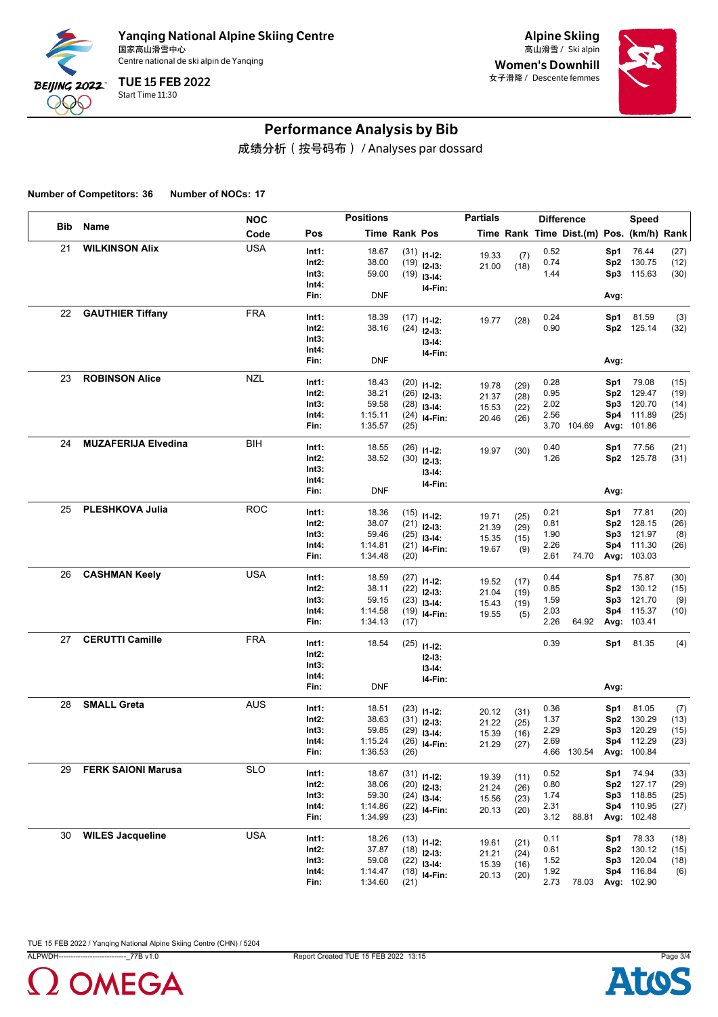

Alpine Skiing Women's Downhill 女子滑降 / Descente femmes



# Performance Analysis by Bib

成绩分析(按号码布) / Analyses par dossard

**Number of Competitors: 36 Number of NOCs: 17**

|     |                            | <b>NOC</b> |                | <b>Positions</b>   |               |                                 | <b>Partials</b> |              |              | <b>Difference</b>                        |                 | Speed                     |              |
|-----|----------------------------|------------|----------------|--------------------|---------------|---------------------------------|-----------------|--------------|--------------|------------------------------------------|-----------------|---------------------------|--------------|
| Bib | Name                       | Code       | Pos            |                    | Time Rank Pos |                                 |                 |              |              | Time Rank Time Dist.(m) Pos. (km/h) Rank |                 |                           |              |
| 21  | <b>WILKINSON Alix</b>      | <b>USA</b> | Int1:          | 18.67              |               | $(31)$ 11-12:                   | 19.33           | (7)          | 0.52         |                                          | Sp1             | 76.44                     | (27)         |
|     |                            |            | Int2:          | 38.00              |               | $(19)$ 12-13:                   | 21.00           | (18)         | 0.74         |                                          | Sp <sub>2</sub> | 130.75                    | (12)         |
|     |                            |            | Int3:          | 59.00              |               | $(19)$ 13-14:                   |                 |              | 1.44         |                                          | Sp3             | 115.63                    | (30)         |
|     |                            |            | Int4:<br>Fin:  | <b>DNF</b>         |               | I4-Fin:                         |                 |              |              |                                          | Avg:            |                           |              |
| 22  |                            | <b>FRA</b> |                |                    |               |                                 |                 |              |              |                                          |                 |                           |              |
|     | <b>GAUTHIER Tiffany</b>    |            | Int1:          | 18.39              |               | $(17)$ 11-12:                   | 19.77           | (28)         | 0.24         |                                          | Sp1             | 81.59                     | (3)          |
|     |                            |            | Int2:<br>Int3: | 38.16              |               | $(24)$ 12-13:                   |                 |              | 0.90         |                                          |                 | Sp2 125.14                | (32)         |
|     |                            |            | Int4:          |                    |               | $13-14:$                        |                 |              |              |                                          |                 |                           |              |
|     |                            |            | Fin:           | <b>DNF</b>         |               | I4-Fin:                         |                 |              |              |                                          | Avg:            |                           |              |
| 23  | <b>ROBINSON Alice</b>      | <b>NZL</b> | Int1:          | 18.43              |               |                                 |                 |              | 0.28         |                                          | Sp1             | 79.08                     | (15)         |
|     |                            |            | Int2:          | 38.21              |               | $(20)$ 11-12:<br>$(26)$ 12-13:  | 19.78           | (29)         | 0.95         |                                          | Sp <sub>2</sub> | 129.47                    | (19)         |
|     |                            |            | Int3:          | 59.58              |               | $(28)$ 13-14:                   | 21.37           | (28)         | 2.02         |                                          | Sp3             | 120.70                    | (14)         |
|     |                            |            | Int4:          | 1:15.11            |               | $(24)$ 14-Fin:                  | 15.53<br>20.46  | (22)<br>(26) | 2.56         |                                          | Sp4             | 111.89                    | (25)         |
|     |                            |            | Fin:           | 1:35.57            | (25)          |                                 |                 |              |              | 3.70 104.69                              |                 | Avg: 101.86               |              |
| 24  | <b>MUZAFERIJA Elvedina</b> | BIH        | Int1:          | 18.55              |               | $(26)$ 11-12:                   | 19.97           | (30)         | 0.40         |                                          | Sp1             | 77.56                     | (21)         |
|     |                            |            | Int2:          | 38.52              |               | $(30)$ 12-13:                   |                 |              | 1.26         |                                          |                 | Sp2 125.78                | (31)         |
|     |                            |            | Int3:          |                    |               | $13 - 14:$                      |                 |              |              |                                          |                 |                           |              |
|     |                            |            | Int4:          |                    |               | I4-Fin:                         |                 |              |              |                                          |                 |                           |              |
|     |                            |            | Fin:           | <b>DNF</b>         |               |                                 |                 |              |              |                                          | Avg:            |                           |              |
| 25  | PLESHKOVA Julia            | <b>ROC</b> | Int1:          | 18.36              |               | $(15)$ 11-12:                   | 19.71           | (25)         | 0.21         |                                          | Sp1             | 77.81                     | (20)         |
|     |                            |            | Int2:          | 38.07              |               | $(21)$ 12-13:                   | 21.39           | (29)         | 0.81         |                                          | Sp <sub>2</sub> | 128.15                    | (26)         |
|     |                            |            | Int3:          | 59.46              |               | $(25)$ 13-14:                   | 15.35           | (15)         | 1.90         |                                          | Sp3             | 121.97                    | (8)          |
|     |                            |            | Int4:<br>Fin:  | 1:14.81<br>1:34.48 | (20)          | $(21)$ 14-Fin:                  | 19.67           | (9)          | 2.26<br>2.61 | 74.70                                    | Sp4             | 111.30<br>Avg: 103.03     | (26)         |
| 26  | <b>CASHMAN Keely</b>       | <b>USA</b> |                |                    |               |                                 |                 |              |              |                                          |                 |                           |              |
|     |                            |            | Int1:<br>Int2: | 18.59<br>38.11     |               | $(27)$ 11-12:                   | 19.52           | (17)         | 0.44<br>0.85 |                                          | Sp1<br>Sp2      | 75.87<br>130.12           | (30)         |
|     |                            |            | Int3:          | 59.15              |               | $(22)$ 12-13:<br>$(23)$ 13-14:  | 21.04           | (19)         | 1.59         |                                          | Sp3             | 121.70                    | (15)<br>(9)  |
|     |                            |            | Int4:          | 1:14.58            |               | $(19)$ 14-Fin:                  | 15.43<br>19.55  | (19)         | 2.03         |                                          | Sp4             | 115.37                    | (10)         |
|     |                            |            | Fin:           | 1:34.13            | (17)          |                                 |                 | (5)          | 2.26         | 64.92                                    |                 | Avg: 103.41               |              |
| 27  | <b>CERUTTI Camille</b>     | <b>FRA</b> | Int1:          | 18.54              |               | $(25)$ 11-12:                   |                 |              | 0.39         |                                          | Sp1             | 81.35                     | (4)          |
|     |                            |            | Int2:          |                    |               | $12-13:$                        |                 |              |              |                                          |                 |                           |              |
|     |                            |            | Int3:          |                    |               | $13 - 14:$                      |                 |              |              |                                          |                 |                           |              |
|     |                            |            | Int4:          |                    |               | I4-Fin:                         |                 |              |              |                                          |                 |                           |              |
|     |                            |            | Fin:           | <b>DNF</b>         |               |                                 |                 |              |              |                                          | Avg:            |                           |              |
| 28  | <b>SMALL Greta</b>         | <b>AUS</b> | Int1:          | 18.51              |               | $(23)$ 11-12:                   | 20.12           | (31)         | 0.36         |                                          | Sp1             | 81.05                     | (7)          |
|     |                            |            | Int2:          | 38.63              |               | $(31)$ 12-13:                   | 21.22           | (25)         | 1.37         |                                          | Sp <sub>2</sub> | 130.29                    | (13)         |
|     |                            |            | Int3:          | 59.85              |               | $(29)$ 13-14:                   | 15.39           | (16)         | 2.29         |                                          | Sp3             | 120.29                    | (15)         |
|     |                            |            | Int4:<br>Fin:  | 1:15.24<br>1:36.53 | (26)          | $(26)$ 14-Fin:                  | 21.29           | (27)         | 2.69         | 4.66 130.54                              |                 | Sp4 112.29<br>Avg: 100.84 | (23)         |
| 29  | <b>FERK SAIONI Marusa</b>  | <b>SLO</b> |                |                    |               |                                 |                 |              |              |                                          |                 |                           |              |
|     |                            |            | Int1:          | 18.67              |               | $(31)$ 11-12:                   | 19.39           | (11)         | 0.52         |                                          | Sp1             | 74.94                     | (33)         |
|     |                            |            | Int2:<br>Int3: | 38.06<br>59.30     |               | $(20)$ 12-13:                   | 21.24           | (26)         | 0.80<br>1.74 |                                          | Sp3             | Sp2 127.17<br>118.85      | (29)<br>(25) |
|     |                            |            | Int4:          | 1:14.86            |               | $(24)$ 13-14:<br>$(22)$ 14-Fin: | 15.56           | (23)         | 2.31         |                                          |                 | Sp4 110.95                | (27)         |
|     |                            |            | Fin:           | 1:34.99            | (23)          |                                 | 20.13           | (20)         | 3.12         | 88.81                                    |                 | Avg: 102.48               |              |
| 30  | <b>WILES Jacqueline</b>    | <b>USA</b> | Int1:          | 18.26              |               | $(13)$ 11-12:                   |                 |              | 0.11         |                                          | Sp1             | 78.33                     | (18)         |
|     |                            |            | Int2:          | 37.87              |               | $(18)$ 12-13:                   | 19.61           | (21)         | 0.61         |                                          | Sp2             | 130.12                    | (15)         |
|     |                            |            | Int3:          | 59.08              |               | $(22)$ 13-14:                   | 21.21<br>15.39  | (24)<br>(16) | 1.52         |                                          | Sp3             | 120.04                    | (18)         |
|     |                            |            | Int4:          | 1:14.47            |               | $(18)$ 14-Fin:                  | 20.13           | (20)         | 1.92         |                                          |                 | Sp4 116.84                | (6)          |
|     |                            |            | Fin:           | 1:34.60            | (21)          |                                 |                 |              | 2.73         | 78.03                                    |                 | Avg: 102.90               |              |



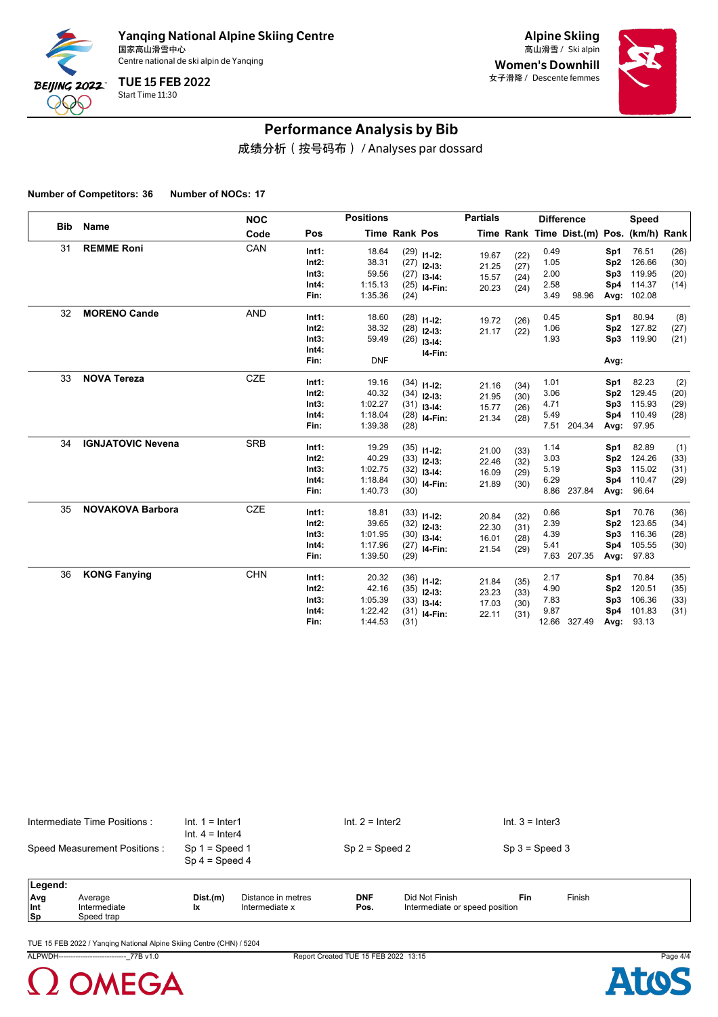

Alpine Skiing Women's Downhill 女子滑降 / Descente femmes



# Performance Analysis by Bib

成绩分析(按号码布) / Analyses par dossard

**Number of Competitors: 36 Number of NOCs: 17**

| <b>Bib</b> |                          | <b>NOC</b> |                                             | <b>Positions</b>                                |                              |                                                          | <b>Partials</b>                  |                              |                                      | <b>Difference</b>                        |                                              | <b>Speed</b>                                  |                              |
|------------|--------------------------|------------|---------------------------------------------|-------------------------------------------------|------------------------------|----------------------------------------------------------|----------------------------------|------------------------------|--------------------------------------|------------------------------------------|----------------------------------------------|-----------------------------------------------|------------------------------|
|            | Name                     | Code       | Pos                                         |                                                 | Time Rank Pos                |                                                          |                                  |                              |                                      | Time Rank Time Dist.(m) Pos. (km/h) Rank |                                              |                                               |                              |
| 31         | <b>REMME Roni</b>        | CAN        | Int1:<br>Int2:<br>Int3:<br>Int4:<br>Fin:    | 18.64<br>38.31<br>59.56<br>1:15.13<br>1:35.36   | (27)<br>(25)<br>(24)         | $(29)$ 11-12:<br>$(27)$ 12-13:<br>$13 - 14$ :<br>I4-Fin: | 19.67<br>21.25<br>15.57<br>20.23 | (22)<br>(27)<br>(24)<br>(24) | 0.49<br>1.05<br>2.00<br>2.58<br>3.49 | 98.96                                    | Sp1<br>Sp <sub>2</sub><br>Sp3<br>Sp4<br>Avg: | 76.51<br>126.66<br>119.95<br>114.37<br>102.08 | (26)<br>(30)<br>(20)<br>(14) |
| 32         | <b>MORENO Cande</b>      | <b>AND</b> | Int1:<br>$Int2$ :<br>Int3:<br>Int4:<br>Fin: | 18.60<br>38.32<br>59.49<br><b>DNF</b>           | (28)<br>(26)                 | $(28)$ 11-12:<br>$12 - 13$ :<br>$13 - 14$ :<br>I4-Fin:   | 19.72<br>21.17                   | (26)<br>(22)                 | 0.45<br>1.06<br>1.93                 |                                          | Sp1<br>Sp <sub>2</sub><br>Sp3<br>Avg:        | 80.94<br>127.82<br>119.90                     | (8)<br>(27)<br>(21)          |
| 33         | <b>NOVA Tereza</b>       | <b>CZE</b> | Int1:<br>Int2:<br>Int3:<br>Int4:<br>Fin:    | 19.16<br>40.32<br>1:02.27<br>1:18.04<br>1:39.38 | (31)<br>(28)<br>(28)         | $(34)$ 11-12:<br>$(34)$ 12-13:<br>$13-14:$<br>I4-Fin:    | 21.16<br>21.95<br>15.77<br>21.34 | (34)<br>(30)<br>(26)<br>(28) | 1.01<br>3.06<br>4.71<br>5.49<br>7.51 | 204.34                                   | Sp1<br>Sp <sub>2</sub><br>Sp3<br>Sp4<br>Avg: | 82.23<br>129.45<br>115.93<br>110.49<br>97.95  | (2)<br>(20)<br>(29)<br>(28)  |
| 34         | <b>IGNJATOVIC Nevena</b> | <b>SRB</b> | Int1:<br>$Int2$ :<br>Int3:<br>Int4:<br>Fin: | 19.29<br>40.29<br>1:02.75<br>1:18.84<br>1:40.73 | (33)<br>(32)<br>(30)<br>(30) | $(35)$ 11-12:<br>$12-13:$<br>$13-14:$<br>I4-Fin:         | 21.00<br>22.46<br>16.09<br>21.89 | (33)<br>(32)<br>(29)<br>(30) | 1.14<br>3.03<br>5.19<br>6.29         | 8.86 237.84                              | Sp1<br>Sp <sub>2</sub><br>Sp3<br>Sp4<br>Avg: | 82.89<br>124.26<br>115.02<br>110.47<br>96.64  | (1)<br>(33)<br>(31)<br>(29)  |
| 35         | <b>NOVAKOVA Barbora</b>  | <b>CZE</b> | Int1:<br>$Int2$ :<br>Int3:<br>Int4:<br>Fin: | 18.81<br>39.65<br>1:01.95<br>1:17.96<br>1:39.50 | (30)<br>(27)<br>(29)         | $(33)$ 11-12:<br>$(32)$ 12-13:<br>$13-14:$<br>I4-Fin:    | 20.84<br>22.30<br>16.01<br>21.54 | (32)<br>(31)<br>(28)<br>(29) | 0.66<br>2.39<br>4.39<br>5.41<br>7.63 | 207.35                                   | Sp1<br>Sp <sub>2</sub><br>Sp3<br>Sp4<br>Avg: | 70.76<br>123.65<br>116.36<br>105.55<br>97.83  | (36)<br>(34)<br>(28)<br>(30) |
| 36         | <b>KONG Fanying</b>      | <b>CHN</b> | Int1:<br>Int2:<br>Int3:<br>Int4:<br>Fin:    | 20.32<br>42.16<br>1:05.39<br>1:22.42<br>1:44.53 | (33)<br>(31)<br>(31)         | $(36)$ 11-12:<br>$(35)$ 12-13:<br>$13 - 14$ :<br>I4-Fin: | 21.84<br>23.23<br>17.03<br>22.11 | (35)<br>(33)<br>(30)<br>(31) | 2.17<br>4.90<br>7.83<br>9.87         | 12.66 327.49                             | Sp1<br>Sp <sub>2</sub><br>Sp3<br>Sp4<br>Avg: | 70.84<br>120.51<br>106.36<br>101.83<br>93.13  | (35)<br>(35)<br>(33)<br>(31) |

| Intermediate Time Positions : | $Int. 1 = Inter1$<br>Int. $4 =$ Inter4 | $Int. 2 = Inter2$ | $Int. 3 = Inter3$ |  |
|-------------------------------|----------------------------------------|-------------------|-------------------|--|
| Speed Measurement Positions : | $Sp 1 = Speed 1$<br>$Sp 4 = Speed 4$   | $Sp 2 = Speed 2$  | $Sp 3 = Speed 3$  |  |
| <b>I</b> enend                |                                        |                   |                   |  |

| Leaend:    |              |          |                    |            |                                |     |        |
|------------|--------------|----------|--------------------|------------|--------------------------------|-----|--------|
| <b>Ava</b> | Average      | Dist.(m) | Distance in metres | <b>DNF</b> | Did Not Finish                 | Fin | Finish |
| Int        | Intermediate |          | Intermediate x     | Pos.       | Intermediate or speed position |     |        |
| $ $ Sp     | beed trap    |          |                    |            |                                |     |        |

TUE 15 FEB 2022 / Yanqing National Alpine Skiing Centre (CHN) / 5204

ALPWDH----------------------------\_77B v1.0 Report Created TUE 15 FEB 2022 13:15 Page 4/4



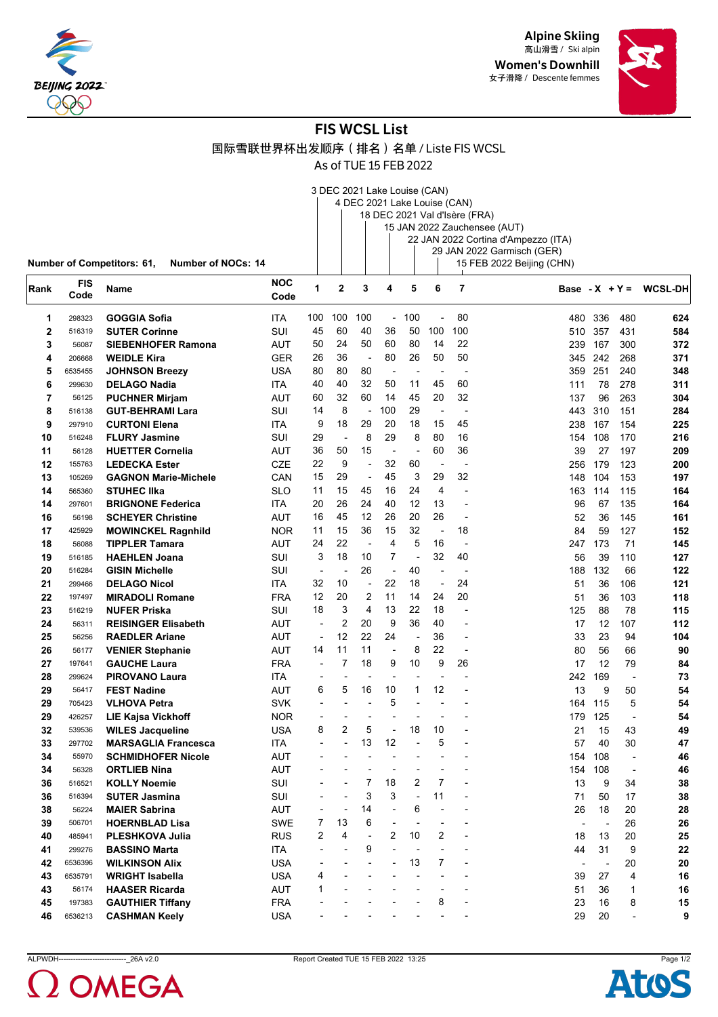

Alpine Skiing 高山滑雪 / Ski alpin Women's Downhill 女子滑降 / Descente femmes



# FIS WCSL List

国际雪联世界杯出发顺序(排名)名单 / Liste FIS WCSL

As of TUE 15 FEB 2022

| Rank | <b>FIS</b><br>Code | <b>Name</b>                       |                    | <b>NOC</b><br>Code |  | 4 | 5                                                            | - 6 |                                                                                                                                                                 | Bas |
|------|--------------------|-----------------------------------|--------------------|--------------------|--|---|--------------------------------------------------------------|-----|-----------------------------------------------------------------------------------------------------------------------------------------------------------------|-----|
|      |                    | <b>Number of Competitors: 61,</b> | Number of NOCs: 14 |                    |  |   | 3 DEC 2021 Lake Louise (CAN)<br>4 DEC 2021 Lake Louise (CAN) |     | 18 DEC 2021 Val d'Isère (FRA)<br>15 JAN 2022 Zauchensee (AUT)<br>22 JAN 2022 Cortina d'Ampezzo (ITA)<br>29 JAN 2022 Garmisch (GER)<br>15 FEB 2022 Beijing (CHN) |     |

| Rank         | <b>FIS</b><br>Code | Name                        | <b>NOC</b><br>Code | 1                        | 2                        | 3                        | 4              | 5                        | 6                        | 7                        |                |     |                          | Base - $X + Y = WCSL-DH$ |
|--------------|--------------------|-----------------------------|--------------------|--------------------------|--------------------------|--------------------------|----------------|--------------------------|--------------------------|--------------------------|----------------|-----|--------------------------|--------------------------|
| 1            | 298323             | <b>GOGGIA Sofia</b>         | <b>ITA</b>         | 100                      | 100                      | 100                      | $\sim$         | 100                      | $\overline{a}$           | 80                       | 480            | 336 | 480                      | 624                      |
| $\mathbf{2}$ | 516319             | <b>SUTER Corinne</b>        | SUI                | 45                       | 60                       | 40                       | 36             | 50                       | 100                      | 100                      | 510            | 357 | 431                      | 584                      |
| 3            | 56087              | <b>SIEBENHOFER Ramona</b>   | AUT                | 50                       | 24                       | 50                       | 60             | 80                       | 14                       | 22                       | 239            | 167 | 300                      | 372                      |
| 4            | 206668             | <b>WEIDLE Kira</b>          | GER                | 26                       | 36                       | $\overline{a}$           | 80             | 26                       | 50                       | 50                       | 345            | 242 | 268                      | 371                      |
| 5            | 6535455            | <b>JOHNSON Breezy</b>       | USA                | 80                       | 80                       | 80                       | $\overline{a}$ |                          | $\overline{a}$           | ÷,                       | 359            | 251 | 240                      | 348                      |
| 6            | 299630             | <b>DELAGO Nadia</b>         | ITA                | 40                       | 40                       | 32                       | 50             | 11                       | 45                       | 60                       | 111            | 78  | 278                      | 311                      |
| 7            | 56125              | <b>PUCHNER Mirjam</b>       | AUT                | 60                       | 32                       | 60                       | 14             | 45                       | 20                       | 32                       | 137            | 96  | 263                      | 304                      |
| 8            | 516138             | <b>GUT-BEHRAMI Lara</b>     | SUI                | 14                       | 8                        | $\overline{\phantom{a}}$ | 100            | 29                       | $\overline{\phantom{a}}$ | $\overline{a}$           | 443            | 310 | 151                      | 284                      |
| 9            | 297910             | <b>CURTONI Elena</b>        | ITA                | 9                        | 18                       | 29                       | 20             | 18                       | 15                       | 45                       | 238            | 167 | 154                      | 225                      |
| 10           | 516248             | <b>FLURY Jasmine</b>        | SUI                | 29                       | $\overline{\phantom{a}}$ | 8                        | 29             | 8                        | 80                       | 16                       | 154            | 108 | 170                      | 216                      |
| 11           | 56128              | <b>HUETTER Cornelia</b>     | AUT                | 36                       | 50                       | 15                       | $\overline{a}$ |                          | 60                       | 36                       | 39             | 27  | 197                      | 209                      |
| 12           | 155763             | <b>LEDECKA Ester</b>        | <b>CZE</b>         | 22                       | 9                        | $\blacksquare$           | 32             | 60                       | $\overline{\phantom{a}}$ | $\overline{\phantom{a}}$ | 256            | 179 | 123                      | 200                      |
| 13           | 105269             | <b>GAGNON Marie-Michele</b> | CAN                | 15                       | 29                       | $\overline{\phantom{a}}$ | 45             | 3                        | 29                       | 32                       | 148            | 104 | 153                      | 197                      |
| 14           | 565360             | <b>STUHEC IIka</b>          | SLO                | 11                       | 15                       | 45                       | 16             | 24                       | 4                        | $\overline{a}$           | 163            | 114 | 115                      | 164                      |
| 14           | 297601             | <b>BRIGNONE Federica</b>    | <b>ITA</b>         | 20                       | 26                       | 24                       | 40             | 12                       | 13                       | ÷                        | 96             | 67  | 135                      | 164                      |
| 16           | 56198              | <b>SCHEYER Christine</b>    | AUT                | 16                       | 45                       | 12                       | 26             | 20                       | 26                       | $\blacksquare$           | 52             | 36  | 145                      | 161                      |
| 17           | 425929             | <b>MOWINCKEL Ragnhild</b>   | <b>NOR</b>         | 11                       | 15                       | 36                       | 15             | 32                       | ÷,                       | 18                       | 84             | 59  | 127                      | 152                      |
| 18           | 56088              | <b>TIPPLER Tamara</b>       | AUT                | 24                       | 22                       | ÷,                       | $\overline{4}$ | 5                        | 16                       | $\overline{a}$           | 247            | 173 | 71                       | 145                      |
| 19           | 516185             | <b>HAEHLEN Joana</b>        | SUI                | 3                        | 18                       | 10                       | $\overline{7}$ | $\overline{\phantom{a}}$ | 32                       | 40                       | 56             | 39  | 110                      | 127                      |
| 20           | 516284             | <b>GISIN Michelle</b>       | SUI                | ÷,                       | ÷,                       | 26                       | ÷,             | 40                       | ÷,                       | $\overline{a}$           | 188            | 132 | 66                       | 122                      |
| 21           | 299466             | <b>DELAGO Nicol</b>         | ITA                | 32                       | 10                       | $\overline{\phantom{a}}$ | 22             | 18                       | $\blacksquare$           | 24                       | 51             | 36  | 106                      | 121                      |
| 22           | 197497             | <b>MIRADOLI Romane</b>      | <b>FRA</b>         | 12                       | 20                       | 2                        | 11             | 14                       | 24                       | 20                       | 51             | 36  | 103                      | 118                      |
| 23           | 516219             | <b>NUFER Priska</b>         | SUI                | 18                       | 3                        | 4                        | 13             | 22                       | 18                       |                          | 125            | 88  | 78                       | 115                      |
| 24           | 56311              | <b>REISINGER Elisabeth</b>  | AUT                | $\blacksquare$           | 2                        | 20                       | 9              | 36                       | 40                       | $\overline{a}$           | 17             | 12  | 107                      | 112                      |
| 25           | 56256              | <b>RAEDLER Ariane</b>       | AUT                | $\overline{\phantom{a}}$ | 12                       | 22                       | 24             | $\overline{a}$           | 36                       | ÷                        | 33             | 23  | 94                       | 104                      |
| 26           | 56177              | <b>VENIER Stephanie</b>     | AUT                | 14                       | 11                       | 11                       | $\overline{a}$ | 8                        | 22                       | $\overline{a}$           | 80             | 56  | 66                       | 90                       |
| 27           | 197641             | <b>GAUCHE Laura</b>         | <b>FRA</b>         | $\overline{a}$           | 7                        | 18                       | 9              | 10                       | 9                        | 26                       | 17             | 12  | 79                       | 84                       |
| 28           | 299624             | <b>PIROVANO Laura</b>       | <b>ITA</b>         |                          |                          |                          |                |                          |                          |                          | 242            | 169 | $\overline{a}$           | 73                       |
| 29           | 56417              | <b>FEST Nadine</b>          | <b>AUT</b>         | 6                        | 5                        | 16                       | 10             | 1                        | 12                       |                          | 13             | 9   | 50                       | 54                       |
| 29           | 705423             | <b>VLHOVA Petra</b>         | SVK                | $\blacksquare$           | $\overline{\phantom{a}}$ |                          | 5              |                          | $\overline{\phantom{0}}$ |                          | 164            | 115 | 5                        | 54                       |
| 29           | 426257             | <b>LIE Kajsa Vickhoff</b>   | <b>NOR</b>         | ۰                        | ÷,                       |                          |                |                          | $\overline{a}$           |                          | 179            | 125 | $\overline{a}$           | 54                       |
| 32           | 539536             | <b>WILES Jacqueline</b>     | USA                | 8                        | 2                        | 5                        | $\overline{a}$ | 18                       | 10                       |                          | 21             | 15  | 43                       | 49                       |
| 33           | 297702             | <b>MARSAGLIA Francesca</b>  | <b>ITA</b>         | $\overline{\phantom{0}}$ | $\overline{\phantom{a}}$ | 13                       | 12             |                          | 5                        | ٠                        | 57             | 40  | 30                       | 47                       |
| 34           | 55970              | <b>SCHMIDHOFER Nicole</b>   | AUT                |                          |                          | $\overline{\phantom{a}}$ |                |                          |                          |                          | 154            | 108 | $\overline{a}$           | 46                       |
| 34           | 56328              | <b>ORTLIEB Nina</b>         | AUT                | -                        |                          |                          |                |                          | $\overline{a}$           |                          | 154            | 108 | $\overline{a}$           | 46                       |
| 36           | 516521             | <b>KOLLY Noemie</b>         | SUI                | $\blacksquare$           | $\overline{a}$           | 7                        | 18             | $\overline{2}$           | $\overline{7}$           | $\overline{a}$           | 13             | 9   | 34                       | 38                       |
| 36           | 516394             | <b>SUTER Jasmina</b>        | SUI                |                          |                          | 3                        | 3              |                          | 11                       |                          | 71             | 50  | 17                       | 38                       |
| 38           | 56224              | <b>MAIER Sabrina</b>        | AUT                | $\blacksquare$           |                          | 14                       |                | 6                        | $\overline{\phantom{a}}$ |                          | 26             | 18  | 20                       | 28                       |
| 39           | 506701             | <b>HOERNBLAD Lisa</b>       | SWE                | 7                        | 13                       | 6                        |                |                          |                          |                          |                | ÷   | 26                       | 26                       |
| 40           | 485941             | PLESHKOVA Julia             | <b>RUS</b>         | 2                        | 4                        |                          | 2              | 10                       | 2                        |                          | 18             | 13  | 20                       | 25                       |
| 41           | 299276             | <b>BASSINO Marta</b>        | ITA                |                          |                          | 9                        |                |                          |                          |                          | 44             | 31  | 9                        | 22                       |
| 42           | 6536396            | <b>WILKINSON Alix</b>       | <b>USA</b>         |                          |                          |                          | ÷,             | 13                       | $\overline{7}$           |                          | $\overline{a}$ | ÷,  | 20                       | 20                       |
| 43           | 6535791            | <b>WRIGHT Isabella</b>      | <b>USA</b>         | 4                        |                          |                          |                |                          |                          |                          | 39             | 27  | 4                        | 16                       |
| 43           | 56174              | <b>HAASER Ricarda</b>       | AUT                | 1                        |                          |                          |                |                          |                          |                          | 51             | 36  | $\mathbf{1}$             | 16                       |
| 45           | 197383             | <b>GAUTHIER Tiffany</b>     | <b>FRA</b>         |                          |                          |                          |                |                          | 8                        |                          | 23             | 16  | 8                        | 15                       |
| 46           | 6536213            | <b>CASHMAN Keely</b>        | USA                |                          |                          |                          |                |                          |                          |                          | 29             | 20  | $\overline{\phantom{a}}$ | 9                        |



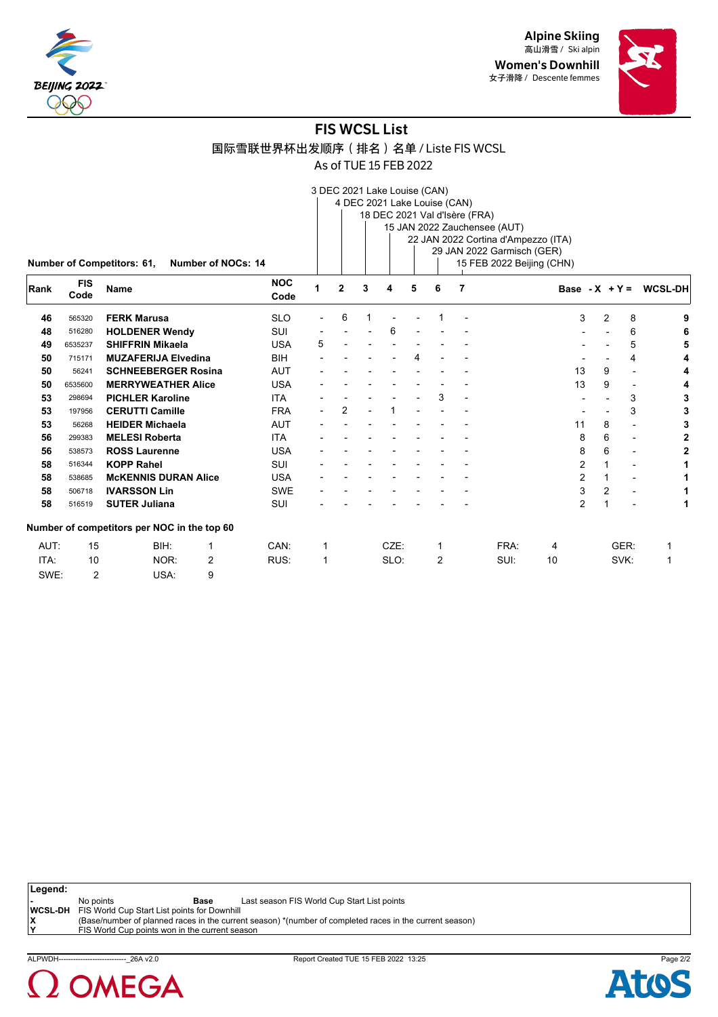

Alpine Skiing 高山滑雪 / Ski alpin Women's Downhill 女子滑降 / Descente femmes



# FIS WCSL List

国际雪联世界杯出发顺序(排名)名单 / Liste FIS WCSL

As of TUE 15 FEB 2022

|      |                |                                             |                           |            |             |                |   | 3 DEC 2021 Lake Louise (CAN)  |   |                |   |                                     |                |                |                |                          |
|------|----------------|---------------------------------------------|---------------------------|------------|-------------|----------------|---|-------------------------------|---|----------------|---|-------------------------------------|----------------|----------------|----------------|--------------------------|
|      |                |                                             |                           |            |             |                |   | 4 DEC 2021 Lake Louise (CAN)  |   |                |   |                                     |                |                |                |                          |
|      |                |                                             |                           |            |             |                |   | 18 DEC 2021 Val d'Isère (FRA) |   |                |   |                                     |                |                |                |                          |
|      |                |                                             |                           |            |             |                |   |                               |   |                |   | 15 JAN 2022 Zauchensee (AUT)        |                |                |                |                          |
|      |                |                                             |                           |            |             |                |   |                               |   |                |   | 22 JAN 2022 Cortina d'Ampezzo (ITA) |                |                |                |                          |
|      |                |                                             |                           |            |             |                |   |                               |   |                |   | 29 JAN 2022 Garmisch (GER)          |                |                |                |                          |
|      |                | Number of Competitors: 61,                  | <b>Number of NOCs: 14</b> |            |             |                |   |                               |   |                |   | 15 FEB 2022 Beijing (CHN)           |                |                |                |                          |
|      | <b>FIS</b>     |                                             |                           | <b>NOC</b> |             |                |   |                               |   |                |   |                                     |                |                |                |                          |
| Rank | Code           | Name                                        |                           | Code       | 1           | $\overline{2}$ | 3 | 4                             | 5 | 6              | 7 |                                     |                |                |                | Base - $X + Y = WCSL-DH$ |
| 46   | 565320         | <b>FERK Marusa</b>                          |                           | <b>SLO</b> |             | 6              |   |                               |   |                |   |                                     | 3              | $\overline{2}$ | 8              | 9                        |
| 48   | 516280         | <b>HOLDENER Wendy</b>                       |                           | SUI        |             |                |   | 6                             |   |                |   |                                     |                |                | 6              |                          |
| 49   | 6535237        | <b>SHIFFRIN Mikaela</b>                     |                           | <b>USA</b> | 5           |                |   |                               |   |                |   |                                     |                |                | 5              |                          |
| 50   | 715171         | <b>MUZAFERIJA Elvedina</b>                  |                           | <b>BIH</b> |             |                |   |                               | 4 |                |   |                                     |                |                | 4              |                          |
| 50   | 56241          | <b>SCHNEEBERGER Rosina</b>                  |                           | <b>AUT</b> |             |                |   |                               |   |                |   |                                     | 13             | 9              |                |                          |
| 50   | 6535600        | <b>MERRYWEATHER Alice</b>                   |                           | <b>USA</b> |             |                |   |                               |   |                |   |                                     | 13             | 9              |                |                          |
| 53   | 298694         | <b>PICHLER Karoline</b>                     |                           | <b>ITA</b> |             |                |   |                               |   | 3              |   |                                     |                |                | 3              |                          |
| 53   | 197956         | <b>CERUTTI Camille</b>                      |                           | <b>FRA</b> |             | 2              |   |                               |   |                |   |                                     |                |                | 3              |                          |
| 53   | 56268          | <b>HEIDER Michaela</b>                      |                           | <b>AUT</b> |             |                |   |                               |   |                |   |                                     | 11             | 8              |                |                          |
| 56   | 299383         | <b>MELESI Roberta</b>                       |                           | <b>ITA</b> |             |                |   |                               |   |                |   |                                     | 8              | 6              |                |                          |
| 56   | 538573         | <b>ROSS Laurenne</b>                        |                           | <b>USA</b> |             |                |   |                               |   |                |   |                                     | 8              | 6              |                | 2                        |
| 58   | 516344         | <b>KOPP Rahel</b>                           |                           | SUI        |             |                |   |                               |   |                |   |                                     | 2              |                |                |                          |
| 58   | 538685         | <b>MCKENNIS DURAN Alice</b>                 |                           | <b>USA</b> |             |                |   |                               |   |                |   |                                     | 2              | 1              | $\blacksquare$ |                          |
| 58   | 506718         | <b>IVARSSON Lin</b>                         |                           | <b>SWE</b> |             |                |   |                               |   |                |   |                                     | 3              | $\overline{2}$ |                |                          |
| 58   | 516519         | <b>SUTER Juliana</b>                        |                           | <b>SUI</b> |             |                |   |                               |   |                |   |                                     | $\overline{2}$ | 1              |                |                          |
|      |                | Number of competitors per NOC in the top 60 |                           |            |             |                |   |                               |   |                |   |                                     |                |                |                |                          |
| AUT: | 15             | BIH:                                        | 1                         | CAN:       | 1           |                |   | CZE:                          |   | 1              |   | FRA:                                | 4              |                | GER:           | 1                        |
| ITA: | 10             | NOR:                                        | 2                         | RUS:       | $\mathbf 1$ |                |   | SLO:                          |   | $\overline{2}$ |   | SUI:                                | 10             |                | SVK:           | 1                        |
| SWE: | $\overline{2}$ | USA:                                        | 9                         |            |             |                |   |                               |   |                |   |                                     |                |                |                |                          |

**Legend: -** No points **Base** Last season FIS World Cup Start List points **WCSL-DH** FIS World Cup Start List points for Downhill<br> **X** (Base/number of planned races in the currer<br> **Y** FIS World Cup points won in the current sea **X** (Base/number of planned races in the current season) \*(number of completed races in the current season) **Y** FIS World Cup points won in the current season



ALPWDH----------------------------\_26A v2.0 Report Created TUE 15 FEB 2022 13:25 Page 2/2

Atc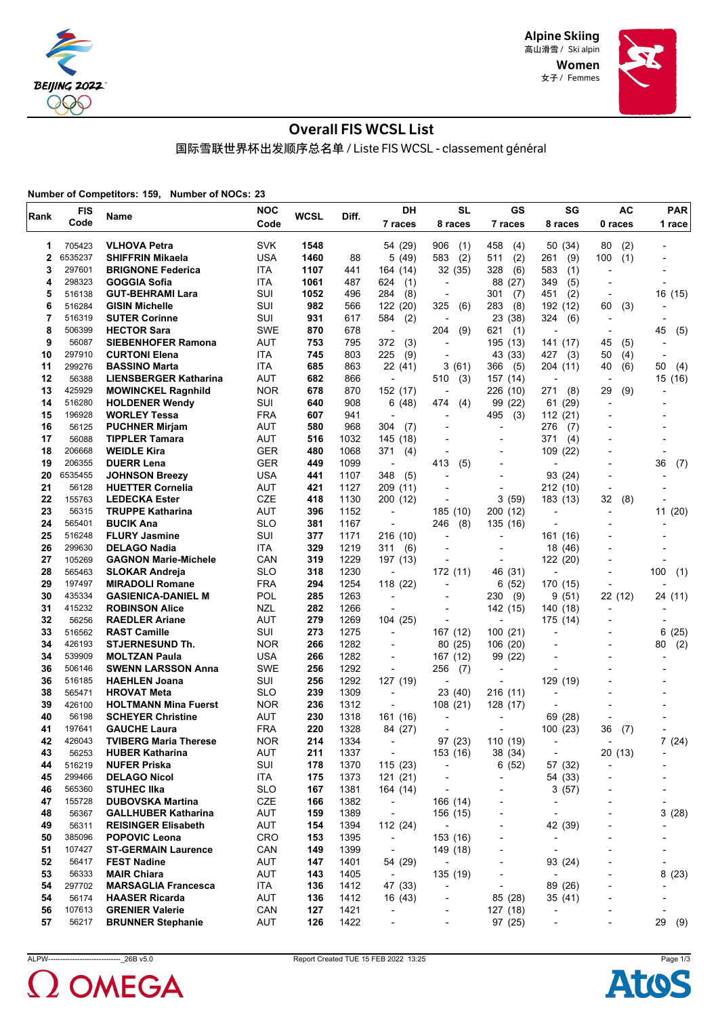

> Women 女子 / Femmes



# Overall FIS WCSL List

国际雪联世界杯出发顺序总名单 / Liste FIS WCSL - classement général

**Number of Competitors: 159, Number of NOCs: 23**

| Rank | <b>FIS</b> | Name                         | <b>NOC</b> | <b>WCSL</b> | Diff. | DH                       | SL                       | GS                       | SG                       | AC                       | <b>PAR</b>               |
|------|------------|------------------------------|------------|-------------|-------|--------------------------|--------------------------|--------------------------|--------------------------|--------------------------|--------------------------|
|      | Code       |                              | Code       |             |       | 7 races                  | 8 races                  | 7 races                  | 8 races                  | 0 races                  | 1 race                   |
| 1    | 705423     | <b>VLHOVA Petra</b>          | <b>SVK</b> | 1548        |       | 54 (29)                  | 906<br>(1)               | 458<br>(4)               | 50 (34)                  | (2)<br>80                |                          |
| 2    | 6535237    | <b>SHIFFRIN Mikaela</b>      | <b>USA</b> | 1460        | 88    | 5(49)                    | 583<br>(2)               | (2)<br>511               | (9)<br>261               | 100<br>(1)               |                          |
| 3    | 297601     | <b>BRIGNONE Federica</b>     | ITA        | 1107        | 441   | 164 (14)                 | 32 (35)                  | (6)<br>328               | 583<br>(1)               | $\overline{\phantom{a}}$ |                          |
| 4    | 298323     | GOGGIA Sofia                 | ITA        | 1061        | 487   | 624<br>(1)               | $\overline{\phantom{a}}$ | 88<br>(27)               | 349<br>(5)               | $\overline{\phantom{a}}$ |                          |
| 5    | 516138     | <b>GUT-BEHRAMI Lara</b>      | SUI        | 1052        | 496   | 284<br>(8)               | -                        | 301<br>(7)               | 451<br>(2)               | $\overline{\phantom{a}}$ | 16 (15)                  |
| 6    | 516284     | <b>GISIN Michelle</b>        | SUI        | 982         | 566   | 122 (20)                 | 325<br>(6)               | 283<br>(8)               | 192 (12)                 | 60<br>(3)                |                          |
| 7    | 516319     | <b>SUTER Corinne</b>         | SUI        | 931         | 617   | 584<br>(2)               |                          | 23 (38)                  | 324<br>(6)               |                          |                          |
| 8    | 506399     | <b>HECTOR Sara</b>           | <b>SWE</b> | 870         | 678   | $\overline{\phantom{a}}$ | (9)<br>204               | 621<br>(1)               |                          | $\overline{\phantom{a}}$ | 45<br>(5)                |
| 9    | 56087      | <b>SIEBENHOFER Ramona</b>    | AUT        | 753         | 795   | 372<br>(3)               | $\overline{\phantom{0}}$ | 195 (13)                 | 141 (17)                 | 45<br>(5)                | $\overline{\phantom{a}}$ |
| 10   | 297910     | <b>CURTONI Elena</b>         | ITA        | 745         | 803   | 225<br>(9)               | $\overline{\phantom{a}}$ | 43 (33)                  | 427<br>(3)               | 50<br>(4)                | $\overline{\phantom{a}}$ |
| 11   | 299276     | <b>BASSINO Marta</b>         | ITA        | 685         | 863   | 22 (41)                  | 3(61)                    | 366<br>(5)               | 204 (11)                 | 40<br>(6)                | 50<br>(4)                |
| 12   | 56388      | <b>LIENSBERGER Katharina</b> | AUT        | 682         | 866   | $\overline{\phantom{a}}$ | 510<br>(3)               | 157 (14)                 | $\overline{a}$           |                          | 15 (16)                  |
| 13   | 425929     | <b>MOWINCKEL Ragnhild</b>    | <b>NOR</b> | 678         | 870   | 152 (17)                 | $\overline{\phantom{a}}$ | 226 (10)                 | 271<br>(8)               | 29<br>(9)                |                          |
| 14   | 516280     | <b>HOLDENER Wendy</b>        | SUI        | 640         | 908   | 6 (48)                   | 474<br>(4)               | 99 (22)                  | 61<br>(29)               | $\overline{\phantom{a}}$ |                          |
| 15   | 196928     | <b>WORLEY Tessa</b>          | <b>FRA</b> | 607         | 941   | $\overline{\phantom{a}}$ | $\blacksquare$           | 495<br>(3)               | 112<br>(21)              |                          |                          |
| 16   | 56125      | <b>PUCHNER Mirjam</b>        | AUT        | 580         | 968   | 304<br>(7)               | $\overline{a}$           | L,                       | 276<br>(7)               |                          |                          |
| 17   | 56088      | <b>TIPPLER Tamara</b>        | AUT        | 516         | 1032  | 145 (18)                 |                          |                          | 371<br>(4)               |                          |                          |
| 18   | 206668     | <b>WEIDLE Kira</b>           | <b>GER</b> | 480         | 1068  | 371<br>(4)               |                          | $\overline{\phantom{0}}$ | 109<br>(22)              |                          |                          |
| 19   | 206355     | <b>DUERR Lena</b>            | <b>GER</b> | 449         | 1099  | $\overline{\phantom{a}}$ | 413<br>(5)               | $\blacksquare$           |                          |                          | 36<br>(7)                |
| 20   | 6535455    | <b>JOHNSON Breezy</b>        | USA        | 441         | 1107  | (5)<br>348               |                          |                          | 93 (24)                  |                          |                          |
| 21   | 56128      | <b>HUETTER Cornelia</b>      | <b>AUT</b> | 421         | 1127  | 209 (11)                 |                          | $\blacksquare$           | 212 (10)                 | $\overline{a}$           |                          |
| 22   | 155763     | <b>LEDECKA Ester</b>         | CZE        | 418         | 1130  | 200 (12)                 | $\overline{a}$           | 3<br>(59)                | 183 (13)                 | 32<br>(8)                |                          |
| 23   | 56315      | <b>TRUPPE Katharina</b>      | AUT        | 396         | 1152  | $\overline{a}$           | 185 (10)                 | 200 (12)                 |                          | $\overline{\phantom{0}}$ | 11 (20)                  |
| 24   | 565401     | <b>BUCIK Ana</b>             | <b>SLO</b> | 381         | 1167  | $\overline{\phantom{a}}$ | 246<br>(8)               | 135 (16)                 |                          |                          |                          |
| 25   | 516248     | <b>FLURY Jasmine</b>         | SUI        | 377         | 1171  | 216 (10)                 |                          |                          | 161 (16)                 |                          |                          |
| 26   | 299630     | <b>DELAGO Nadia</b>          | ITA        | 329         | 1219  | 311<br>(6)               |                          |                          | 18<br>(46)               |                          |                          |
| 27   | 105269     | <b>GAGNON Marie-Michele</b>  | CAN        | 319         | 1229  | 197 (13)                 |                          |                          | 122<br>(20)              | $\overline{\phantom{0}}$ |                          |
| 28   | 565463     | <b>SLOKAR Andreja</b>        | <b>SLO</b> | 318         | 1230  | $\overline{\phantom{a}}$ | 172 (11)                 | 46 (31)                  |                          | $\overline{\phantom{0}}$ | 100<br>(1)               |
| 29   | 197497     | <b>MIRADOLI Romane</b>       | <b>FRA</b> | 294         | 1254  | 118 (22)                 |                          | (52)<br>6                | 170 (15)                 |                          |                          |
| 30   | 435334     | <b>GASIENICA-DANIEL M</b>    | POL        | 285         | 1263  | $\overline{\phantom{a}}$ |                          | 230<br>(9)               | 9<br>(51)                | 22 (12)                  | 24 (11)                  |
| 31   | 415232     | <b>ROBINSON Alice</b>        | NZL        | 282         | 1266  | ÷,                       | $\blacksquare$           | 142 (15)                 | 140 (18)                 | $\overline{\phantom{a}}$ |                          |
| 32   | 56256      | <b>RAEDLER Ariane</b>        | AUT        | 279         | 1269  | 104 (25)                 |                          | ÷,                       | 175 (14)                 | $\overline{a}$           |                          |
| 33   | 516562     | <b>RAST Camille</b>          | SUI        | 273         | 1275  | $\overline{\phantom{a}}$ | 167 (12)                 | 100 (21)                 | $\overline{\phantom{0}}$ | $\blacksquare$           | 6<br>(25)                |
| 34   | 426193     | <b>STJERNESUND Th.</b>       | <b>NOR</b> | 266         | 1282  | $\overline{\phantom{a}}$ | 80 (25)                  | 106 (20)                 | $\overline{\phantom{a}}$ | $\overline{\phantom{a}}$ | (2)<br>80                |
| 34   | 539909     | <b>MOLTZAN Paula</b>         | <b>USA</b> | 266         | 1282  | ÷                        | 167 (12)                 | 99 (22)                  |                          |                          |                          |
| 36   | 506146     | <b>SWENN LARSSON Anna</b>    | <b>SWE</b> | 256         | 1292  | ÷,                       | 256<br>(7)               | $\overline{\phantom{a}}$ |                          |                          |                          |
| 36   | 516185     | <b>HAEHLEN Joana</b>         | SUI        | 256         | 1292  | 127 (19)                 |                          | L,                       | 129 (19)                 |                          |                          |
| 38   | 565471     | <b>HROVAT Meta</b>           | <b>SLO</b> | 239         | 1309  |                          | 23 (40)                  | 216(11)                  |                          |                          |                          |
| 39   | 426100     | <b>HOLTMANN Mina Fuerst</b>  | <b>NOR</b> | 236         | 1312  | $\overline{\phantom{a}}$ | 108(21)                  | 128 (17)                 |                          |                          |                          |
| 40   | 56198      | <b>SCHEYER Christine</b>     | AUT        | 230         | 1318  | 161 (16)                 |                          |                          | 69<br>(28)               | $\overline{\phantom{a}}$ |                          |
| 41   | 197641     | <b>GAUCHE Laura</b>          | <b>FRA</b> | 220         | 1328  | 84 (27)                  |                          |                          | 100 (23)                 | 36<br>(7)                |                          |
| 42   | 426043     | <b>TVIBERG Maria Therese</b> | <b>NOR</b> | 214         | 1334  | $\overline{\phantom{a}}$ | 97 (23)                  | 110 (19)                 | $\overline{\phantom{a}}$ | $\overline{\phantom{0}}$ | 7(24)                    |
| 43   | 56253      | <b>HUBER Katharina</b>       | AUT        | 211         | 1337  | $\overline{\phantom{a}}$ | 153 (16)                 | 38 (34)                  | $\overline{\phantom{a}}$ | 20 (13)                  |                          |
| 44   | 516219     | <b>NUFER Priska</b>          | SUI        | 178         | 1370  | 115 (23)                 |                          | 6(52)                    | 57 (32)                  |                          |                          |
| 45   | 299466     | <b>DELAGO Nicol</b>          | ITA        | 175         | 1373  | 121(21)                  |                          | ٠                        | 54 (33)                  | ÷                        |                          |
| 46   | 565360     | <b>STUHEC IIka</b>           | <b>SLO</b> | 167         | 1381  | 164 (14)                 | $\overline{\phantom{a}}$ | $\overline{\phantom{a}}$ | 3(57)                    | $\overline{a}$           | $\overline{\phantom{a}}$ |
| 47   | 155728     | <b>DUBOVSKA Martina</b>      | CZE        | 166         | 1382  | $\overline{\phantom{a}}$ | 166 (14)                 |                          |                          |                          | $\overline{a}$           |
| 48   | 56367      | <b>GALLHUBER Katharina</b>   | AUT        | 159         | 1389  | $\overline{\phantom{a}}$ | 156 (15)                 | $\overline{a}$           | $\overline{\phantom{0}}$ | $\overline{\phantom{a}}$ | 3(28)                    |
| 49   | 56311      | <b>REISINGER Elisabeth</b>   | <b>AUT</b> | 154         | 1394  | 112 (24)                 | $\overline{\phantom{a}}$ | L,                       | 42 (39)                  | $\overline{\phantom{a}}$ |                          |
| 50   | 385096     | <b>POPOVIC Leona</b>         | <b>CRO</b> | 153         | 1395  | $\overline{\phantom{a}}$ | 153 (16)                 |                          | ٠                        |                          |                          |
| 51   | 107427     | <b>ST-GERMAIN Laurence</b>   | CAN        | 149         | 1399  | $\overline{\phantom{a}}$ | 149 (18)                 | $\overline{a}$           | $\blacksquare$           | $\overline{\phantom{a}}$ | $\overline{a}$           |
| 52   | 56417      | <b>FEST Nadine</b>           | <b>AUT</b> | 147         | 1401  | 54 (29)                  |                          | $\overline{\phantom{a}}$ | 93 (24)                  | $\overline{\phantom{a}}$ | $\overline{\phantom{a}}$ |
| 53   | 56333      | <b>MAIR Chiara</b>           | <b>AUT</b> | 143         | 1405  | $\overline{\phantom{a}}$ | 135 (19)                 |                          | ÷,                       |                          | 8<br>(23)                |
| 54   | 297702     | <b>MARSAGLIA Francesca</b>   | ITA        | 136         | 1412  | 47 (33)                  | $\overline{\phantom{a}}$ | $\overline{\phantom{a}}$ | 89 (26)                  | $\overline{a}$           |                          |
| 54   | 56174      | <b>HAASER Ricarda</b>        | <b>AUT</b> | 136         | 1412  | 16 (43)                  | -                        | 85 (28)                  | 35 (41)                  | -                        |                          |
| 56   | 107613     | <b>GRENIER Valerie</b>       | CAN        | 127         | 1421  | ÷,                       |                          | 127 (18)                 |                          |                          |                          |
| 57   | 56217      | <b>BRUNNER Stephanie</b>     | AUT        | 126         | 1422  | $\overline{\phantom{a}}$ | $\overline{\phantom{a}}$ | 97 (25)                  | $\overline{\phantom{a}}$ | $\overline{\phantom{a}}$ | 29 (9)                   |



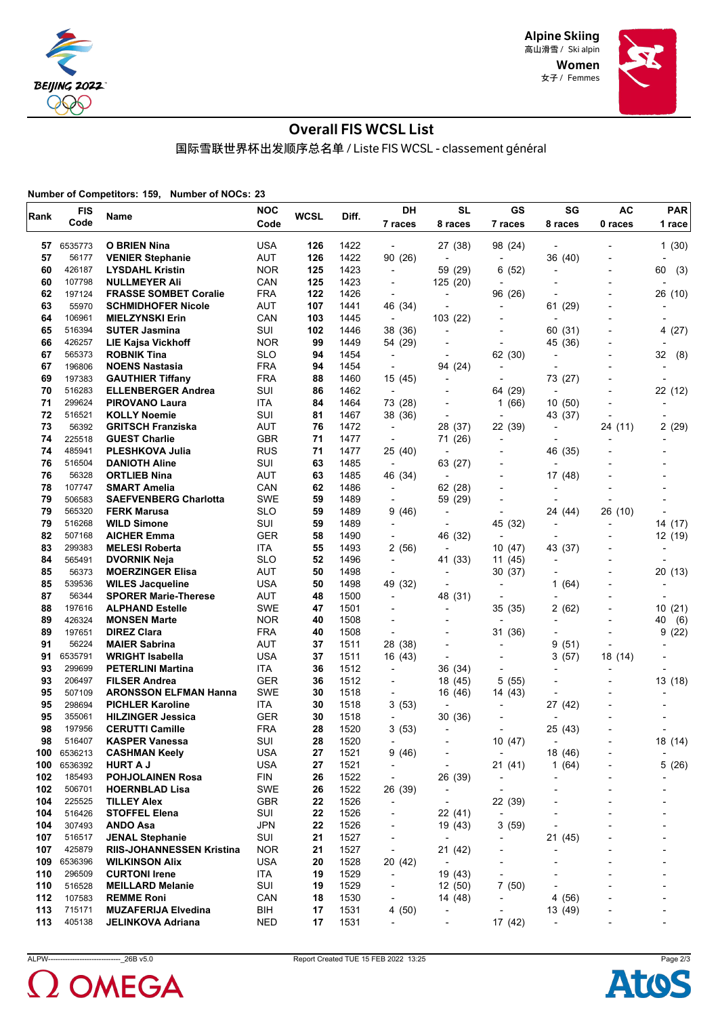

Women 女子 / Femmes



# Overall FIS WCSL List

国际雪联世界杯出发顺序总名单 / Liste FIS WCSL - classement général

**Number of Competitors: 159, Number of NOCs: 23**

| Rank       | <b>FIS</b>             | Name                                                    | <b>NOC</b>               | <b>WCSL</b>      | Diff.        | DH                                | <b>SL</b>                | GS                       | SG                                  | <b>AC</b>                | <b>PAR</b>               |
|------------|------------------------|---------------------------------------------------------|--------------------------|------------------|--------------|-----------------------------------|--------------------------|--------------------------|-------------------------------------|--------------------------|--------------------------|
|            | Code                   |                                                         | Code                     |                  |              | 7 races                           | 8 races                  | 7 races                  | 8 races                             | 0 races                  | 1 race                   |
| 57         | 6535773                | <b>O BRIEN Nina</b>                                     | USA                      | 126              | 1422         | $\overline{a}$                    | 27 (38)                  | 98 (24)                  |                                     |                          | 1(30)                    |
| 57         | 56177                  | <b>VENIER Stephanie</b>                                 | <b>AUT</b>               | 126              | 1422         | 90 (26)                           | $\blacksquare$           | $\blacksquare$           | 36 (40)                             |                          |                          |
| 60         | 426187                 | <b>LYSDAHL Kristin</b>                                  | <b>NOR</b>               | 125              | 1423         | $\overline{\phantom{a}}$          | 59 (29)                  | 6 (52)                   | $\overline{\phantom{a}}$            |                          | 60<br>(3)                |
| 60         | 107798                 | <b>NULLMEYER Ali</b>                                    | CAN                      | 125              | 1423         | $\overline{\phantom{a}}$          | 125 (20)                 | $\overline{\phantom{a}}$ |                                     | $\overline{a}$           |                          |
| 62         | 197124                 | <b>FRASSE SOMBET Coralie</b>                            | <b>FRA</b>               | 122              | 1426         | $\overline{\phantom{a}}$          |                          | 96 (26)                  |                                     |                          | 26 (10)                  |
| 63         | 55970                  | <b>SCHMIDHOFER Nicole</b>                               | <b>AUT</b>               | 107              | 1441         | 46 (34)                           |                          | -                        | 61 (29)                             |                          |                          |
| 64         | 106961                 | <b>MIELZYNSKI Erin</b>                                  | CAN                      | 103              | 1445         | $\overline{\phantom{a}}$          | 103 (22)                 | $\overline{a}$           |                                     |                          |                          |
| 65         | 516394                 | <b>SUTER Jasmina</b>                                    | SUI                      | 102              | 1446         | 38 (36)                           |                          |                          | 60 (31)                             |                          | 4(27)                    |
| 66         | 426257                 | <b>LIE Kajsa Vickhoff</b>                               | <b>NOR</b>               | 99               | 1449         | 54 (29)                           |                          |                          | 45 (36)                             |                          |                          |
| 67         | 565373                 | <b>ROBNIK Tina</b>                                      | <b>SLO</b>               | 94               | 1454         | $\overline{\phantom{a}}$          |                          | 62 (30)                  | $\overline{\phantom{a}}$            |                          | 32<br>(8)                |
| 67         | 196806                 | <b>NOENS Nastasia</b>                                   | <b>FRA</b>               | 94               | 1454         | ÷,                                | 94 (24)                  | ÷                        | $\overline{a}$                      |                          |                          |
| 69         | 197383                 | <b>GAUTHIER Tiffany</b>                                 | <b>FRA</b>               | 88               | 1460         | 15(45)                            | $\blacksquare$           |                          | 73 (27)                             |                          |                          |
| 70         | 516283                 | <b>ELLENBERGER Andrea</b>                               | SUI                      | 86               | 1462         | $\overline{\phantom{a}}$          |                          | (29)<br>64               | $\overline{\phantom{a}}$            | Ĭ.                       | 22 (12)                  |
| 71         | 299624                 | <b>PIROVANO Laura</b>                                   | <b>ITA</b>               | 84               | 1464         | 73 (28)                           |                          | (66)<br>1                | 10(50)                              |                          |                          |
| 72         | 516521                 | <b>KOLLY Noemie</b>                                     | SUI                      | 81               | 1467         | 38 (36)                           |                          |                          | 43 (37)                             | $\overline{a}$           |                          |
| 73         | 56392                  | <b>GRITSCH Franziska</b>                                | AUT                      | 76               | 1472         | $\overline{\phantom{a}}$          | 28 (37)                  | 22 (39)                  |                                     | 24 (11)                  | 2(29)                    |
| 74         | 225518                 | <b>GUEST Charlie</b>                                    | <b>GBR</b>               | 71               | 1477         | $\overline{\phantom{a}}$          | 71 (26)                  | $\overline{a}$           | $\overline{\phantom{a}}$            |                          |                          |
| 74         | 485941                 | <b>PLESHKOVA Julia</b>                                  | <b>RUS</b>               | 71               | 1477         | 25 (40)                           |                          |                          | 46 (35)                             |                          |                          |
| 76         | 516504                 | <b>DANIOTH Aline</b>                                    | SUI                      | 63               | 1485         | $\overline{\phantom{a}}$          | 63 (27)                  |                          |                                     |                          |                          |
| 76         | 56328                  | <b>ORTLIEB Nina</b>                                     | <b>AUT</b>               | 63               | 1485         | 46 (34)                           |                          |                          | 17 (48)                             |                          |                          |
| 78         | 107747                 | <b>SMART Amelia</b>                                     | CAN                      | 62               | 1486         | $\overline{\phantom{a}}$          | 62 (28)                  |                          |                                     |                          |                          |
| 79         | 506583                 | <b>SAEFVENBERG Charlotta</b>                            | <b>SWE</b>               | 59               | 1489         | $\overline{\phantom{a}}$          | 59 (29)                  |                          |                                     | $\overline{\phantom{a}}$ |                          |
| 79         | 565320                 | <b>FERK Marusa</b>                                      | <b>SLO</b>               | 59               | 1489         | 9 (46)                            | $\overline{\phantom{a}}$ | $\overline{\phantom{a}}$ | 24 (44)                             | 26 (10)                  |                          |
| 79         | 516268                 | <b>WILD Simone</b>                                      | SUI                      | 59               | 1489         | $\overline{\phantom{a}}$          |                          | 45 (32)                  |                                     | $\overline{a}$           | 14 (17)                  |
| 82         | 507168                 | <b>AICHER Emma</b>                                      | <b>GER</b>               | 58               | 1490         | $\overline{\phantom{a}}$          | 46 (32)                  | $\overline{a}$           |                                     | $\overline{a}$           | 12 (19)                  |
| 83         | 299383                 | <b>MELESI Roberta</b>                                   | <b>ITA</b>               | 55               | 1493         | 2(56)                             |                          | 10(47)                   | 43 (37)                             |                          |                          |
| 84         | 565491                 | <b>DVORNIK Neja</b>                                     | <b>SLO</b>               | 52               | 1496         | $\overline{\phantom{a}}$          | 41 (33)                  | 11 (45)                  |                                     |                          |                          |
| 85         | 56373                  | <b>MOERZINGER Elisa</b>                                 | AUT                      | 50               | 1498         | $\overline{\phantom{a}}$          | $\overline{\phantom{a}}$ | 30(37)                   |                                     |                          | 20 (13)                  |
| 85         | 539536                 | <b>WILES Jacqueline</b>                                 | <b>USA</b>               | 50               | 1498         | 49 (32)                           |                          | $\overline{a}$           | (64)<br>1                           |                          |                          |
| 87         | 56344                  | <b>SPORER Marie-Therese</b>                             | <b>AUT</b>               | 48               | 1500         | $\overline{\phantom{a}}$          | 48 (31)                  |                          |                                     |                          |                          |
| 88         | 197616                 | <b>ALPHAND Estelle</b>                                  | <b>SWE</b>               | 47               | 1501         | $\blacksquare$                    | $\overline{\phantom{a}}$ | 35(35)                   | 2(62)                               |                          | 10<br>(21)               |
| 89         | 426324                 | <b>MONSEN Marte</b>                                     | <b>NOR</b>               | 40               | 1508         |                                   |                          |                          |                                     |                          | 40<br>(6)                |
| 89         | 197651                 | <b>DIREZ Clara</b>                                      | <b>FRA</b>               | 40               | 1508         | ÷,                                |                          | 31 (36)                  |                                     |                          | 9<br>(22)                |
| 91         | 56224                  | <b>MAIER Sabrina</b>                                    | AUT                      | 37               | 1511         | 28 (38)                           |                          | ÷                        | 9<br>(51)                           | $\overline{a}$           |                          |
| 91         | 6535791                | WRIGHT Isabella                                         | USA                      | 37               | 1511         | 16 (43)                           | $\overline{\phantom{a}}$ | -                        | 3<br>(57)                           | 18 (14)                  |                          |
| 93         | 299699                 | <b>PETERLINI Martina</b>                                | <b>ITA</b>               | 36               | 1512         | $\overline{a}$                    | 36 (34)                  |                          |                                     |                          |                          |
| 93         | 206497                 | <b>FILSER Andrea</b>                                    | <b>GER</b>               | 36               | 1512         | $\overline{a}$                    | 18 (45)                  | 5<br>(55)                |                                     | Ĭ.                       |                          |
| 95         | 507109                 |                                                         | <b>SWE</b>               | 30               |              |                                   |                          |                          |                                     |                          | 13 (18)                  |
| 95         | 298694                 | <b>ARONSSON ELFMAN Hanna</b><br><b>PICHLER Karoline</b> | <b>ITA</b>               | 30               | 1518<br>1518 | $\overline{a}$<br>3(53)           | 16 (46)                  | 14 (43)                  | 27 (42)                             |                          |                          |
| 95         | 355061                 | <b>HILZINGER Jessica</b>                                | <b>GER</b>               | 30               | 1518         | $\overline{\phantom{a}}$          | 30 (36)                  |                          | ÷                                   |                          |                          |
| 98         | 197956                 | <b>CERUTTI Camille</b>                                  | <b>FRA</b>               | 28               |              |                                   | $\overline{\phantom{a}}$ |                          |                                     |                          |                          |
| 98         | 516407                 | <b>KASPER Vanessa</b>                                   | SUI                      | 28               | 1520<br>1520 | 3(53)<br>$\overline{\phantom{a}}$ |                          | 10(47)                   | 25 (43)<br>$\overline{\phantom{a}}$ |                          | 18 (14)                  |
|            |                        |                                                         |                          |                  |              |                                   |                          |                          |                                     |                          |                          |
|            | 100 6536213<br>6536392 | <b>CASHMAN Keely</b><br><b>HURT A J</b>                 | <b>USA</b><br><b>USA</b> | 27<br>${\bf 27}$ | 1521         | 9(46)                             | $\overline{a}$           | $\overline{\phantom{a}}$ | 18 (46)                             | -                        | 5(26)                    |
| 100<br>102 | 185493                 | <b>POHJOLAINEN Rosa</b>                                 |                          | 26               | 1521         | $\overline{\phantom{a}}$          | $\overline{\phantom{a}}$ | 21(41)<br>$\overline{a}$ | 1(64)                               |                          |                          |
|            |                        |                                                         | <b>FIN</b>               |                  | 1522         | $\overline{\phantom{a}}$          | 26 (39)                  |                          |                                     |                          |                          |
| 102        | 506701                 | <b>HOERNBLAD Lisa</b>                                   | <b>SWE</b>               | 26               | 1522         | 26 (39)                           | $\overline{\phantom{a}}$ | $\overline{\phantom{a}}$ |                                     |                          |                          |
| 104        | 225525                 | <b>TILLEY Alex</b>                                      | <b>GBR</b>               | 22               | 1526         | $\overline{a}$                    | $\overline{\phantom{a}}$ | 22 (39)                  |                                     |                          |                          |
| 104        | 516426                 | <b>STOFFEL Elena</b>                                    | SUI                      | 22               | 1526         | -                                 | 22 (41)                  | $\overline{\phantom{a}}$ |                                     |                          |                          |
| 104        | 307493                 | <b>ANDO Asa</b>                                         | <b>JPN</b>               | 22               | 1526         | $\overline{a}$                    | 19 (43)                  | 3(59)                    | $\overline{a}$                      |                          |                          |
| 107<br>107 | 516517<br>425879       | <b>JENAL Stephanie</b>                                  | SUI<br><b>NOR</b>        | 21<br>21         | 1527         | $\overline{a}$                    | $\overline{\phantom{a}}$ | -                        | 21 (45)                             |                          |                          |
|            |                        | RIIS-JOHANNESSEN Kristina                               |                          |                  | 1527         | $\overline{\phantom{a}}$          | 21 (42)                  | -                        |                                     |                          |                          |
| 109        | 6536396                | <b>WILKINSON Alix</b>                                   | <b>USA</b>               | 20               | 1528         | 20 (42)                           | $\overline{\phantom{a}}$ | -                        |                                     |                          |                          |
| 110        | 296509                 | <b>CURTONI Irene</b>                                    | ITA                      | 19               | 1529         | $\overline{a}$                    | 19 (43)                  | $\overline{\phantom{a}}$ |                                     |                          |                          |
| 110        | 516528                 | <b>MEILLARD Melanie</b>                                 | SUI                      | 19               | 1529         | $\overline{\phantom{a}}$          | 12(50)                   | 7(50)                    |                                     |                          |                          |
| 112        | 107583                 | <b>REMME Roni</b>                                       | CAN                      | 18               | 1530         | $\overline{\phantom{a}}$          | 14 (48)                  | -                        | 4(56)                               |                          |                          |
| 113        | 715171                 | <b>MUZAFERIJA Elvedina</b>                              | BIH                      | 17               | 1531         | 4(50)                             | -                        | $\overline{\phantom{a}}$ | 13 (49)                             |                          |                          |
| 113        | 405138                 | JELINKOVA Adriana                                       | <b>NED</b>               | 17               | 1531         | $\overline{\phantom{a}}$          | $\overline{\phantom{a}}$ | 17 (42)                  | $\overline{\phantom{a}}$            | -                        | $\overline{\phantom{a}}$ |



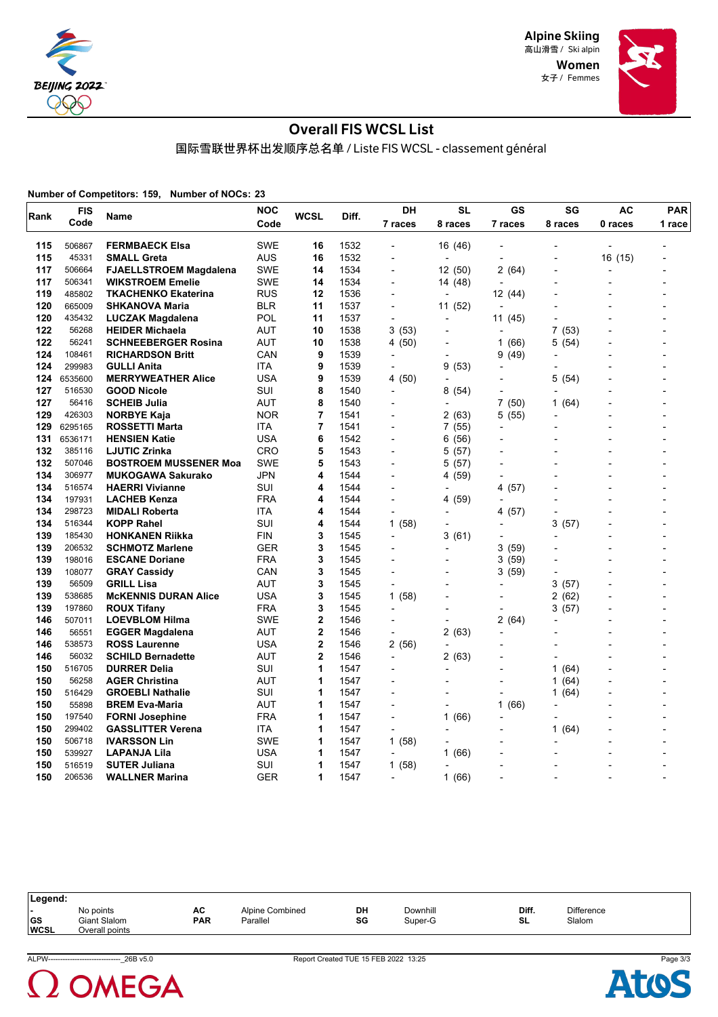

> Women 女子 / Femmes



# Overall FIS WCSL List

国际雪联世界杯出发顺序总名单 / Liste FIS WCSL - classement général

**Number of Competitors: 159, Number of NOCs: 23**

| Rank       | <b>FIS</b>       | Name                          | <b>NOC</b>        | <b>WCSL</b> | Diff.        | DH                               | SL                       | GS                       | SG                                       | AC                       | PAR                      |
|------------|------------------|-------------------------------|-------------------|-------------|--------------|----------------------------------|--------------------------|--------------------------|------------------------------------------|--------------------------|--------------------------|
|            | Code             |                               | Code              |             |              | 7 races                          | 8 races                  | 7 races                  | 8 races                                  | 0 races                  | 1 race                   |
| 115        | 506867           | <b>FERMBAECK Elsa</b>         | <b>SWE</b>        | 16          | 1532         |                                  | 16 (46)                  |                          |                                          |                          |                          |
| 115        | 45331            | <b>SMALL Greta</b>            | <b>AUS</b>        | 16          | 1532         | L,                               | $\overline{a}$           |                          |                                          | 16 (15)                  |                          |
| 117        | 506664           | <b>FJAELLSTROEM Magdalena</b> | <b>SWE</b>        | 14          | 1534         |                                  | 12 (50)                  | 2 (64)                   |                                          | $\overline{\phantom{a}}$ |                          |
| 117        | 506341           | <b>WIKSTROEM Emelie</b>       | <b>SWE</b>        | 14          | 1534         | $\blacksquare$                   | 14 (48)                  |                          |                                          |                          |                          |
| 119        | 485802           | <b>TKACHENKO Ekaterina</b>    | <b>RUS</b>        | 12          | 1536         | $\overline{a}$                   | ÷,                       | 12 (44)                  |                                          |                          |                          |
| 120        | 665009           | <b>SHKANOVA Maria</b>         | <b>BLR</b>        | 11          | 1537         | $\overline{a}$                   | 11 (52)                  | $\overline{a}$           |                                          |                          |                          |
| 120        | 435432           | LUCZAK Magdalena              | POL               | 11          | 1537         | $\overline{\phantom{a}}$         | $\overline{\phantom{a}}$ | 11(45)                   | $\overline{a}$                           |                          |                          |
| 122        | 56268            | <b>HEIDER Michaela</b>        | AUT               | 10          | 1538         | 3(53)                            | $\overline{a}$           | $\overline{\phantom{a}}$ | 7<br>(53)                                |                          |                          |
| 122        | 56241            | <b>SCHNEEBERGER Rosina</b>    | AUT               | 10          | 1538         | 4 (50)                           |                          | 1(66)                    | (54)<br>5                                |                          |                          |
| 124        | 108461           | <b>RICHARDSON Britt</b>       | CAN               | 9           | 1539         | $\blacksquare$                   | $\overline{a}$           | (49)<br>9                |                                          |                          |                          |
| 124        | 299983           | <b>GULLI Anita</b>            | ITA               | 9           | 1539         |                                  | 9(53)                    |                          |                                          |                          |                          |
| 124        | 6535600          | <b>MERRYWEATHER Alice</b>     | USA               | 9           | 1539         | 4 (50)                           | $\overline{\phantom{a}}$ | $\overline{a}$           | 5<br>(54)                                |                          |                          |
| 127        | 516530           | <b>GOOD Nicole</b>            | <b>SUI</b>        | 8           | 1540         | $\overline{a}$                   | 8(54)                    |                          |                                          |                          |                          |
| 127        | 56416            | <b>SCHEIB Julia</b>           | AUT               | 8           | 1540         | $\overline{a}$                   | $\overline{\phantom{a}}$ | 7 (50)                   | $\mathbf{1}$<br>(64)                     |                          |                          |
| 129        | 426303           | <b>NORBYE Kaja</b>            | <b>NOR</b>        | 7           | 1541         |                                  | 2(63)                    | 5 (55)                   |                                          |                          |                          |
| 129        | 6295165          | <b>ROSSETTI Marta</b>         | ITA               | 7           | 1541         | $\overline{a}$                   | 7(55)                    | L,                       |                                          |                          |                          |
| 131        | 6536171          | <b>HENSIEN Katie</b>          | USA               | 6           | 1542         | $\overline{a}$                   | 6 (56)                   |                          |                                          |                          |                          |
| 132        | 385116           | <b>LJUTIC Zrinka</b>          | CRO               | 5           | 1543         | $\overline{a}$                   | 5(57)                    |                          |                                          |                          |                          |
| 132        | 507046           | <b>BOSTROEM MUSSENER Moa</b>  | <b>SWE</b>        | 5           | 1543         | $\overline{\phantom{a}}$         | 5(57)                    |                          |                                          |                          |                          |
| 134        | 306977           | <b>MUKOGAWA Sakurako</b>      | JPN               | 4           | 1544         | $\overline{a}$                   | 4 (59)                   | $\overline{a}$           |                                          |                          |                          |
| 134        | 516574           | <b>HAERRI Vivianne</b>        | SUI               | 4           | 1544         |                                  | $\overline{\phantom{a}}$ | 4<br>(57)                |                                          |                          |                          |
| 134        | 197931           | <b>LACHEB Kenza</b>           | <b>FRA</b>        | 4           | 1544         | $\overline{a}$                   | 4 (59)                   |                          |                                          |                          |                          |
| 134        | 298723           | <b>MIDALI Roberta</b>         | ITA               | 4           | 1544         | $\overline{a}$                   | $\overline{a}$           | (57)<br>4                | $\overline{a}$                           |                          | $\overline{a}$           |
| 134        | 516344           | <b>KOPP Rahel</b>             | SUI               | 4           | 1544         | 1(58)                            | $\blacksquare$           | $\overline{a}$           | 3<br>(57)                                |                          |                          |
| 139        | 185430           | <b>HONKANEN Riikka</b>        | <b>FIN</b>        | 3           | 1545         | ÷,                               | 3(61)                    |                          | L                                        |                          |                          |
| 139        | 206532           | <b>SCHMOTZ Marlene</b>        | <b>GER</b>        | 3           | 1545         |                                  | $\overline{a}$           | 3 (59)                   |                                          |                          |                          |
| 139        | 198016           | <b>ESCANE Doriane</b>         | <b>FRA</b>        | 3           | 1545         |                                  |                          | 3(59)                    |                                          |                          |                          |
| 139        | 108077           | <b>GRAY Cassidy</b>           | CAN               | 3           | 1545         | L,                               |                          | 3 (59)                   |                                          |                          |                          |
| 139        | 56509            | <b>GRILL Lisa</b>             | AUT               | 3           | 1545         |                                  |                          |                          | 3<br>(57)                                |                          |                          |
| 139        | 538685           | <b>McKENNIS DURAN Alice</b>   | <b>USA</b>        | 3           | 1545         | 1(58)                            | $\overline{\phantom{a}}$ | L,                       | 2<br>(62)                                |                          |                          |
| 139        | 197860           | <b>ROUX Tifany</b>            | <b>FRA</b>        | 3           | 1545         | $\blacksquare$                   |                          |                          | (57)<br>3                                |                          |                          |
| 146<br>146 | 507011           | <b>LOEVBLOM Hilma</b>         | <b>SWE</b>        | $\mathbf 2$ | 1546         | $\blacksquare$                   | $\overline{\phantom{a}}$ | 2 (64)                   |                                          |                          |                          |
|            | 56551            | <b>EGGER Magdalena</b>        | AUT               | $\mathbf 2$ | 1546         | ÷,                               | 2(63)                    |                          |                                          |                          |                          |
| 146        | 538573           | <b>ROSS Laurenne</b>          | USA               | $\mathbf 2$ | 1546         | 2 (56)                           | $\overline{\phantom{a}}$ |                          |                                          |                          |                          |
| 146        | 56032<br>516705  | <b>SCHILD Bernadette</b>      | AUT               | 2<br>1      | 1546         | $\overline{\phantom{a}}$         | 2(63)                    |                          | $\overline{\phantom{0}}$<br>$\mathbf{1}$ |                          |                          |
| 150<br>150 |                  | <b>DURRER Delia</b>           | SUI               | 1           | 1547         | $\overline{a}$                   |                          | L,                       | (64)                                     |                          |                          |
| 150        | 56258            | <b>AGER Christina</b>         | AUT<br><b>SUI</b> | 1           | 1547         |                                  | $\overline{\phantom{a}}$ |                          | 1<br>(64)                                |                          |                          |
|            | 516429<br>55898  | <b>GROEBLI Nathalie</b>       |                   | 1           | 1547         | $\overline{a}$                   |                          |                          | 1(64)                                    |                          |                          |
| 150        |                  | <b>BREM Eva-Maria</b>         | AUT               | 1           | 1547         | $\blacksquare$<br>$\overline{a}$ | $\overline{\phantom{a}}$ | (66)<br>1                | $\overline{a}$                           |                          |                          |
| 150<br>150 | 197540<br>299402 | <b>FORNI Josephine</b>        | <b>FRA</b>        | 1           | 1547         |                                  | 1(66)                    |                          |                                          |                          |                          |
| 150        |                  | <b>GASSLITTER Verena</b>      | ITA<br><b>SWE</b> | 1           | 1547         | $\overline{a}$                   |                          |                          | (64)<br>1                                |                          |                          |
|            | 506718           | <b>IVARSSON Lin</b>           | USA               | 1           | 1547         | 1(58)                            |                          |                          |                                          |                          |                          |
| 150<br>150 | 539927<br>516519 | LAPANJA Lila                  | SUI               | 1           | 1547         | $\overline{\phantom{a}}$         | 1(66)                    |                          |                                          |                          |                          |
| 150        | 206536           | <b>SUTER Juliana</b>          | <b>GER</b>        | 1           | 1547<br>1547 | 1 (58)<br>$\overline{a}$         | ٠                        |                          | $\overline{a}$                           |                          |                          |
|            |                  | <b>WALLNER Marina</b>         |                   |             |              |                                  | 1(66)                    |                          |                                          |                          | $\overline{\phantom{0}}$ |

| Legend:                                              |                                             |           |                             |          |                     |             |                             |  |
|------------------------------------------------------|---------------------------------------------|-----------|-----------------------------|----------|---------------------|-------------|-----------------------------|--|
| $\overline{\phantom{0}}$<br><b>GS</b><br><b>WCSL</b> | No points<br>Giant Slalom<br>Overall points | AC<br>PAR | Alpine Combined<br>Parallel | DH<br>SG | Downhill<br>Super-G | Diff.<br>SL | <b>Difference</b><br>Slalom |  |



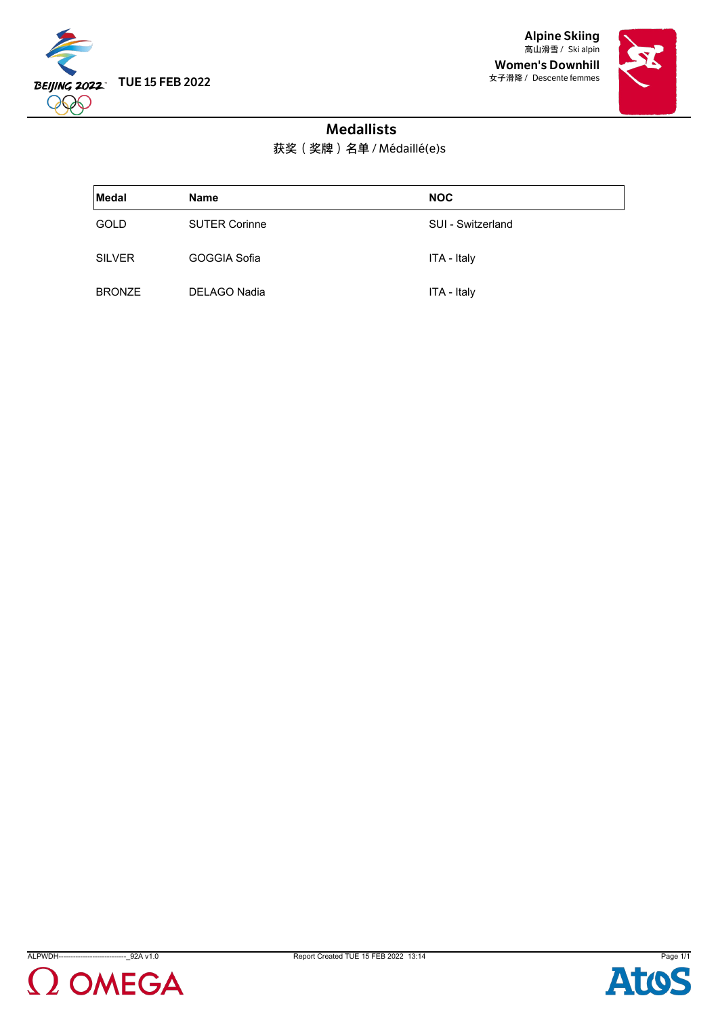

Alpine Skiing 高山滑雪 / Ski alpin Women's Downhill 女子滑降 / Descente femmes



# Medallists

获奖(奖牌)名单 / Médaillé(e)s

| Medal         | <b>Name</b>          | <b>NOC</b>        |
|---------------|----------------------|-------------------|
| <b>GOLD</b>   | <b>SUTER Corinne</b> | SUI - Switzerland |
| <b>SILVER</b> | GOGGIA Sofia         | ITA - Italy       |
| <b>BRONZE</b> | DELAGO Nadia         | ITA - Italy       |





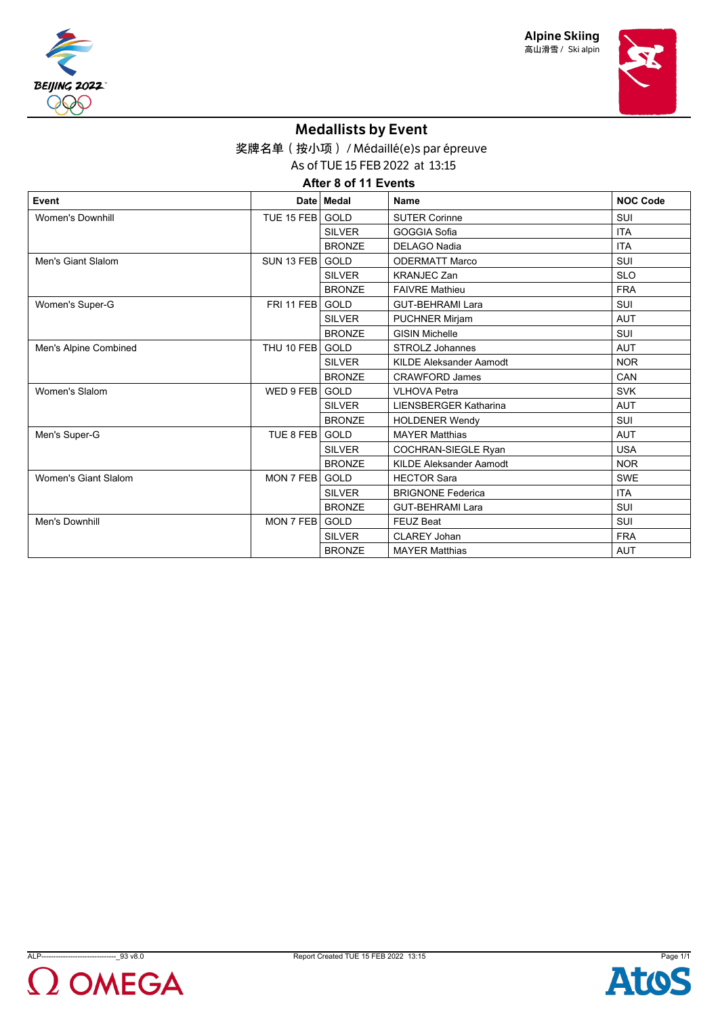





# Medallists by Event

奖牌名单(按小项) / Médaillé(e)s par épreuve

As of TUE 15 FEB 2022 at 13:15

**After 8 of 11 Events**

| Event                   |            | Date   Medal  | <b>Name</b>                    | <b>NOC Code</b> |
|-------------------------|------------|---------------|--------------------------------|-----------------|
| <b>Women's Downhill</b> | TUE 15 FEB | GOLD          | <b>SUTER Corinne</b>           | SUI             |
|                         |            | <b>SILVER</b> | GOGGIA Sofia                   | <b>ITA</b>      |
|                         |            | <b>BRONZE</b> | <b>DELAGO Nadia</b>            | <b>ITA</b>      |
| Men's Giant Slalom      | SUN 13 FEB | <b>GOLD</b>   | <b>ODERMATT Marco</b>          | <b>SUI</b>      |
|                         |            | <b>SILVER</b> | <b>KRANJEC Zan</b>             | <b>SLO</b>      |
|                         |            | <b>BRONZE</b> | <b>FAIVRE Mathieu</b>          | <b>FRA</b>      |
| Women's Super-G         | FRI 11 FEB | GOLD          | <b>GUT-BEHRAMI Lara</b>        | <b>SUI</b>      |
|                         |            | <b>SILVER</b> | <b>PUCHNER Mirjam</b>          | <b>AUT</b>      |
|                         |            | <b>BRONZE</b> | <b>GISIN Michelle</b>          | SUI             |
| Men's Alpine Combined   | THU 10 FEB | GOLD          | <b>STROLZ Johannes</b>         | <b>AUT</b>      |
|                         |            | <b>SILVER</b> | <b>KILDE Aleksander Aamodt</b> | <b>NOR</b>      |
|                         |            | <b>BRONZE</b> | <b>CRAWFORD James</b>          | CAN             |
| Women's Slalom          | WED 9 FEB  | GOLD          | <b>VLHOVA Petra</b>            | <b>SVK</b>      |
|                         |            | <b>SILVER</b> | <b>LIENSBERGER Katharina</b>   | <b>AUT</b>      |
|                         |            | <b>BRONZE</b> | <b>HOLDENER Wendy</b>          | <b>SUI</b>      |
| Men's Super-G           | TUE 8 FEB  | GOLD          | <b>MAYER Matthias</b>          | <b>AUT</b>      |
|                         |            | <b>SILVER</b> | <b>COCHRAN-SIEGLE Ryan</b>     | <b>USA</b>      |
|                         |            | <b>BRONZE</b> | <b>KILDE Aleksander Aamodt</b> | <b>NOR</b>      |
| Women's Giant Slalom    | MON 7 FEB  | GOLD          | <b>HECTOR Sara</b>             | <b>SWE</b>      |
|                         |            | <b>SILVER</b> | <b>BRIGNONE Federica</b>       | <b>ITA</b>      |
|                         |            | <b>BRONZE</b> | <b>GUT-BEHRAMI Lara</b>        | SUI             |
| Men's Downhill          | MON 7 FEB  | GOLD          | <b>FEUZ Beat</b>               | <b>SUI</b>      |
|                         |            | <b>SILVER</b> | <b>CLAREY Johan</b>            | <b>FRA</b>      |
|                         |            | <b>BRONZE</b> | <b>MAYER Matthias</b>          | <b>AUT</b>      |